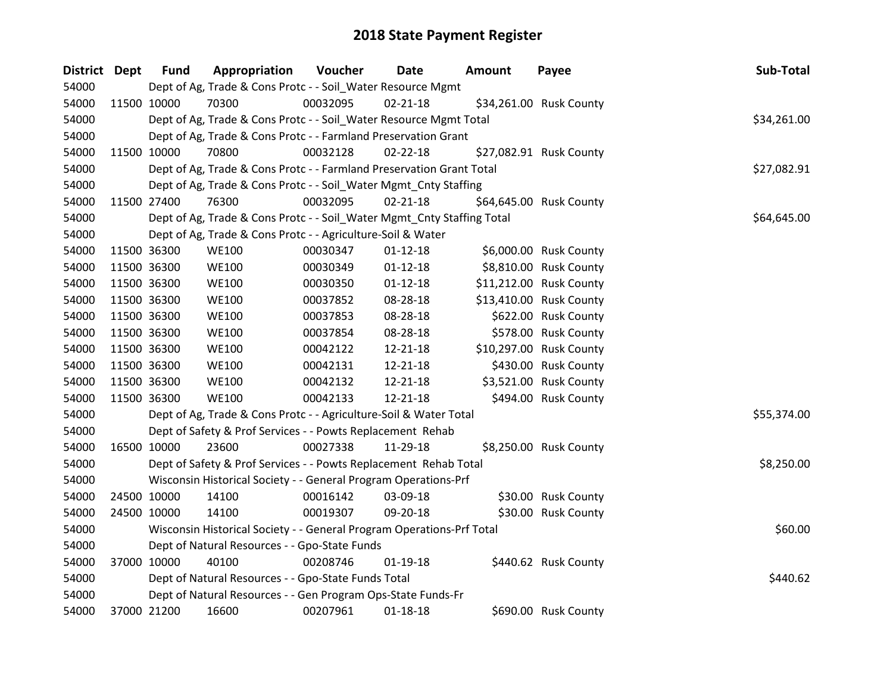| District Dept | <b>Fund</b> | Appropriation                                                          | Voucher  | Date           | <b>Amount</b> | Payee                   | Sub-Total   |
|---------------|-------------|------------------------------------------------------------------------|----------|----------------|---------------|-------------------------|-------------|
| 54000         |             | Dept of Ag, Trade & Cons Protc - - Soil_Water Resource Mgmt            |          |                |               |                         |             |
| 54000         | 11500 10000 | 70300                                                                  | 00032095 | $02 - 21 - 18$ |               | \$34,261.00 Rusk County |             |
| 54000         |             | Dept of Ag, Trade & Cons Protc - - Soil_Water Resource Mgmt Total      |          |                |               |                         | \$34,261.00 |
| 54000         |             | Dept of Ag, Trade & Cons Protc - - Farmland Preservation Grant         |          |                |               |                         |             |
| 54000         | 11500 10000 | 70800                                                                  | 00032128 | $02 - 22 - 18$ |               | \$27,082.91 Rusk County |             |
| 54000         |             | Dept of Ag, Trade & Cons Protc - - Farmland Preservation Grant Total   |          |                |               |                         | \$27,082.91 |
| 54000         |             | Dept of Ag, Trade & Cons Protc - - Soil_Water Mgmt_Cnty Staffing       |          |                |               |                         |             |
| 54000         | 11500 27400 | 76300                                                                  | 00032095 | $02 - 21 - 18$ |               | \$64,645.00 Rusk County |             |
| 54000         |             | Dept of Ag, Trade & Cons Protc - - Soil_Water Mgmt_Cnty Staffing Total |          |                |               |                         | \$64,645.00 |
| 54000         |             | Dept of Ag, Trade & Cons Protc - - Agriculture-Soil & Water            |          |                |               |                         |             |
| 54000         | 11500 36300 | <b>WE100</b>                                                           | 00030347 | $01 - 12 - 18$ |               | \$6,000.00 Rusk County  |             |
| 54000         | 11500 36300 | <b>WE100</b>                                                           | 00030349 | $01 - 12 - 18$ |               | \$8,810.00 Rusk County  |             |
| 54000         | 11500 36300 | <b>WE100</b>                                                           | 00030350 | $01 - 12 - 18$ |               | \$11,212.00 Rusk County |             |
| 54000         | 11500 36300 | <b>WE100</b>                                                           | 00037852 | 08-28-18       |               | \$13,410.00 Rusk County |             |
| 54000         | 11500 36300 | <b>WE100</b>                                                           | 00037853 | 08-28-18       |               | \$622.00 Rusk County    |             |
| 54000         | 11500 36300 | <b>WE100</b>                                                           | 00037854 | 08-28-18       |               | \$578.00 Rusk County    |             |
| 54000         | 11500 36300 | <b>WE100</b>                                                           | 00042122 | 12-21-18       |               | \$10,297.00 Rusk County |             |
| 54000         | 11500 36300 | <b>WE100</b>                                                           | 00042131 | 12-21-18       |               | \$430.00 Rusk County    |             |
| 54000         | 11500 36300 | <b>WE100</b>                                                           | 00042132 | 12-21-18       |               | \$3,521.00 Rusk County  |             |
| 54000         | 11500 36300 | <b>WE100</b>                                                           | 00042133 | 12-21-18       |               | \$494.00 Rusk County    |             |
| 54000         |             | Dept of Ag, Trade & Cons Protc - - Agriculture-Soil & Water Total      |          |                |               |                         | \$55,374.00 |
| 54000         |             | Dept of Safety & Prof Services - - Powts Replacement Rehab             |          |                |               |                         |             |
| 54000         | 16500 10000 | 23600                                                                  | 00027338 | 11-29-18       |               | \$8,250.00 Rusk County  |             |
| 54000         |             | Dept of Safety & Prof Services - - Powts Replacement Rehab Total       |          |                |               |                         | \$8,250.00  |
| 54000         |             | Wisconsin Historical Society - - General Program Operations-Prf        |          |                |               |                         |             |
| 54000         | 24500 10000 | 14100                                                                  | 00016142 | 03-09-18       |               | \$30.00 Rusk County     |             |
| 54000         | 24500 10000 | 14100                                                                  | 00019307 | 09-20-18       |               | \$30.00 Rusk County     |             |
| 54000         |             | Wisconsin Historical Society - - General Program Operations-Prf Total  |          |                |               |                         | \$60.00     |
| 54000         |             | Dept of Natural Resources - - Gpo-State Funds                          |          |                |               |                         |             |
| 54000         | 37000 10000 | 40100                                                                  | 00208746 | $01-19-18$     |               | \$440.62 Rusk County    |             |
| 54000         |             | Dept of Natural Resources - - Gpo-State Funds Total                    |          |                |               |                         | \$440.62    |
| 54000         |             | Dept of Natural Resources - - Gen Program Ops-State Funds-Fr           |          |                |               |                         |             |
| 54000         | 37000 21200 | 16600                                                                  | 00207961 | $01 - 18 - 18$ |               | \$690.00 Rusk County    |             |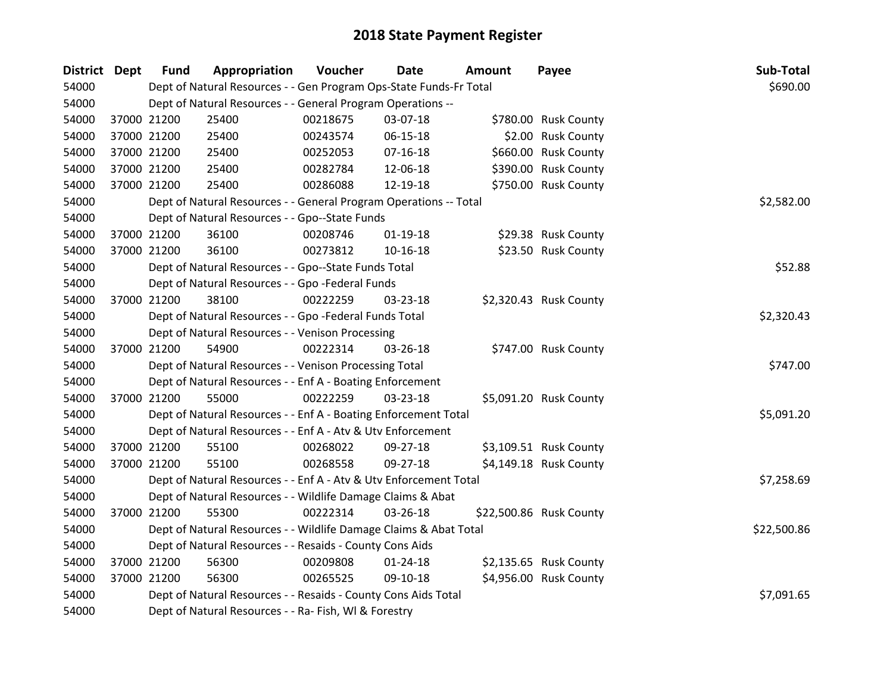| District Dept | <b>Fund</b> | Appropriation                                                      | Voucher    | Date           | <b>Amount</b> | Payee                   | Sub-Total   |
|---------------|-------------|--------------------------------------------------------------------|------------|----------------|---------------|-------------------------|-------------|
| 54000         |             | Dept of Natural Resources - - Gen Program Ops-State Funds-Fr Total |            |                |               |                         | \$690.00    |
| 54000         |             | Dept of Natural Resources - - General Program Operations --        |            |                |               |                         |             |
| 54000         | 37000 21200 | 25400                                                              | 00218675   | 03-07-18       |               | \$780.00 Rusk County    |             |
| 54000         | 37000 21200 | 25400                                                              | 00243574   | 06-15-18       |               | \$2.00 Rusk County      |             |
| 54000         | 37000 21200 | 25400                                                              | 00252053   | $07 - 16 - 18$ |               | \$660.00 Rusk County    |             |
| 54000         | 37000 21200 | 25400                                                              | 00282784   | 12-06-18       |               | \$390.00 Rusk County    |             |
| 54000         | 37000 21200 | 25400                                                              | 00286088   | 12-19-18       |               | \$750.00 Rusk County    |             |
| 54000         |             | Dept of Natural Resources - - General Program Operations -- Total  |            |                |               |                         | \$2,582.00  |
| 54000         |             | Dept of Natural Resources - - Gpo--State Funds                     |            |                |               |                         |             |
| 54000         | 37000 21200 | 36100                                                              | 00208746   | $01 - 19 - 18$ |               | \$29.38 Rusk County     |             |
| 54000         | 37000 21200 | 36100                                                              | 00273812   | $10 - 16 - 18$ |               | \$23.50 Rusk County     |             |
| 54000         |             | Dept of Natural Resources - - Gpo--State Funds Total               |            |                |               |                         | \$52.88     |
| 54000         |             | Dept of Natural Resources - - Gpo -Federal Funds                   |            |                |               |                         |             |
| 54000         | 37000 21200 | 38100                                                              | 00222259   | 03-23-18       |               | \$2,320.43 Rusk County  |             |
| 54000         |             | Dept of Natural Resources - - Gpo -Federal Funds Total             | \$2,320.43 |                |               |                         |             |
| 54000         |             | Dept of Natural Resources - - Venison Processing                   |            |                |               |                         |             |
| 54000         | 37000 21200 | 54900                                                              | 00222314   | 03-26-18       |               | \$747.00 Rusk County    |             |
| 54000         |             | Dept of Natural Resources - - Venison Processing Total             |            |                |               |                         | \$747.00    |
| 54000         |             | Dept of Natural Resources - - Enf A - Boating Enforcement          |            |                |               |                         |             |
| 54000         | 37000 21200 | 55000                                                              | 00222259   | 03-23-18       |               | \$5,091.20 Rusk County  |             |
| 54000         |             | Dept of Natural Resources - - Enf A - Boating Enforcement Total    |            |                |               |                         | \$5,091.20  |
| 54000         |             | Dept of Natural Resources - - Enf A - Atv & Utv Enforcement        |            |                |               |                         |             |
| 54000         | 37000 21200 | 55100                                                              | 00268022   | 09-27-18       |               | \$3,109.51 Rusk County  |             |
| 54000         | 37000 21200 | 55100                                                              | 00268558   | 09-27-18       |               | \$4,149.18 Rusk County  |             |
| 54000         |             | Dept of Natural Resources - - Enf A - Atv & Utv Enforcement Total  |            |                |               |                         | \$7,258.69  |
| 54000         |             | Dept of Natural Resources - - Wildlife Damage Claims & Abat        |            |                |               |                         |             |
| 54000         | 37000 21200 | 55300                                                              | 00222314   | 03-26-18       |               | \$22,500.86 Rusk County |             |
| 54000         |             | Dept of Natural Resources - - Wildlife Damage Claims & Abat Total  |            |                |               |                         | \$22,500.86 |
| 54000         |             | Dept of Natural Resources - - Resaids - County Cons Aids           |            |                |               |                         |             |
| 54000         | 37000 21200 | 56300                                                              | 00209808   | $01 - 24 - 18$ |               | \$2,135.65 Rusk County  |             |
| 54000         | 37000 21200 | 56300                                                              | 00265525   | 09-10-18       |               | \$4,956.00 Rusk County  |             |
| 54000         |             | Dept of Natural Resources - - Resaids - County Cons Aids Total     |            |                |               |                         | \$7,091.65  |
| 54000         |             | Dept of Natural Resources - - Ra- Fish, WI & Forestry              |            |                |               |                         |             |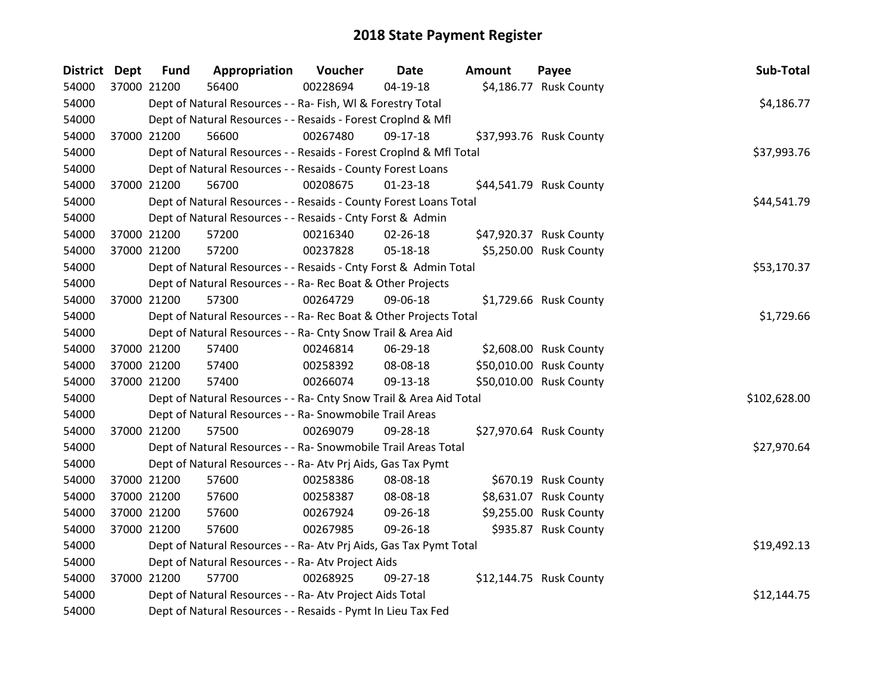| District Dept |             | <b>Fund</b> | Appropriation                                                      | Voucher  | Date           | Amount | Payee                   | Sub-Total    |
|---------------|-------------|-------------|--------------------------------------------------------------------|----------|----------------|--------|-------------------------|--------------|
| 54000         | 37000 21200 |             | 56400                                                              | 00228694 | 04-19-18       |        | \$4,186.77 Rusk County  |              |
| 54000         |             |             | Dept of Natural Resources - - Ra- Fish, WI & Forestry Total        |          |                |        |                         | \$4,186.77   |
| 54000         |             |             | Dept of Natural Resources - - Resaids - Forest CropInd & Mfl       |          |                |        |                         |              |
| 54000         |             | 37000 21200 | 56600                                                              | 00267480 | 09-17-18       |        | \$37,993.76 Rusk County |              |
| 54000         |             |             | Dept of Natural Resources - - Resaids - Forest CropInd & Mfl Total |          |                |        |                         | \$37,993.76  |
| 54000         |             |             | Dept of Natural Resources - - Resaids - County Forest Loans        |          |                |        |                         |              |
| 54000         | 37000 21200 |             | 56700                                                              | 00208675 | $01 - 23 - 18$ |        | \$44,541.79 Rusk County |              |
| 54000         |             |             | Dept of Natural Resources - - Resaids - County Forest Loans Total  |          |                |        |                         | \$44,541.79  |
| 54000         |             |             | Dept of Natural Resources - - Resaids - Cnty Forst & Admin         |          |                |        |                         |              |
| 54000         |             | 37000 21200 | 57200                                                              | 00216340 | 02-26-18       |        | \$47,920.37 Rusk County |              |
| 54000         |             | 37000 21200 | 57200                                                              | 00237828 | 05-18-18       |        | \$5,250.00 Rusk County  |              |
| 54000         |             |             | Dept of Natural Resources - - Resaids - Cnty Forst & Admin Total   |          |                |        |                         | \$53,170.37  |
| 54000         |             |             | Dept of Natural Resources - - Ra- Rec Boat & Other Projects        |          |                |        |                         |              |
| 54000         |             | 37000 21200 | 57300                                                              | 00264729 | 09-06-18       |        | \$1,729.66 Rusk County  |              |
| 54000         |             |             | Dept of Natural Resources - - Ra- Rec Boat & Other Projects Total  |          | \$1,729.66     |        |                         |              |
| 54000         |             |             | Dept of Natural Resources - - Ra- Cnty Snow Trail & Area Aid       |          |                |        |                         |              |
| 54000         |             | 37000 21200 | 57400                                                              | 00246814 | 06-29-18       |        | \$2,608.00 Rusk County  |              |
| 54000         |             | 37000 21200 | 57400                                                              | 00258392 | 08-08-18       |        | \$50,010.00 Rusk County |              |
| 54000         |             | 37000 21200 | 57400                                                              | 00266074 | 09-13-18       |        | \$50,010.00 Rusk County |              |
| 54000         |             |             | Dept of Natural Resources - - Ra- Cnty Snow Trail & Area Aid Total |          |                |        |                         | \$102,628.00 |
| 54000         |             |             | Dept of Natural Resources - - Ra- Snowmobile Trail Areas           |          |                |        |                         |              |
| 54000         |             | 37000 21200 | 57500                                                              | 00269079 | 09-28-18       |        | \$27,970.64 Rusk County |              |
| 54000         |             |             | Dept of Natural Resources - - Ra- Snowmobile Trail Areas Total     |          |                |        |                         | \$27,970.64  |
| 54000         |             |             | Dept of Natural Resources - - Ra- Atv Prj Aids, Gas Tax Pymt       |          |                |        |                         |              |
| 54000         |             | 37000 21200 | 57600                                                              | 00258386 | 08-08-18       |        | \$670.19 Rusk County    |              |
| 54000         |             | 37000 21200 | 57600                                                              | 00258387 | 08-08-18       |        | \$8,631.07 Rusk County  |              |
| 54000         | 37000 21200 |             | 57600                                                              | 00267924 | 09-26-18       |        | \$9,255.00 Rusk County  |              |
| 54000         | 37000 21200 |             | 57600                                                              | 00267985 | 09-26-18       |        | \$935.87 Rusk County    |              |
| 54000         |             |             | Dept of Natural Resources - - Ra- Atv Prj Aids, Gas Tax Pymt Total |          |                |        |                         | \$19,492.13  |
| 54000         |             |             | Dept of Natural Resources - - Ra- Atv Project Aids                 |          |                |        |                         |              |
| 54000         |             | 37000 21200 | 57700                                                              | 00268925 | 09-27-18       |        | \$12,144.75 Rusk County |              |
| 54000         |             |             | Dept of Natural Resources - - Ra- Atv Project Aids Total           |          |                |        |                         | \$12,144.75  |
| 54000         |             |             | Dept of Natural Resources - - Resaids - Pymt In Lieu Tax Fed       |          |                |        |                         |              |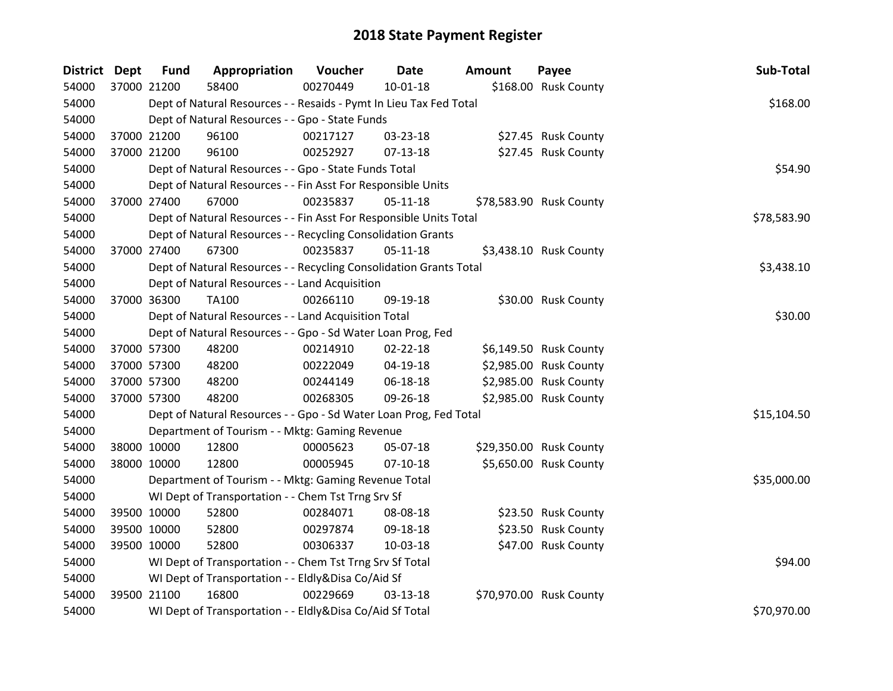| <b>District Dept</b> | <b>Fund</b> | Appropriation                                                      | Voucher  | <b>Date</b>    | <b>Amount</b> | Payee                   | Sub-Total   |
|----------------------|-------------|--------------------------------------------------------------------|----------|----------------|---------------|-------------------------|-------------|
| 54000                | 37000 21200 | 58400                                                              | 00270449 | $10 - 01 - 18$ |               | \$168.00 Rusk County    |             |
| 54000                |             | Dept of Natural Resources - - Resaids - Pymt In Lieu Tax Fed Total |          |                |               |                         | \$168.00    |
| 54000                |             | Dept of Natural Resources - - Gpo - State Funds                    |          |                |               |                         |             |
| 54000                | 37000 21200 | 96100                                                              | 00217127 | 03-23-18       |               | \$27.45 Rusk County     |             |
| 54000                | 37000 21200 | 96100                                                              | 00252927 | 07-13-18       |               | \$27.45 Rusk County     |             |
| 54000                |             | Dept of Natural Resources - - Gpo - State Funds Total              |          |                |               |                         | \$54.90     |
| 54000                |             | Dept of Natural Resources - - Fin Asst For Responsible Units       |          |                |               |                         |             |
| 54000                | 37000 27400 | 67000                                                              | 00235837 | 05-11-18       |               | \$78,583.90 Rusk County |             |
| 54000                |             | Dept of Natural Resources - - Fin Asst For Responsible Units Total |          |                |               |                         | \$78,583.90 |
| 54000                |             | Dept of Natural Resources - - Recycling Consolidation Grants       |          |                |               |                         |             |
| 54000                | 37000 27400 | 67300                                                              | 00235837 | $05 - 11 - 18$ |               | \$3,438.10 Rusk County  |             |
| 54000                |             | Dept of Natural Resources - - Recycling Consolidation Grants Total |          |                |               |                         | \$3,438.10  |
| 54000                |             | Dept of Natural Resources - - Land Acquisition                     |          |                |               |                         |             |
| 54000                | 37000 36300 | TA100                                                              | 00266110 | 09-19-18       |               | \$30.00 Rusk County     |             |
| 54000                |             | Dept of Natural Resources - - Land Acquisition Total               | \$30.00  |                |               |                         |             |
| 54000                |             | Dept of Natural Resources - - Gpo - Sd Water Loan Prog, Fed        |          |                |               |                         |             |
| 54000                | 37000 57300 | 48200                                                              | 00214910 | $02 - 22 - 18$ |               | \$6,149.50 Rusk County  |             |
| 54000                | 37000 57300 | 48200                                                              | 00222049 | 04-19-18       |               | \$2,985.00 Rusk County  |             |
| 54000                | 37000 57300 | 48200                                                              | 00244149 | 06-18-18       |               | \$2,985.00 Rusk County  |             |
| 54000                | 37000 57300 | 48200                                                              | 00268305 | 09-26-18       |               | \$2,985.00 Rusk County  |             |
| 54000                |             | Dept of Natural Resources - - Gpo - Sd Water Loan Prog, Fed Total  |          |                |               |                         | \$15,104.50 |
| 54000                |             | Department of Tourism - - Mktg: Gaming Revenue                     |          |                |               |                         |             |
| 54000                | 38000 10000 | 12800                                                              | 00005623 | 05-07-18       |               | \$29,350.00 Rusk County |             |
| 54000                | 38000 10000 | 12800                                                              | 00005945 | $07-10-18$     |               | \$5,650.00 Rusk County  |             |
| 54000                |             | Department of Tourism - - Mktg: Gaming Revenue Total               |          |                |               |                         | \$35,000.00 |
| 54000                |             | WI Dept of Transportation - - Chem Tst Trng Srv Sf                 |          |                |               |                         |             |
| 54000                | 39500 10000 | 52800                                                              | 00284071 | 08-08-18       |               | \$23.50 Rusk County     |             |
| 54000                | 39500 10000 | 52800                                                              | 00297874 | 09-18-18       |               | \$23.50 Rusk County     |             |
| 54000                | 39500 10000 | 52800                                                              | 00306337 | 10-03-18       |               | \$47.00 Rusk County     |             |
| 54000                |             | WI Dept of Transportation - - Chem Tst Trng Srv Sf Total           |          |                |               |                         | \$94.00     |
| 54000                |             | WI Dept of Transportation - - Eldly&Disa Co/Aid Sf                 |          |                |               |                         |             |
| 54000                | 39500 21100 | 16800                                                              | 00229669 | $03 - 13 - 18$ |               | \$70,970.00 Rusk County |             |
| 54000                |             | WI Dept of Transportation - - Eldly&Disa Co/Aid Sf Total           |          |                |               |                         | \$70,970.00 |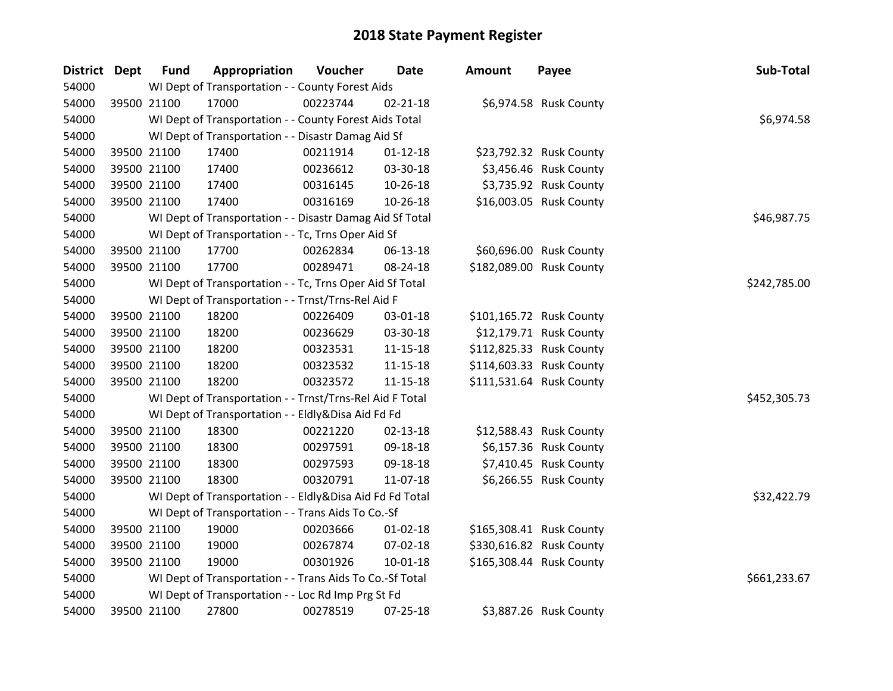| District Dept | <b>Fund</b> | Appropriation                                            | Voucher  | <b>Date</b>    | <b>Amount</b> | Payee                    | Sub-Total    |
|---------------|-------------|----------------------------------------------------------|----------|----------------|---------------|--------------------------|--------------|
| 54000         |             | WI Dept of Transportation - - County Forest Aids         |          |                |               |                          |              |
| 54000         | 39500 21100 | 17000                                                    | 00223744 | $02 - 21 - 18$ |               | \$6,974.58 Rusk County   |              |
| 54000         |             | WI Dept of Transportation - - County Forest Aids Total   |          |                |               |                          | \$6,974.58   |
| 54000         |             | WI Dept of Transportation - - Disastr Damag Aid Sf       |          |                |               |                          |              |
| 54000         | 39500 21100 | 17400                                                    | 00211914 | $01 - 12 - 18$ |               | \$23,792.32 Rusk County  |              |
| 54000         | 39500 21100 | 17400                                                    | 00236612 | 03-30-18       |               | \$3,456.46 Rusk County   |              |
| 54000         | 39500 21100 | 17400                                                    | 00316145 | 10-26-18       |               | \$3,735.92 Rusk County   |              |
| 54000         | 39500 21100 | 17400                                                    | 00316169 | 10-26-18       |               | \$16,003.05 Rusk County  |              |
| 54000         |             | WI Dept of Transportation - - Disastr Damag Aid Sf Total |          |                |               |                          | \$46,987.75  |
| 54000         |             | WI Dept of Transportation - - Tc, Trns Oper Aid Sf       |          |                |               |                          |              |
| 54000         | 39500 21100 | 17700                                                    | 00262834 | 06-13-18       |               | \$60,696.00 Rusk County  |              |
| 54000         | 39500 21100 | 17700                                                    | 00289471 | 08-24-18       |               | \$182,089.00 Rusk County |              |
| 54000         |             | WI Dept of Transportation - - Tc, Trns Oper Aid Sf Total |          |                |               |                          | \$242,785.00 |
| 54000         |             | WI Dept of Transportation - - Trnst/Trns-Rel Aid F       |          |                |               |                          |              |
| 54000         | 39500 21100 | 18200                                                    | 00226409 | 03-01-18       |               | \$101,165.72 Rusk County |              |
| 54000         | 39500 21100 | 18200                                                    | 00236629 | 03-30-18       |               | \$12,179.71 Rusk County  |              |
| 54000         | 39500 21100 | 18200                                                    | 00323531 | $11 - 15 - 18$ |               | \$112,825.33 Rusk County |              |
| 54000         | 39500 21100 | 18200                                                    | 00323532 | 11-15-18       |               | \$114,603.33 Rusk County |              |
| 54000         | 39500 21100 | 18200                                                    | 00323572 | $11 - 15 - 18$ |               | \$111,531.64 Rusk County |              |
| 54000         |             | WI Dept of Transportation - - Trnst/Trns-Rel Aid F Total |          |                |               |                          | \$452,305.73 |
| 54000         |             | WI Dept of Transportation - - Eldly&Disa Aid Fd Fd       |          |                |               |                          |              |
| 54000         | 39500 21100 | 18300                                                    | 00221220 | 02-13-18       |               | \$12,588.43 Rusk County  |              |
| 54000         | 39500 21100 | 18300                                                    | 00297591 | 09-18-18       |               | \$6,157.36 Rusk County   |              |
| 54000         | 39500 21100 | 18300                                                    | 00297593 | 09-18-18       |               | \$7,410.45 Rusk County   |              |
| 54000         | 39500 21100 | 18300                                                    | 00320791 | 11-07-18       |               | \$6,266.55 Rusk County   |              |
| 54000         |             | WI Dept of Transportation - - Eldly&Disa Aid Fd Fd Total |          |                |               |                          | \$32,422.79  |
| 54000         |             | WI Dept of Transportation - - Trans Aids To Co.-Sf       |          |                |               |                          |              |
| 54000         | 39500 21100 | 19000                                                    | 00203666 | $01 - 02 - 18$ |               | \$165,308.41 Rusk County |              |
| 54000         | 39500 21100 | 19000                                                    | 00267874 | 07-02-18       |               | \$330,616.82 Rusk County |              |
| 54000         | 39500 21100 | 19000                                                    | 00301926 | $10 - 01 - 18$ |               | \$165,308.44 Rusk County |              |
| 54000         |             | WI Dept of Transportation - - Trans Aids To Co.-Sf Total |          |                |               |                          | \$661,233.67 |
| 54000         |             | WI Dept of Transportation - - Loc Rd Imp Prg St Fd       |          |                |               |                          |              |
| 54000         | 39500 21100 | 27800                                                    | 00278519 | $07 - 25 - 18$ |               | \$3,887.26 Rusk County   |              |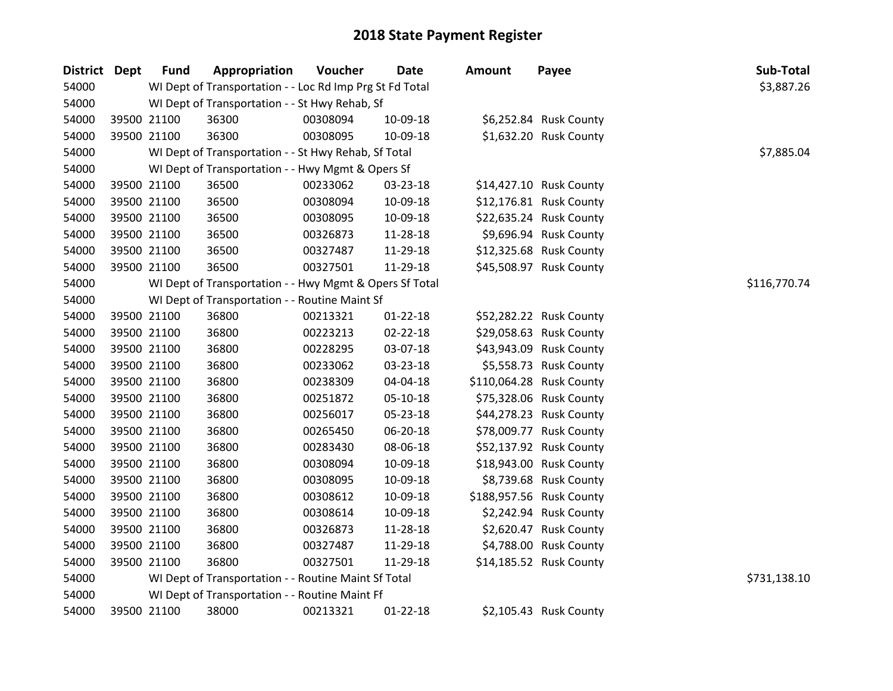| District Dept | <b>Fund</b> | Appropriation                                            | <b>Voucher</b> | <b>Date</b>    | <b>Amount</b> | Payee                    | Sub-Total    |
|---------------|-------------|----------------------------------------------------------|----------------|----------------|---------------|--------------------------|--------------|
| 54000         |             | WI Dept of Transportation - - Loc Rd Imp Prg St Fd Total |                |                |               |                          | \$3,887.26   |
| 54000         |             | WI Dept of Transportation - - St Hwy Rehab, Sf           |                |                |               |                          |              |
| 54000         | 39500 21100 | 36300                                                    | 00308094       | 10-09-18       |               | \$6,252.84 Rusk County   |              |
| 54000         | 39500 21100 | 36300                                                    | 00308095       | 10-09-18       |               | \$1,632.20 Rusk County   |              |
| 54000         |             | WI Dept of Transportation - - St Hwy Rehab, Sf Total     |                |                |               |                          | \$7,885.04   |
| 54000         |             | WI Dept of Transportation - - Hwy Mgmt & Opers Sf        |                |                |               |                          |              |
| 54000         | 39500 21100 | 36500                                                    | 00233062       | 03-23-18       |               | \$14,427.10 Rusk County  |              |
| 54000         | 39500 21100 | 36500                                                    | 00308094       | 10-09-18       |               | \$12,176.81 Rusk County  |              |
| 54000         | 39500 21100 | 36500                                                    | 00308095       | 10-09-18       |               | \$22,635.24 Rusk County  |              |
| 54000         | 39500 21100 | 36500                                                    | 00326873       | 11-28-18       |               | \$9,696.94 Rusk County   |              |
| 54000         | 39500 21100 | 36500                                                    | 00327487       | 11-29-18       |               | \$12,325.68 Rusk County  |              |
| 54000         | 39500 21100 | 36500                                                    | 00327501       | 11-29-18       |               | \$45,508.97 Rusk County  |              |
| 54000         |             | WI Dept of Transportation - - Hwy Mgmt & Opers Sf Total  |                |                |               |                          | \$116,770.74 |
| 54000         |             | WI Dept of Transportation - - Routine Maint Sf           |                |                |               |                          |              |
| 54000         | 39500 21100 | 36800                                                    | 00213321       | $01 - 22 - 18$ |               | \$52,282.22 Rusk County  |              |
| 54000         | 39500 21100 | 36800                                                    | 00223213       | 02-22-18       |               | \$29,058.63 Rusk County  |              |
| 54000         | 39500 21100 | 36800                                                    | 00228295       | 03-07-18       |               | \$43,943.09 Rusk County  |              |
| 54000         | 39500 21100 | 36800                                                    | 00233062       | 03-23-18       |               | \$5,558.73 Rusk County   |              |
| 54000         | 39500 21100 | 36800                                                    | 00238309       | 04-04-18       |               | \$110,064.28 Rusk County |              |
| 54000         | 39500 21100 | 36800                                                    | 00251872       | 05-10-18       |               | \$75,328.06 Rusk County  |              |
| 54000         | 39500 21100 | 36800                                                    | 00256017       | 05-23-18       |               | \$44,278.23 Rusk County  |              |
| 54000         | 39500 21100 | 36800                                                    | 00265450       | 06-20-18       |               | \$78,009.77 Rusk County  |              |
| 54000         | 39500 21100 | 36800                                                    | 00283430       | 08-06-18       |               | \$52,137.92 Rusk County  |              |
| 54000         | 39500 21100 | 36800                                                    | 00308094       | 10-09-18       |               | \$18,943.00 Rusk County  |              |
| 54000         | 39500 21100 | 36800                                                    | 00308095       | 10-09-18       |               | \$8,739.68 Rusk County   |              |
| 54000         | 39500 21100 | 36800                                                    | 00308612       | 10-09-18       |               | \$188,957.56 Rusk County |              |
| 54000         | 39500 21100 | 36800                                                    | 00308614       | 10-09-18       |               | \$2,242.94 Rusk County   |              |
| 54000         | 39500 21100 | 36800                                                    | 00326873       | 11-28-18       |               | \$2,620.47 Rusk County   |              |
| 54000         | 39500 21100 | 36800                                                    | 00327487       | 11-29-18       |               | \$4,788.00 Rusk County   |              |
| 54000         | 39500 21100 | 36800                                                    | 00327501       | 11-29-18       |               | \$14,185.52 Rusk County  |              |
| 54000         |             | WI Dept of Transportation - - Routine Maint Sf Total     |                |                |               |                          | \$731,138.10 |
| 54000         |             | WI Dept of Transportation - - Routine Maint Ff           |                |                |               |                          |              |
| 54000         | 39500 21100 | 38000                                                    | 00213321       | $01 - 22 - 18$ |               | \$2,105.43 Rusk County   |              |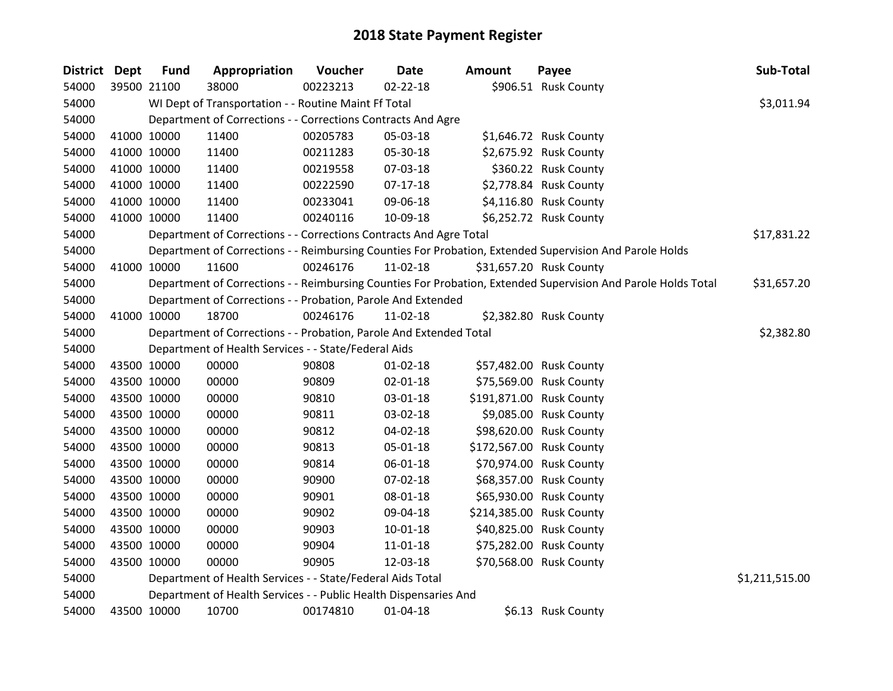| District Dept | <b>Fund</b> | Appropriation                                                      | Voucher  | <b>Date</b>    | <b>Amount</b> | Payee                                                                                                         | Sub-Total      |
|---------------|-------------|--------------------------------------------------------------------|----------|----------------|---------------|---------------------------------------------------------------------------------------------------------------|----------------|
| 54000         | 39500 21100 | 38000                                                              | 00223213 | 02-22-18       |               | \$906.51 Rusk County                                                                                          |                |
| 54000         |             | WI Dept of Transportation - - Routine Maint Ff Total               |          |                |               |                                                                                                               | \$3,011.94     |
| 54000         |             | Department of Corrections - - Corrections Contracts And Agre       |          |                |               |                                                                                                               |                |
| 54000         | 41000 10000 | 11400                                                              | 00205783 | 05-03-18       |               | \$1,646.72 Rusk County                                                                                        |                |
| 54000         | 41000 10000 | 11400                                                              | 00211283 | 05-30-18       |               | \$2,675.92 Rusk County                                                                                        |                |
| 54000         | 41000 10000 | 11400                                                              | 00219558 | 07-03-18       |               | \$360.22 Rusk County                                                                                          |                |
| 54000         | 41000 10000 | 11400                                                              | 00222590 | $07-17-18$     |               | \$2,778.84 Rusk County                                                                                        |                |
| 54000         | 41000 10000 | 11400                                                              | 00233041 | 09-06-18       |               | \$4,116.80 Rusk County                                                                                        |                |
| 54000         | 41000 10000 | 11400                                                              | 00240116 | 10-09-18       |               | \$6,252.72 Rusk County                                                                                        |                |
| 54000         |             | Department of Corrections - - Corrections Contracts And Agre Total |          |                |               |                                                                                                               | \$17,831.22    |
| 54000         |             |                                                                    |          |                |               | Department of Corrections - - Reimbursing Counties For Probation, Extended Supervision And Parole Holds       |                |
| 54000         | 41000 10000 | 11600                                                              | 00246176 | 11-02-18       |               | \$31,657.20 Rusk County                                                                                       |                |
| 54000         |             |                                                                    |          |                |               | Department of Corrections - - Reimbursing Counties For Probation, Extended Supervision And Parole Holds Total | \$31,657.20    |
| 54000         |             | Department of Corrections - - Probation, Parole And Extended       |          |                |               |                                                                                                               |                |
| 54000         | 41000 10000 | 18700                                                              | 00246176 | 11-02-18       |               | \$2,382.80 Rusk County                                                                                        |                |
| 54000         |             | Department of Corrections - - Probation, Parole And Extended Total |          |                |               |                                                                                                               | \$2,382.80     |
| 54000         |             | Department of Health Services - - State/Federal Aids               |          |                |               |                                                                                                               |                |
| 54000         | 43500 10000 | 00000                                                              | 90808    | $01 - 02 - 18$ |               | \$57,482.00 Rusk County                                                                                       |                |
| 54000         | 43500 10000 | 00000                                                              | 90809    | 02-01-18       |               | \$75,569.00 Rusk County                                                                                       |                |
| 54000         | 43500 10000 | 00000                                                              | 90810    | 03-01-18       |               | \$191,871.00 Rusk County                                                                                      |                |
| 54000         | 43500 10000 | 00000                                                              | 90811    | 03-02-18       |               | \$9,085.00 Rusk County                                                                                        |                |
| 54000         | 43500 10000 | 00000                                                              | 90812    | 04-02-18       |               | \$98,620.00 Rusk County                                                                                       |                |
| 54000         | 43500 10000 | 00000                                                              | 90813    | 05-01-18       |               | \$172,567.00 Rusk County                                                                                      |                |
| 54000         | 43500 10000 | 00000                                                              | 90814    | 06-01-18       |               | \$70,974.00 Rusk County                                                                                       |                |
| 54000         | 43500 10000 | 00000                                                              | 90900    | 07-02-18       |               | \$68,357.00 Rusk County                                                                                       |                |
| 54000         | 43500 10000 | 00000                                                              | 90901    | 08-01-18       |               | \$65,930.00 Rusk County                                                                                       |                |
| 54000         | 43500 10000 | 00000                                                              | 90902    | 09-04-18       |               | \$214,385.00 Rusk County                                                                                      |                |
| 54000         | 43500 10000 | 00000                                                              | 90903    | 10-01-18       |               | \$40,825.00 Rusk County                                                                                       |                |
| 54000         | 43500 10000 | 00000                                                              | 90904    | 11-01-18       |               | \$75,282.00 Rusk County                                                                                       |                |
| 54000         | 43500 10000 | 00000                                                              | 90905    | 12-03-18       |               | \$70,568.00 Rusk County                                                                                       |                |
| 54000         |             | Department of Health Services - - State/Federal Aids Total         |          |                |               |                                                                                                               | \$1,211,515.00 |
| 54000         |             | Department of Health Services - - Public Health Dispensaries And   |          |                |               |                                                                                                               |                |
| 54000         | 43500 10000 | 10700                                                              | 00174810 | $01 - 04 - 18$ |               | \$6.13 Rusk County                                                                                            |                |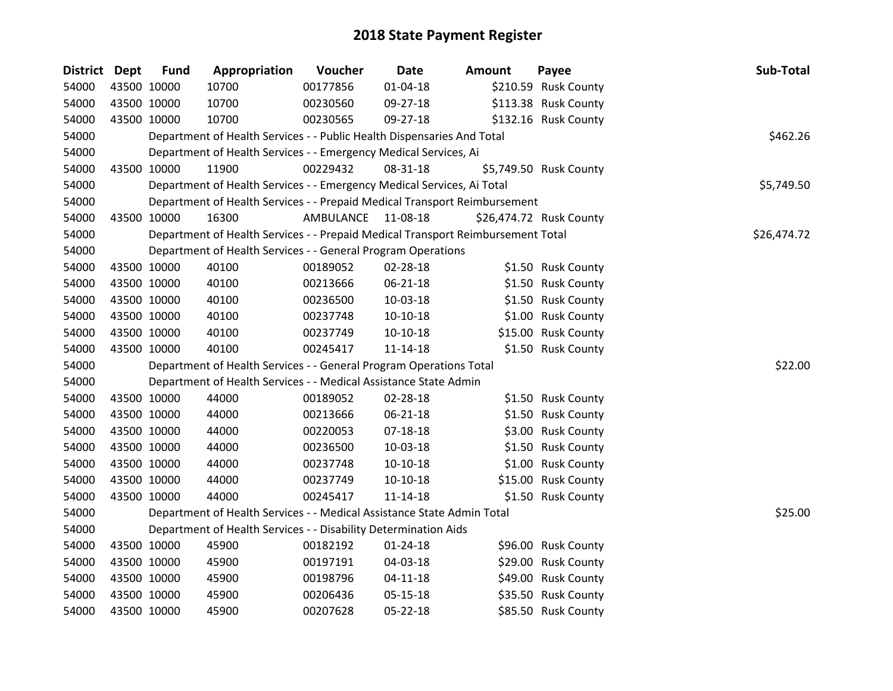| <b>District Dept</b> | <b>Fund</b> | Appropriation                                                                   | Voucher            | Date           | <b>Amount</b> | Payee                   | Sub-Total   |
|----------------------|-------------|---------------------------------------------------------------------------------|--------------------|----------------|---------------|-------------------------|-------------|
| 54000                | 43500 10000 | 10700                                                                           | 00177856           | $01 - 04 - 18$ |               | \$210.59 Rusk County    |             |
| 54000                | 43500 10000 | 10700                                                                           | 00230560           | 09-27-18       |               | \$113.38 Rusk County    |             |
| 54000                | 43500 10000 | 10700                                                                           | 00230565           | 09-27-18       |               | \$132.16 Rusk County    |             |
| 54000                |             | Department of Health Services - - Public Health Dispensaries And Total          |                    |                |               |                         | \$462.26    |
| 54000                |             | Department of Health Services - - Emergency Medical Services, Ai                |                    |                |               |                         |             |
| 54000                | 43500 10000 | 11900                                                                           | 00229432           | 08-31-18       |               | \$5,749.50 Rusk County  |             |
| 54000                |             | Department of Health Services - - Emergency Medical Services, Ai Total          |                    |                |               |                         | \$5,749.50  |
| 54000                |             | Department of Health Services - - Prepaid Medical Transport Reimbursement       |                    |                |               |                         |             |
| 54000                | 43500 10000 | 16300                                                                           | AMBULANCE 11-08-18 |                |               | \$26,474.72 Rusk County |             |
| 54000                |             | Department of Health Services - - Prepaid Medical Transport Reimbursement Total |                    |                |               |                         | \$26,474.72 |
| 54000                |             | Department of Health Services - - General Program Operations                    |                    |                |               |                         |             |
| 54000                | 43500 10000 | 40100                                                                           | 00189052           | 02-28-18       |               | \$1.50 Rusk County      |             |
| 54000                | 43500 10000 | 40100                                                                           | 00213666           | 06-21-18       |               | \$1.50 Rusk County      |             |
| 54000                | 43500 10000 | 40100                                                                           | 00236500           | 10-03-18       |               | \$1.50 Rusk County      |             |
| 54000                | 43500 10000 | 40100                                                                           | 00237748           | $10-10-18$     |               | \$1.00 Rusk County      |             |
| 54000                | 43500 10000 | 40100                                                                           | 00237749           | $10-10-18$     |               | \$15.00 Rusk County     |             |
| 54000                | 43500 10000 | 40100                                                                           | 00245417           | $11 - 14 - 18$ |               | \$1.50 Rusk County      |             |
| 54000                |             | Department of Health Services - - General Program Operations Total              |                    |                |               |                         | \$22.00     |
| 54000                |             | Department of Health Services - - Medical Assistance State Admin                |                    |                |               |                         |             |
| 54000                | 43500 10000 | 44000                                                                           | 00189052           | 02-28-18       |               | \$1.50 Rusk County      |             |
| 54000                | 43500 10000 | 44000                                                                           | 00213666           | $06 - 21 - 18$ |               | \$1.50 Rusk County      |             |
| 54000                | 43500 10000 | 44000                                                                           | 00220053           | $07 - 18 - 18$ |               | \$3.00 Rusk County      |             |
| 54000                | 43500 10000 | 44000                                                                           | 00236500           | 10-03-18       |               | \$1.50 Rusk County      |             |
| 54000                | 43500 10000 | 44000                                                                           | 00237748           | $10-10-18$     |               | \$1.00 Rusk County      |             |
| 54000                | 43500 10000 | 44000                                                                           | 00237749           | $10-10-18$     |               | \$15.00 Rusk County     |             |
| 54000                | 43500 10000 | 44000                                                                           | 00245417           | $11 - 14 - 18$ |               | \$1.50 Rusk County      |             |
| 54000                |             | Department of Health Services - - Medical Assistance State Admin Total          |                    |                |               |                         | \$25.00     |
| 54000                |             | Department of Health Services - - Disability Determination Aids                 |                    |                |               |                         |             |
| 54000                | 43500 10000 | 45900                                                                           | 00182192           | $01 - 24 - 18$ |               | \$96.00 Rusk County     |             |
| 54000                | 43500 10000 | 45900                                                                           | 00197191           | 04-03-18       |               | \$29.00 Rusk County     |             |
| 54000                | 43500 10000 | 45900                                                                           | 00198796           | $04 - 11 - 18$ |               | \$49.00 Rusk County     |             |
| 54000                | 43500 10000 | 45900                                                                           | 00206436           | 05-15-18       |               | \$35.50 Rusk County     |             |
| 54000                | 43500 10000 | 45900                                                                           | 00207628           | 05-22-18       |               | \$85.50 Rusk County     |             |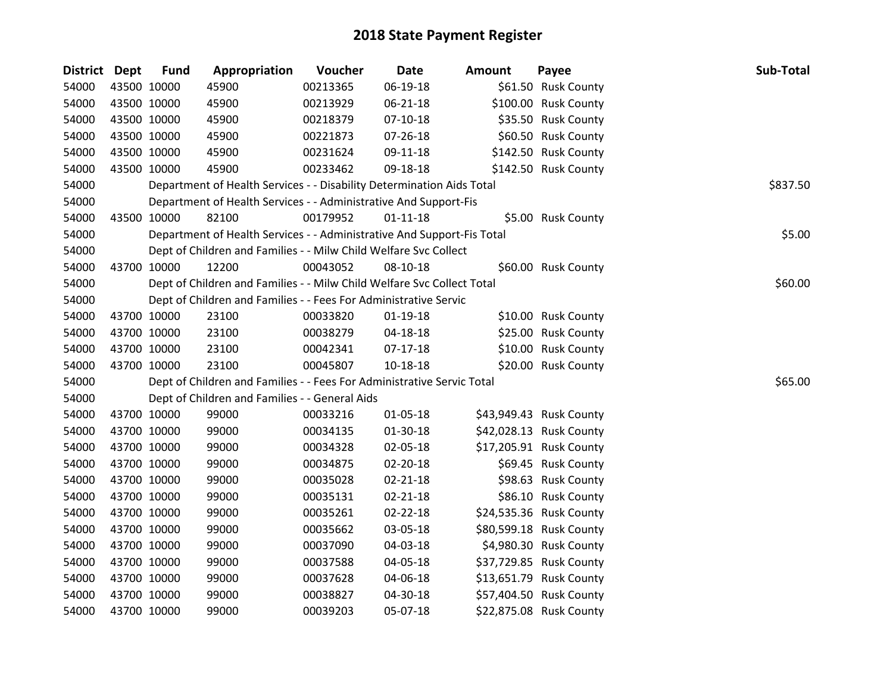| <b>District Dept</b> |             | <b>Fund</b> | Appropriation                                                          | Voucher  | <b>Date</b>    | <b>Amount</b> | Payee                   | Sub-Total |
|----------------------|-------------|-------------|------------------------------------------------------------------------|----------|----------------|---------------|-------------------------|-----------|
| 54000                |             | 43500 10000 | 45900                                                                  | 00213365 | 06-19-18       |               | \$61.50 Rusk County     |           |
| 54000                |             | 43500 10000 | 45900                                                                  | 00213929 | 06-21-18       |               | \$100.00 Rusk County    |           |
| 54000                |             | 43500 10000 | 45900                                                                  | 00218379 | $07-10-18$     |               | \$35.50 Rusk County     |           |
| 54000                |             | 43500 10000 | 45900                                                                  | 00221873 | 07-26-18       |               | \$60.50 Rusk County     |           |
| 54000                |             | 43500 10000 | 45900                                                                  | 00231624 | 09-11-18       |               | \$142.50 Rusk County    |           |
| 54000                |             | 43500 10000 | 45900                                                                  | 00233462 | 09-18-18       |               | \$142.50 Rusk County    |           |
| 54000                |             |             | Department of Health Services - - Disability Determination Aids Total  |          |                |               |                         | \$837.50  |
| 54000                |             |             | Department of Health Services - - Administrative And Support-Fis       |          |                |               |                         |           |
| 54000                |             | 43500 10000 | 82100                                                                  | 00179952 | $01 - 11 - 18$ |               | \$5.00 Rusk County      |           |
| 54000                |             |             | Department of Health Services - - Administrative And Support-Fis Total |          |                |               |                         | \$5.00    |
| 54000                |             |             | Dept of Children and Families - - Milw Child Welfare Svc Collect       |          |                |               |                         |           |
| 54000                |             | 43700 10000 | 12200                                                                  | 00043052 | 08-10-18       |               | \$60.00 Rusk County     |           |
| 54000                |             |             | Dept of Children and Families - - Milw Child Welfare Svc Collect Total |          |                |               |                         | \$60.00   |
| 54000                |             |             | Dept of Children and Families - - Fees For Administrative Servic       |          |                |               |                         |           |
| 54000                |             | 43700 10000 | 23100                                                                  | 00033820 | $01-19-18$     |               | \$10.00 Rusk County     |           |
| 54000                |             | 43700 10000 | 23100                                                                  | 00038279 | $04 - 18 - 18$ |               | \$25.00 Rusk County     |           |
| 54000                |             | 43700 10000 | 23100                                                                  | 00042341 | $07-17-18$     |               | \$10.00 Rusk County     |           |
| 54000                |             | 43700 10000 | 23100                                                                  | 00045807 | 10-18-18       |               | \$20.00 Rusk County     |           |
| 54000                |             |             | Dept of Children and Families - - Fees For Administrative Servic Total |          |                |               |                         | \$65.00   |
| 54000                |             |             | Dept of Children and Families - - General Aids                         |          |                |               |                         |           |
| 54000                |             | 43700 10000 | 99000                                                                  | 00033216 | $01 - 05 - 18$ |               | \$43,949.43 Rusk County |           |
| 54000                |             | 43700 10000 | 99000                                                                  | 00034135 | 01-30-18       |               | \$42,028.13 Rusk County |           |
| 54000                |             | 43700 10000 | 99000                                                                  | 00034328 | 02-05-18       |               | \$17,205.91 Rusk County |           |
| 54000                |             | 43700 10000 | 99000                                                                  | 00034875 | 02-20-18       |               | \$69.45 Rusk County     |           |
| 54000                |             | 43700 10000 | 99000                                                                  | 00035028 | $02 - 21 - 18$ |               | \$98.63 Rusk County     |           |
| 54000                |             | 43700 10000 | 99000                                                                  | 00035131 | $02 - 21 - 18$ |               | \$86.10 Rusk County     |           |
| 54000                |             | 43700 10000 | 99000                                                                  | 00035261 | 02-22-18       |               | \$24,535.36 Rusk County |           |
| 54000                |             | 43700 10000 | 99000                                                                  | 00035662 | 03-05-18       |               | \$80,599.18 Rusk County |           |
| 54000                |             | 43700 10000 | 99000                                                                  | 00037090 | 04-03-18       |               | \$4,980.30 Rusk County  |           |
| 54000                |             | 43700 10000 | 99000                                                                  | 00037588 | 04-05-18       |               | \$37,729.85 Rusk County |           |
| 54000                |             | 43700 10000 | 99000                                                                  | 00037628 | 04-06-18       |               | \$13,651.79 Rusk County |           |
| 54000                |             | 43700 10000 | 99000                                                                  | 00038827 | 04-30-18       |               | \$57,404.50 Rusk County |           |
| 54000                | 43700 10000 |             | 99000                                                                  | 00039203 | 05-07-18       |               | \$22,875.08 Rusk County |           |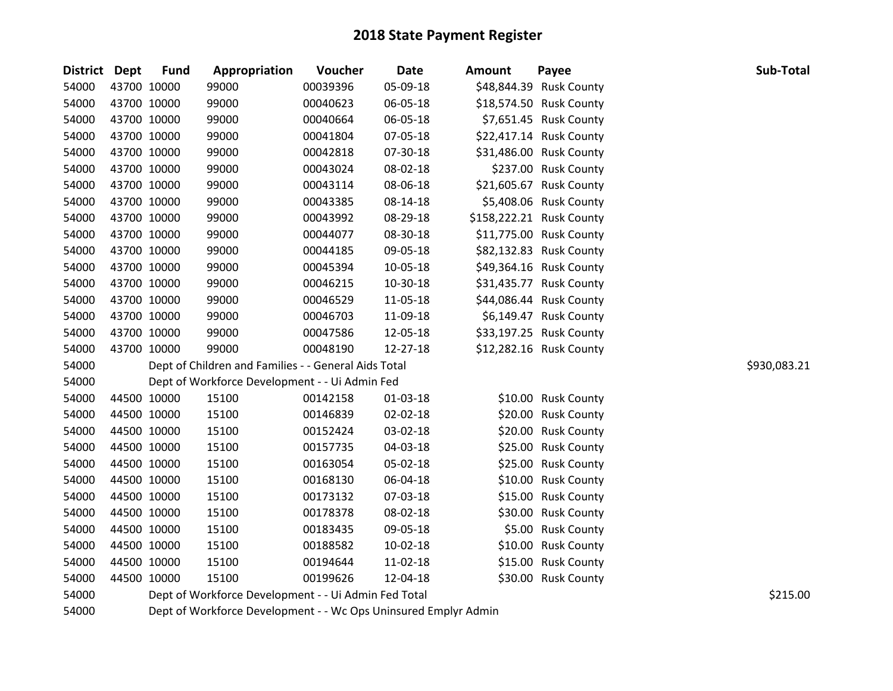| District Dept | <b>Fund</b> | Appropriation                                        | Voucher  | <b>Date</b> | <b>Amount</b> | Payee                    | Sub-Total    |
|---------------|-------------|------------------------------------------------------|----------|-------------|---------------|--------------------------|--------------|
| 54000         | 43700 10000 | 99000                                                | 00039396 | 05-09-18    |               | \$48,844.39 Rusk County  |              |
| 54000         | 43700 10000 | 99000                                                | 00040623 | 06-05-18    |               | \$18,574.50 Rusk County  |              |
| 54000         | 43700 10000 | 99000                                                | 00040664 | 06-05-18    |               | \$7,651.45 Rusk County   |              |
| 54000         | 43700 10000 | 99000                                                | 00041804 | 07-05-18    |               | \$22,417.14 Rusk County  |              |
| 54000         | 43700 10000 | 99000                                                | 00042818 | 07-30-18    |               | \$31,486.00 Rusk County  |              |
| 54000         | 43700 10000 | 99000                                                | 00043024 | 08-02-18    |               | \$237.00 Rusk County     |              |
| 54000         | 43700 10000 | 99000                                                | 00043114 | 08-06-18    |               | \$21,605.67 Rusk County  |              |
| 54000         | 43700 10000 | 99000                                                | 00043385 | 08-14-18    |               | \$5,408.06 Rusk County   |              |
| 54000         | 43700 10000 | 99000                                                | 00043992 | 08-29-18    |               | \$158,222.21 Rusk County |              |
| 54000         | 43700 10000 | 99000                                                | 00044077 | 08-30-18    |               | \$11,775.00 Rusk County  |              |
| 54000         | 43700 10000 | 99000                                                | 00044185 | 09-05-18    |               | \$82,132.83 Rusk County  |              |
| 54000         | 43700 10000 | 99000                                                | 00045394 | 10-05-18    |               | \$49,364.16 Rusk County  |              |
| 54000         | 43700 10000 | 99000                                                | 00046215 | 10-30-18    |               | \$31,435.77 Rusk County  |              |
| 54000         | 43700 10000 | 99000                                                | 00046529 | 11-05-18    |               | \$44,086.44 Rusk County  |              |
| 54000         | 43700 10000 | 99000                                                | 00046703 | 11-09-18    |               | \$6,149.47 Rusk County   |              |
| 54000         | 43700 10000 | 99000                                                | 00047586 | 12-05-18    |               | \$33,197.25 Rusk County  |              |
| 54000         | 43700 10000 | 99000                                                | 00048190 | 12-27-18    |               | \$12,282.16 Rusk County  |              |
| 54000         |             | Dept of Children and Families - - General Aids Total |          |             |               |                          | \$930,083.21 |
| 54000         |             | Dept of Workforce Development - - Ui Admin Fed       |          |             |               |                          |              |
| 54000         | 44500 10000 | 15100                                                | 00142158 | 01-03-18    |               | \$10.00 Rusk County      |              |
| 54000         | 44500 10000 | 15100                                                | 00146839 | 02-02-18    |               | \$20.00 Rusk County      |              |
| 54000         | 44500 10000 | 15100                                                | 00152424 | 03-02-18    |               | \$20.00 Rusk County      |              |
| 54000         | 44500 10000 | 15100                                                | 00157735 | 04-03-18    |               | \$25.00 Rusk County      |              |
| 54000         | 44500 10000 | 15100                                                | 00163054 | 05-02-18    |               | \$25.00 Rusk County      |              |
| 54000         | 44500 10000 | 15100                                                | 00168130 | 06-04-18    |               | \$10.00 Rusk County      |              |
| 54000         | 44500 10000 | 15100                                                | 00173132 | 07-03-18    |               | \$15.00 Rusk County      |              |
| 54000         | 44500 10000 | 15100                                                | 00178378 | 08-02-18    |               | \$30.00 Rusk County      |              |
| 54000         | 44500 10000 | 15100                                                | 00183435 | 09-05-18    |               | \$5.00 Rusk County       |              |
| 54000         | 44500 10000 | 15100                                                | 00188582 | 10-02-18    |               | \$10.00 Rusk County      |              |
| 54000         | 44500 10000 | 15100                                                | 00194644 | 11-02-18    |               | \$15.00 Rusk County      |              |
| 54000         | 44500 10000 | 15100                                                | 00199626 | 12-04-18    |               | \$30.00 Rusk County      |              |
| 54000         |             | Dept of Workforce Development - - Ui Admin Fed Total |          |             |               |                          | \$215.00     |
| F A Q Q Q     |             |                                                      |          |             |               |                          |              |

Dept of Workforce Development - - Wc Ops Uninsured Emplyr Admin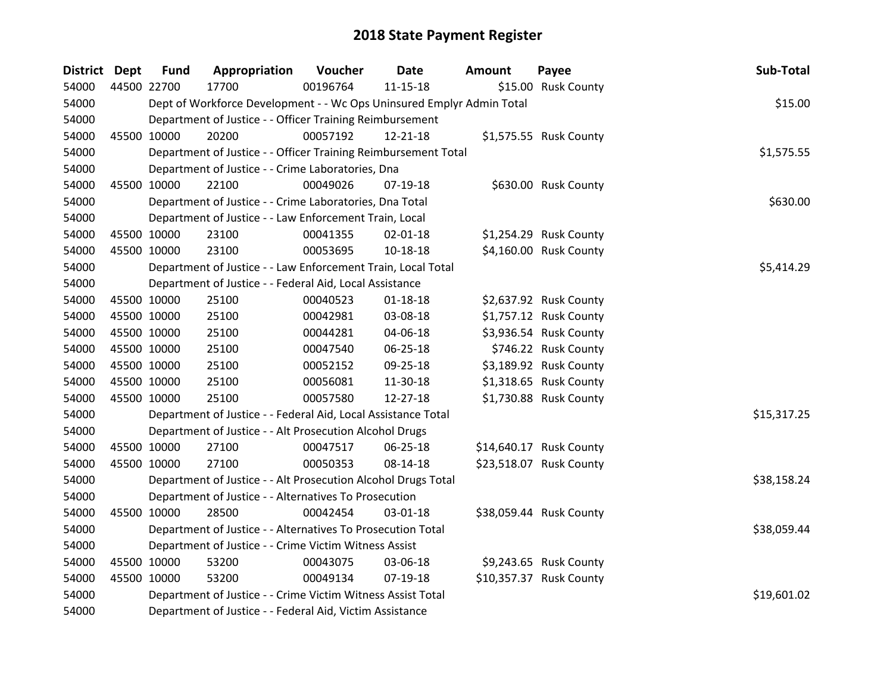| District Dept | <b>Fund</b> | Appropriation                                                         | Voucher  | <b>Date</b>    | <b>Amount</b> | Payee                   | Sub-Total   |
|---------------|-------------|-----------------------------------------------------------------------|----------|----------------|---------------|-------------------------|-------------|
| 54000         | 44500 22700 | 17700                                                                 | 00196764 | $11 - 15 - 18$ |               | \$15.00 Rusk County     |             |
| 54000         |             | Dept of Workforce Development - - Wc Ops Uninsured Emplyr Admin Total |          |                |               |                         | \$15.00     |
| 54000         |             | Department of Justice - - Officer Training Reimbursement              |          |                |               |                         |             |
| 54000         | 45500 10000 | 20200                                                                 | 00057192 | 12-21-18       |               | \$1,575.55 Rusk County  |             |
| 54000         |             | Department of Justice - - Officer Training Reimbursement Total        |          |                |               |                         | \$1,575.55  |
| 54000         |             | Department of Justice - - Crime Laboratories, Dna                     |          |                |               |                         |             |
| 54000         | 45500 10000 | 22100                                                                 | 00049026 | 07-19-18       |               | \$630.00 Rusk County    |             |
| 54000         |             | Department of Justice - - Crime Laboratories, Dna Total               |          |                |               |                         | \$630.00    |
| 54000         |             | Department of Justice - - Law Enforcement Train, Local                |          |                |               |                         |             |
| 54000         | 45500 10000 | 23100                                                                 | 00041355 | 02-01-18       |               | \$1,254.29 Rusk County  |             |
| 54000         | 45500 10000 | 23100                                                                 | 00053695 | 10-18-18       |               | \$4,160.00 Rusk County  |             |
| 54000         |             | Department of Justice - - Law Enforcement Train, Local Total          |          |                |               |                         | \$5,414.29  |
| 54000         |             | Department of Justice - - Federal Aid, Local Assistance               |          |                |               |                         |             |
| 54000         | 45500 10000 | 25100                                                                 | 00040523 | $01 - 18 - 18$ |               | \$2,637.92 Rusk County  |             |
| 54000         | 45500 10000 | 25100                                                                 | 00042981 | 03-08-18       |               | \$1,757.12 Rusk County  |             |
| 54000         | 45500 10000 | 25100                                                                 | 00044281 | 04-06-18       |               | \$3,936.54 Rusk County  |             |
| 54000         | 45500 10000 | 25100                                                                 | 00047540 | 06-25-18       |               | \$746.22 Rusk County    |             |
| 54000         | 45500 10000 | 25100                                                                 | 00052152 | 09-25-18       |               | \$3,189.92 Rusk County  |             |
| 54000         | 45500 10000 | 25100                                                                 | 00056081 | 11-30-18       |               | \$1,318.65 Rusk County  |             |
| 54000         | 45500 10000 | 25100                                                                 | 00057580 | 12-27-18       |               | \$1,730.88 Rusk County  |             |
| 54000         |             | Department of Justice - - Federal Aid, Local Assistance Total         |          |                |               |                         | \$15,317.25 |
| 54000         |             | Department of Justice - - Alt Prosecution Alcohol Drugs               |          |                |               |                         |             |
| 54000         | 45500 10000 | 27100                                                                 | 00047517 | 06-25-18       |               | \$14,640.17 Rusk County |             |
| 54000         | 45500 10000 | 27100                                                                 | 00050353 | 08-14-18       |               | \$23,518.07 Rusk County |             |
| 54000         |             | Department of Justice - - Alt Prosecution Alcohol Drugs Total         |          |                |               |                         | \$38,158.24 |
| 54000         |             | Department of Justice - - Alternatives To Prosecution                 |          |                |               |                         |             |
| 54000         | 45500 10000 | 28500                                                                 | 00042454 | 03-01-18       |               | \$38,059.44 Rusk County |             |
| 54000         |             | Department of Justice - - Alternatives To Prosecution Total           |          |                |               |                         | \$38,059.44 |
| 54000         |             | Department of Justice - - Crime Victim Witness Assist                 |          |                |               |                         |             |
| 54000         | 45500 10000 | 53200                                                                 | 00043075 | 03-06-18       |               | \$9,243.65 Rusk County  |             |
| 54000         | 45500 10000 | 53200                                                                 | 00049134 | 07-19-18       |               | \$10,357.37 Rusk County |             |
| 54000         |             | Department of Justice - - Crime Victim Witness Assist Total           |          |                |               |                         | \$19,601.02 |
| 54000         |             | Department of Justice - - Federal Aid, Victim Assistance              |          |                |               |                         |             |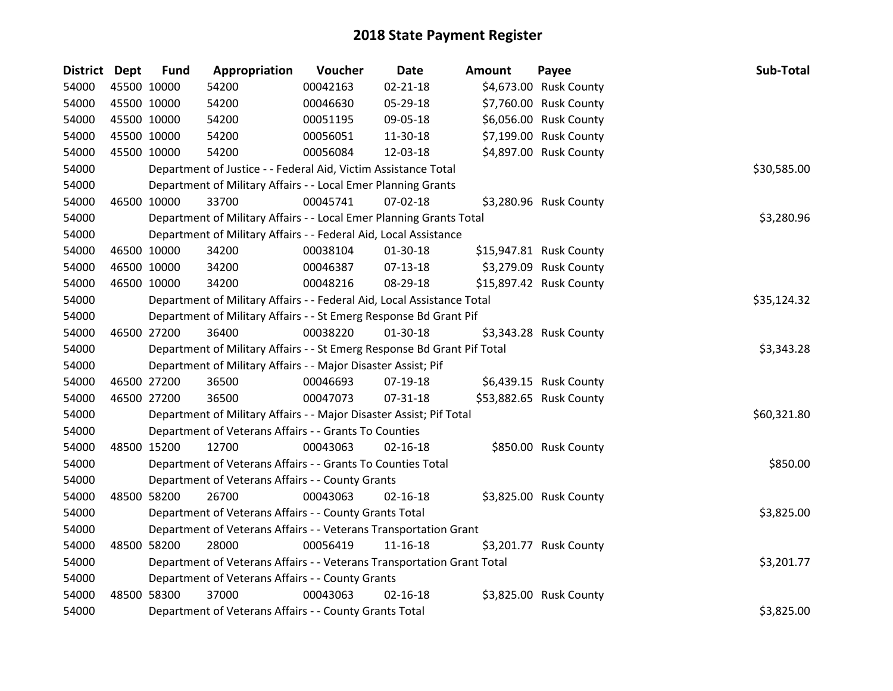| <b>District</b> | <b>Dept</b> | <b>Fund</b> | Appropriation                                                           | Voucher  | <b>Date</b>    | <b>Amount</b> | Payee                   | Sub-Total   |
|-----------------|-------------|-------------|-------------------------------------------------------------------------|----------|----------------|---------------|-------------------------|-------------|
| 54000           |             | 45500 10000 | 54200                                                                   | 00042163 | $02 - 21 - 18$ |               | \$4,673.00 Rusk County  |             |
| 54000           |             | 45500 10000 | 54200                                                                   | 00046630 | 05-29-18       |               | \$7,760.00 Rusk County  |             |
| 54000           |             | 45500 10000 | 54200                                                                   | 00051195 | 09-05-18       |               | \$6,056.00 Rusk County  |             |
| 54000           |             | 45500 10000 | 54200                                                                   | 00056051 | 11-30-18       |               | \$7,199.00 Rusk County  |             |
| 54000           |             | 45500 10000 | 54200                                                                   | 00056084 | 12-03-18       |               | \$4,897.00 Rusk County  |             |
| 54000           |             |             | Department of Justice - - Federal Aid, Victim Assistance Total          |          |                |               |                         | \$30,585.00 |
| 54000           |             |             | Department of Military Affairs - - Local Emer Planning Grants           |          |                |               |                         |             |
| 54000           |             | 46500 10000 | 33700                                                                   | 00045741 | 07-02-18       |               | \$3,280.96 Rusk County  |             |
| 54000           |             |             | Department of Military Affairs - - Local Emer Planning Grants Total     |          |                |               |                         | \$3,280.96  |
| 54000           |             |             | Department of Military Affairs - - Federal Aid, Local Assistance        |          |                |               |                         |             |
| 54000           |             | 46500 10000 | 34200                                                                   | 00038104 | 01-30-18       |               | \$15,947.81 Rusk County |             |
| 54000           |             | 46500 10000 | 34200                                                                   | 00046387 | $07-13-18$     |               | \$3,279.09 Rusk County  |             |
| 54000           |             | 46500 10000 | 34200                                                                   | 00048216 | 08-29-18       |               | \$15,897.42 Rusk County |             |
| 54000           |             |             | Department of Military Affairs - - Federal Aid, Local Assistance Total  |          |                |               |                         | \$35,124.32 |
| 54000           |             |             | Department of Military Affairs - - St Emerg Response Bd Grant Pif       |          |                |               |                         |             |
| 54000           |             | 46500 27200 | 36400                                                                   | 00038220 | $01-30-18$     |               | \$3,343.28 Rusk County  |             |
| 54000           |             |             | Department of Military Affairs - - St Emerg Response Bd Grant Pif Total |          |                |               |                         | \$3,343.28  |
| 54000           |             |             | Department of Military Affairs - - Major Disaster Assist; Pif           |          |                |               |                         |             |
| 54000           |             | 46500 27200 | 36500                                                                   | 00046693 | 07-19-18       |               | \$6,439.15 Rusk County  |             |
| 54000           |             | 46500 27200 | 36500                                                                   | 00047073 | 07-31-18       |               | \$53,882.65 Rusk County |             |
| 54000           |             |             | Department of Military Affairs - - Major Disaster Assist; Pif Total     |          |                |               |                         | \$60,321.80 |
| 54000           |             |             | Department of Veterans Affairs - - Grants To Counties                   |          |                |               |                         |             |
| 54000           |             | 48500 15200 | 12700                                                                   | 00043063 | $02 - 16 - 18$ |               | \$850.00 Rusk County    |             |
| 54000           |             |             | Department of Veterans Affairs - - Grants To Counties Total             |          |                |               |                         | \$850.00    |
| 54000           |             |             | Department of Veterans Affairs - - County Grants                        |          |                |               |                         |             |
| 54000           |             | 48500 58200 | 26700                                                                   | 00043063 | $02 - 16 - 18$ |               | \$3,825.00 Rusk County  |             |
| 54000           |             |             | Department of Veterans Affairs - - County Grants Total                  |          |                |               |                         | \$3,825.00  |
| 54000           |             |             | Department of Veterans Affairs - - Veterans Transportation Grant        |          |                |               |                         |             |
| 54000           |             | 48500 58200 | 28000                                                                   | 00056419 | 11-16-18       |               | \$3,201.77 Rusk County  |             |
| 54000           |             |             | Department of Veterans Affairs - - Veterans Transportation Grant Total  |          |                |               |                         | \$3,201.77  |
| 54000           |             |             | Department of Veterans Affairs - - County Grants                        |          |                |               |                         |             |
| 54000           |             | 48500 58300 | 37000                                                                   | 00043063 | $02 - 16 - 18$ |               | \$3,825.00 Rusk County  |             |
| 54000           |             |             | Department of Veterans Affairs - - County Grants Total                  |          |                |               |                         | \$3,825.00  |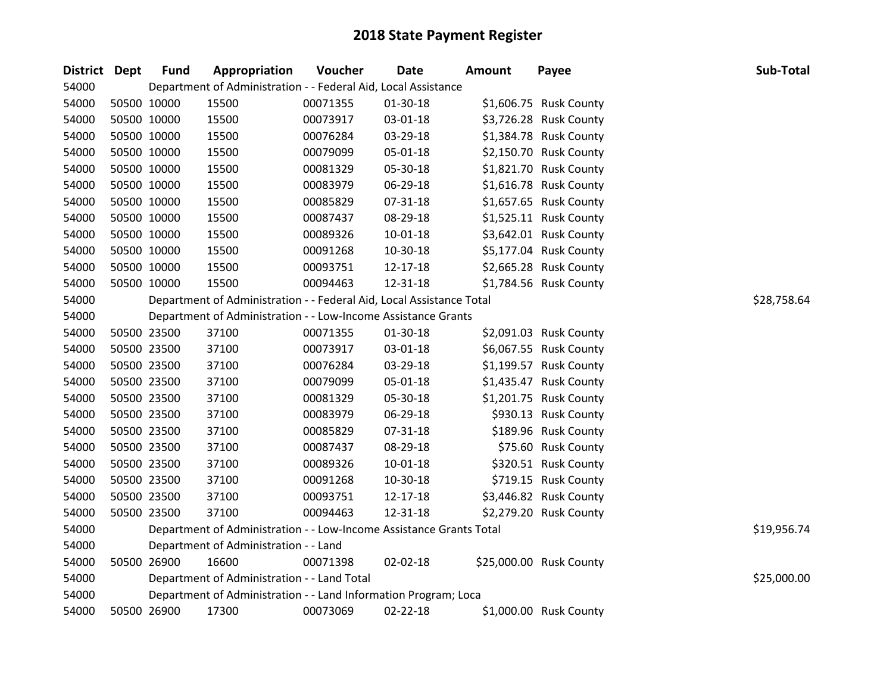| District Dept | <b>Fund</b> | Appropriation                                                        | Voucher  | Date           | <b>Amount</b> | Payee                   | Sub-Total   |
|---------------|-------------|----------------------------------------------------------------------|----------|----------------|---------------|-------------------------|-------------|
| 54000         |             | Department of Administration - - Federal Aid, Local Assistance       |          |                |               |                         |             |
| 54000         | 50500 10000 | 15500                                                                | 00071355 | 01-30-18       |               | \$1,606.75 Rusk County  |             |
| 54000         | 50500 10000 | 15500                                                                | 00073917 | 03-01-18       |               | \$3,726.28 Rusk County  |             |
| 54000         | 50500 10000 | 15500                                                                | 00076284 | 03-29-18       |               | \$1,384.78 Rusk County  |             |
| 54000         | 50500 10000 | 15500                                                                | 00079099 | 05-01-18       |               | \$2,150.70 Rusk County  |             |
| 54000         | 50500 10000 | 15500                                                                | 00081329 | 05-30-18       |               | \$1,821.70 Rusk County  |             |
| 54000         | 50500 10000 | 15500                                                                | 00083979 | 06-29-18       |               | \$1,616.78 Rusk County  |             |
| 54000         | 50500 10000 | 15500                                                                | 00085829 | 07-31-18       |               | \$1,657.65 Rusk County  |             |
| 54000         | 50500 10000 | 15500                                                                | 00087437 | 08-29-18       |               | \$1,525.11 Rusk County  |             |
| 54000         | 50500 10000 | 15500                                                                | 00089326 | $10 - 01 - 18$ |               | \$3,642.01 Rusk County  |             |
| 54000         | 50500 10000 | 15500                                                                | 00091268 | 10-30-18       |               | \$5,177.04 Rusk County  |             |
| 54000         | 50500 10000 | 15500                                                                | 00093751 | 12-17-18       |               | \$2,665.28 Rusk County  |             |
| 54000         | 50500 10000 | 15500                                                                | 00094463 | 12-31-18       |               | \$1,784.56 Rusk County  |             |
| 54000         |             | Department of Administration - - Federal Aid, Local Assistance Total |          |                |               |                         | \$28,758.64 |
| 54000         |             | Department of Administration - - Low-Income Assistance Grants        |          |                |               |                         |             |
| 54000         | 50500 23500 | 37100                                                                | 00071355 | 01-30-18       |               | \$2,091.03 Rusk County  |             |
| 54000         | 50500 23500 | 37100                                                                | 00073917 | 03-01-18       |               | \$6,067.55 Rusk County  |             |
| 54000         | 50500 23500 | 37100                                                                | 00076284 | 03-29-18       |               | \$1,199.57 Rusk County  |             |
| 54000         | 50500 23500 | 37100                                                                | 00079099 | 05-01-18       |               | \$1,435.47 Rusk County  |             |
| 54000         | 50500 23500 | 37100                                                                | 00081329 | 05-30-18       |               | \$1,201.75 Rusk County  |             |
| 54000         | 50500 23500 | 37100                                                                | 00083979 | 06-29-18       |               | \$930.13 Rusk County    |             |
| 54000         | 50500 23500 | 37100                                                                | 00085829 | 07-31-18       |               | \$189.96 Rusk County    |             |
| 54000         | 50500 23500 | 37100                                                                | 00087437 | 08-29-18       |               | \$75.60 Rusk County     |             |
| 54000         | 50500 23500 | 37100                                                                | 00089326 | $10 - 01 - 18$ |               | \$320.51 Rusk County    |             |
| 54000         | 50500 23500 | 37100                                                                | 00091268 | 10-30-18       |               | \$719.15 Rusk County    |             |
| 54000         | 50500 23500 | 37100                                                                | 00093751 | 12-17-18       |               | \$3,446.82 Rusk County  |             |
| 54000         | 50500 23500 | 37100                                                                | 00094463 | 12-31-18       |               | \$2,279.20 Rusk County  |             |
| 54000         |             | Department of Administration - - Low-Income Assistance Grants Total  |          |                |               |                         | \$19,956.74 |
| 54000         |             | Department of Administration - - Land                                |          |                |               |                         |             |
| 54000         | 50500 26900 | 16600                                                                | 00071398 | 02-02-18       |               | \$25,000.00 Rusk County |             |
| 54000         |             | Department of Administration - - Land Total                          |          |                |               |                         | \$25,000.00 |
| 54000         |             | Department of Administration - - Land Information Program; Loca      |          |                |               |                         |             |
| 54000         | 50500 26900 | 17300                                                                | 00073069 | 02-22-18       |               | \$1,000.00 Rusk County  |             |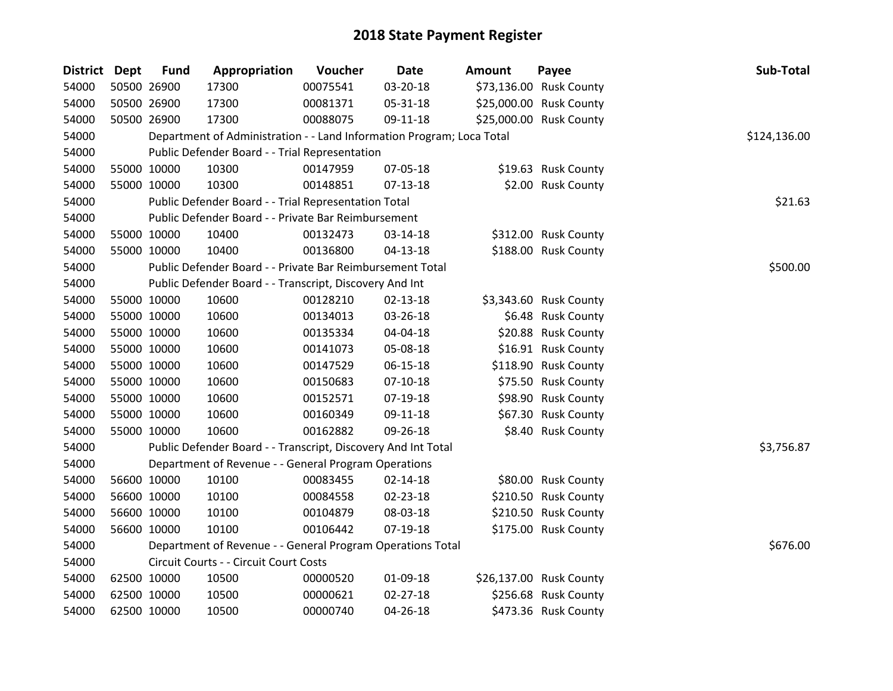| District Dept | <b>Fund</b> | Appropriation                                                         | Voucher  | Date           | <b>Amount</b> | Payee                   | Sub-Total    |
|---------------|-------------|-----------------------------------------------------------------------|----------|----------------|---------------|-------------------------|--------------|
| 54000         | 50500 26900 | 17300                                                                 | 00075541 | 03-20-18       |               | \$73,136.00 Rusk County |              |
| 54000         | 50500 26900 | 17300                                                                 | 00081371 | 05-31-18       |               | \$25,000.00 Rusk County |              |
| 54000         | 50500 26900 | 17300                                                                 | 00088075 | 09-11-18       |               | \$25,000.00 Rusk County |              |
| 54000         |             | Department of Administration - - Land Information Program; Loca Total |          |                |               |                         | \$124,136.00 |
| 54000         |             | Public Defender Board - - Trial Representation                        |          |                |               |                         |              |
| 54000         | 55000 10000 | 10300                                                                 | 00147959 | 07-05-18       |               | \$19.63 Rusk County     |              |
| 54000         | 55000 10000 | 10300                                                                 | 00148851 | $07-13-18$     |               | \$2.00 Rusk County      |              |
| 54000         |             | Public Defender Board - - Trial Representation Total                  |          |                |               |                         | \$21.63      |
| 54000         |             | Public Defender Board - - Private Bar Reimbursement                   |          |                |               |                         |              |
| 54000         | 55000 10000 | 10400                                                                 | 00132473 | 03-14-18       |               | \$312.00 Rusk County    |              |
| 54000         | 55000 10000 | 10400                                                                 | 00136800 | $04 - 13 - 18$ |               | \$188.00 Rusk County    |              |
| 54000         |             | Public Defender Board - - Private Bar Reimbursement Total             |          |                |               |                         | \$500.00     |
| 54000         |             | Public Defender Board - - Transcript, Discovery And Int               |          |                |               |                         |              |
| 54000         | 55000 10000 | 10600                                                                 | 00128210 | 02-13-18       |               | \$3,343.60 Rusk County  |              |
| 54000         | 55000 10000 | 10600                                                                 | 00134013 | 03-26-18       |               | \$6.48 Rusk County      |              |
| 54000         | 55000 10000 | 10600                                                                 | 00135334 | 04-04-18       |               | \$20.88 Rusk County     |              |
| 54000         | 55000 10000 | 10600                                                                 | 00141073 | 05-08-18       |               | \$16.91 Rusk County     |              |
| 54000         | 55000 10000 | 10600                                                                 | 00147529 | 06-15-18       |               | \$118.90 Rusk County    |              |
| 54000         | 55000 10000 | 10600                                                                 | 00150683 | $07-10-18$     |               | \$75.50 Rusk County     |              |
| 54000         | 55000 10000 | 10600                                                                 | 00152571 | 07-19-18       |               | \$98.90 Rusk County     |              |
| 54000         | 55000 10000 | 10600                                                                 | 00160349 | 09-11-18       |               | \$67.30 Rusk County     |              |
| 54000         | 55000 10000 | 10600                                                                 | 00162882 | 09-26-18       |               | \$8.40 Rusk County      |              |
| 54000         |             | Public Defender Board - - Transcript, Discovery And Int Total         |          |                |               |                         | \$3,756.87   |
| 54000         |             | Department of Revenue - - General Program Operations                  |          |                |               |                         |              |
| 54000         | 56600 10000 | 10100                                                                 | 00083455 | $02 - 14 - 18$ |               | \$80.00 Rusk County     |              |
| 54000         | 56600 10000 | 10100                                                                 | 00084558 | 02-23-18       |               | \$210.50 Rusk County    |              |
| 54000         | 56600 10000 | 10100                                                                 | 00104879 | 08-03-18       |               | \$210.50 Rusk County    |              |
| 54000         | 56600 10000 | 10100                                                                 | 00106442 | $07-19-18$     |               | \$175.00 Rusk County    |              |
| 54000         |             | Department of Revenue - - General Program Operations Total            |          |                |               |                         | \$676.00     |
| 54000         |             | Circuit Courts - - Circuit Court Costs                                |          |                |               |                         |              |
| 54000         | 62500 10000 | 10500                                                                 | 00000520 | 01-09-18       |               | \$26,137.00 Rusk County |              |
| 54000         | 62500 10000 | 10500                                                                 | 00000621 | $02 - 27 - 18$ |               | \$256.68 Rusk County    |              |
| 54000         | 62500 10000 | 10500                                                                 | 00000740 | 04-26-18       |               | \$473.36 Rusk County    |              |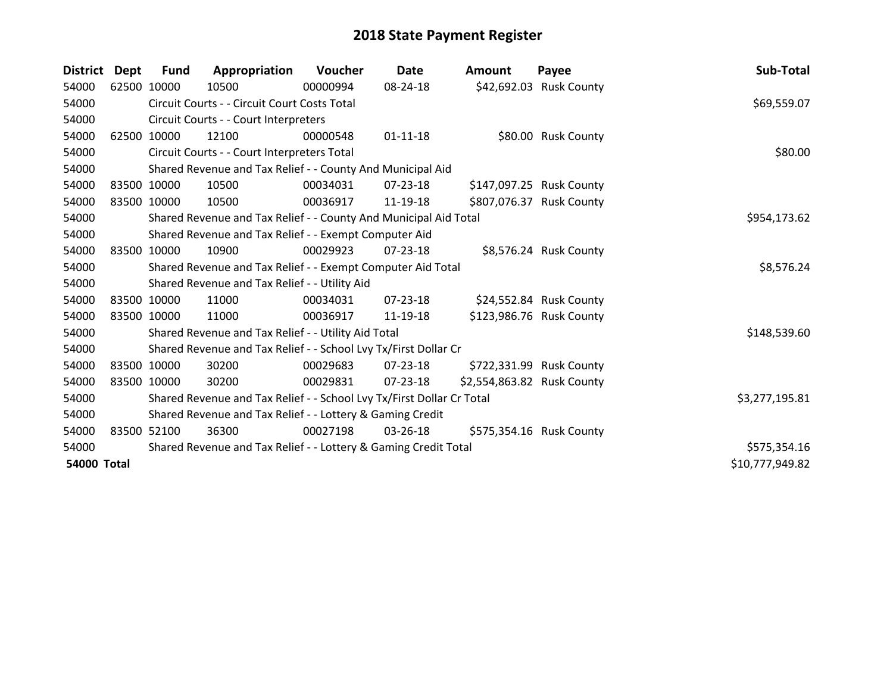| <b>District</b>    | Dept | <b>Fund</b> | Appropriation                                                         | Voucher  | Date           | <b>Amount</b>              | Payee                    | Sub-Total       |
|--------------------|------|-------------|-----------------------------------------------------------------------|----------|----------------|----------------------------|--------------------------|-----------------|
| 54000              |      | 62500 10000 | 10500                                                                 | 00000994 | 08-24-18       |                            | \$42,692.03 Rusk County  |                 |
| 54000              |      |             | Circuit Courts - - Circuit Court Costs Total                          |          |                |                            |                          | \$69,559.07     |
| 54000              |      |             | Circuit Courts - - Court Interpreters                                 |          |                |                            |                          |                 |
| 54000              |      | 62500 10000 | 12100                                                                 | 00000548 | $01 - 11 - 18$ |                            | \$80.00 Rusk County      |                 |
| 54000              |      |             | Circuit Courts - - Court Interpreters Total                           |          |                |                            |                          | \$80.00         |
| 54000              |      |             | Shared Revenue and Tax Relief - - County And Municipal Aid            |          |                |                            |                          |                 |
| 54000              |      | 83500 10000 | 10500                                                                 | 00034031 | 07-23-18       |                            | \$147,097.25 Rusk County |                 |
| 54000              |      | 83500 10000 | 10500                                                                 | 00036917 | 11-19-18       |                            | \$807,076.37 Rusk County |                 |
| 54000              |      |             | Shared Revenue and Tax Relief - - County And Municipal Aid Total      |          |                |                            |                          | \$954,173.62    |
| 54000              |      |             | Shared Revenue and Tax Relief - - Exempt Computer Aid                 |          |                |                            |                          |                 |
| 54000              |      | 83500 10000 | 10900                                                                 | 00029923 | $07 - 23 - 18$ |                            | \$8,576.24 Rusk County   |                 |
| 54000              |      |             | Shared Revenue and Tax Relief - - Exempt Computer Aid Total           |          |                |                            |                          | \$8,576.24      |
| 54000              |      |             | Shared Revenue and Tax Relief - - Utility Aid                         |          |                |                            |                          |                 |
| 54000              |      | 83500 10000 | 11000                                                                 | 00034031 | $07 - 23 - 18$ |                            | \$24,552.84 Rusk County  |                 |
| 54000              |      | 83500 10000 | 11000                                                                 | 00036917 | 11-19-18       |                            | \$123,986.76 Rusk County |                 |
| 54000              |      |             | Shared Revenue and Tax Relief - - Utility Aid Total                   |          |                |                            |                          | \$148,539.60    |
| 54000              |      |             | Shared Revenue and Tax Relief - - School Lvy Tx/First Dollar Cr       |          |                |                            |                          |                 |
| 54000              |      | 83500 10000 | 30200                                                                 | 00029683 | 07-23-18       |                            | \$722,331.99 Rusk County |                 |
| 54000              |      | 83500 10000 | 30200                                                                 | 00029831 | 07-23-18       | \$2,554,863.82 Rusk County |                          |                 |
| 54000              |      |             | Shared Revenue and Tax Relief - - School Lvy Tx/First Dollar Cr Total |          |                |                            |                          | \$3,277,195.81  |
| 54000              |      |             | Shared Revenue and Tax Relief - - Lottery & Gaming Credit             |          |                |                            |                          |                 |
| 54000              |      | 83500 52100 | 36300                                                                 | 00027198 | 03-26-18       |                            | \$575,354.16 Rusk County |                 |
| 54000              |      |             | Shared Revenue and Tax Relief - - Lottery & Gaming Credit Total       |          |                |                            |                          | \$575,354.16    |
| <b>54000 Total</b> |      |             |                                                                       |          |                |                            |                          | \$10,777,949.82 |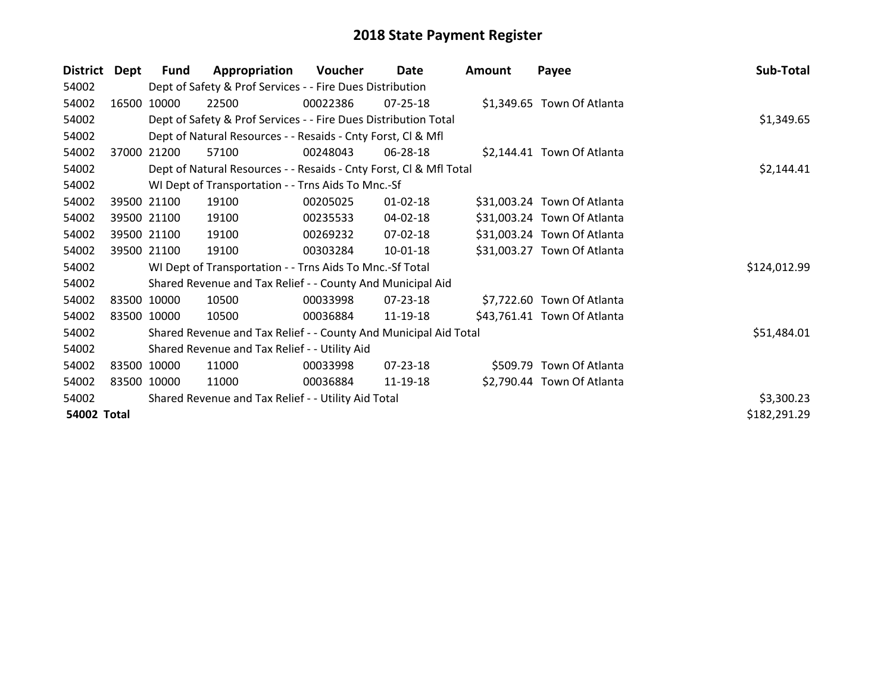| <b>District</b> | <b>Dept</b> | <b>Fund</b> | Appropriation                                                      | Voucher    | Date           | <b>Amount</b> | Payee                       | Sub-Total    |
|-----------------|-------------|-------------|--------------------------------------------------------------------|------------|----------------|---------------|-----------------------------|--------------|
| 54002           |             |             | Dept of Safety & Prof Services - - Fire Dues Distribution          |            |                |               |                             |              |
| 54002           | 16500       | 10000       | 22500                                                              | 00022386   | $07 - 25 - 18$ |               | \$1,349.65 Town Of Atlanta  |              |
| 54002           |             |             | Dept of Safety & Prof Services - - Fire Dues Distribution Total    |            |                |               |                             | \$1,349.65   |
| 54002           |             |             | Dept of Natural Resources - - Resaids - Cnty Forst, CI & Mfl       |            |                |               |                             |              |
| 54002           | 37000       | 21200       | 57100                                                              | 00248043   | 06-28-18       |               | \$2,144.41 Town Of Atlanta  |              |
| 54002           |             |             | Dept of Natural Resources - - Resaids - Cnty Forst, Cl & Mfl Total | \$2,144.41 |                |               |                             |              |
| 54002           |             |             | WI Dept of Transportation - - Trns Aids To Mnc.-Sf                 |            |                |               |                             |              |
| 54002           |             | 39500 21100 | 19100                                                              | 00205025   | $01 - 02 - 18$ |               | \$31,003.24 Town Of Atlanta |              |
| 54002           |             | 39500 21100 | 19100                                                              | 00235533   | 04-02-18       |               | \$31,003.24 Town Of Atlanta |              |
| 54002           |             | 39500 21100 | 19100                                                              | 00269232   | 07-02-18       |               | \$31,003.24 Town Of Atlanta |              |
| 54002           |             | 39500 21100 | 19100                                                              | 00303284   | 10-01-18       |               | \$31,003.27 Town Of Atlanta |              |
| 54002           |             |             | WI Dept of Transportation - - Trns Aids To Mnc.-Sf Total           |            |                |               |                             | \$124,012.99 |
| 54002           |             |             | Shared Revenue and Tax Relief - - County And Municipal Aid         |            |                |               |                             |              |
| 54002           |             | 83500 10000 | 10500                                                              | 00033998   | 07-23-18       |               | \$7,722.60 Town Of Atlanta  |              |
| 54002           |             | 83500 10000 | 10500                                                              | 00036884   | 11-19-18       |               | \$43,761.41 Town Of Atlanta |              |
| 54002           |             |             | Shared Revenue and Tax Relief - - County And Municipal Aid Total   |            |                |               |                             | \$51,484.01  |
| 54002           |             |             | Shared Revenue and Tax Relief - - Utility Aid                      |            |                |               |                             |              |
| 54002           |             | 83500 10000 | 11000                                                              | 00033998   | $07 - 23 - 18$ |               | \$509.79 Town Of Atlanta    |              |
| 54002           |             | 83500 10000 | 11000                                                              | 00036884   | 11-19-18       |               | \$2,790.44 Town Of Atlanta  |              |
| 54002           |             |             | Shared Revenue and Tax Relief - - Utility Aid Total                |            |                |               |                             | \$3,300.23   |
| 54002 Total     |             |             |                                                                    |            |                |               |                             | \$182,291.29 |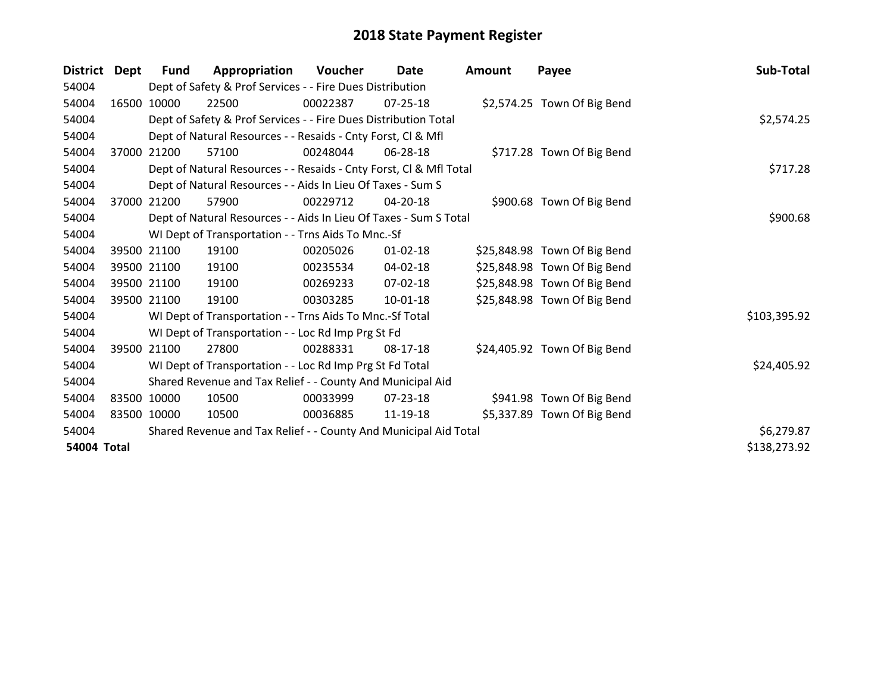| <b>District</b>    | Dept  | <b>Fund</b> | Appropriation                                                      | Voucher  | <b>Date</b>    | <b>Amount</b> | Payee                        | Sub-Total    |
|--------------------|-------|-------------|--------------------------------------------------------------------|----------|----------------|---------------|------------------------------|--------------|
| 54004              |       |             | Dept of Safety & Prof Services - - Fire Dues Distribution          |          |                |               |                              |              |
| 54004              |       | 16500 10000 | 22500                                                              | 00022387 | 07-25-18       |               | \$2,574.25 Town Of Big Bend  |              |
| 54004              |       |             | Dept of Safety & Prof Services - - Fire Dues Distribution Total    |          |                |               |                              | \$2,574.25   |
| 54004              |       |             | Dept of Natural Resources - - Resaids - Cnty Forst, CI & Mfl       |          |                |               |                              |              |
| 54004              | 37000 | 21200       | 57100                                                              | 00248044 | 06-28-18       |               | \$717.28 Town Of Big Bend    |              |
| 54004              |       |             | Dept of Natural Resources - - Resaids - Cnty Forst, Cl & Mfl Total |          |                |               |                              | \$717.28     |
| 54004              |       |             | Dept of Natural Resources - - Aids In Lieu Of Taxes - Sum S        |          |                |               |                              |              |
| 54004              | 37000 | 21200       | 57900                                                              | 00229712 | 04-20-18       |               | \$900.68 Town Of Big Bend    |              |
| 54004              |       |             | Dept of Natural Resources - - Aids In Lieu Of Taxes - Sum S Total  |          |                |               |                              | \$900.68     |
| 54004              |       |             | WI Dept of Transportation - - Trns Aids To Mnc.-Sf                 |          |                |               |                              |              |
| 54004              |       | 39500 21100 | 19100                                                              | 00205026 | $01 - 02 - 18$ |               | \$25,848.98 Town Of Big Bend |              |
| 54004              |       | 39500 21100 | 19100                                                              | 00235534 | 04-02-18       |               | \$25,848.98 Town Of Big Bend |              |
| 54004              |       | 39500 21100 | 19100                                                              | 00269233 | 07-02-18       |               | \$25,848.98 Town Of Big Bend |              |
| 54004              |       | 39500 21100 | 19100                                                              | 00303285 | 10-01-18       |               | \$25,848.98 Town Of Big Bend |              |
| 54004              |       |             | WI Dept of Transportation - - Trns Aids To Mnc.-Sf Total           |          |                |               |                              | \$103,395.92 |
| 54004              |       |             | WI Dept of Transportation - - Loc Rd Imp Prg St Fd                 |          |                |               |                              |              |
| 54004              | 39500 | 21100       | 27800                                                              | 00288331 | 08-17-18       |               | \$24,405.92 Town Of Big Bend |              |
| 54004              |       |             | WI Dept of Transportation - - Loc Rd Imp Prg St Fd Total           |          |                |               |                              | \$24,405.92  |
| 54004              |       |             | Shared Revenue and Tax Relief - - County And Municipal Aid         |          |                |               |                              |              |
| 54004              |       | 83500 10000 | 10500                                                              | 00033999 | 07-23-18       |               | \$941.98 Town Of Big Bend    |              |
| 54004              |       | 83500 10000 | 10500                                                              | 00036885 | 11-19-18       |               | \$5,337.89 Town Of Big Bend  |              |
| 54004              |       |             | Shared Revenue and Tax Relief - - County And Municipal Aid Total   |          |                |               |                              | \$6,279.87   |
| <b>54004 Total</b> |       |             |                                                                    |          |                |               |                              | \$138,273.92 |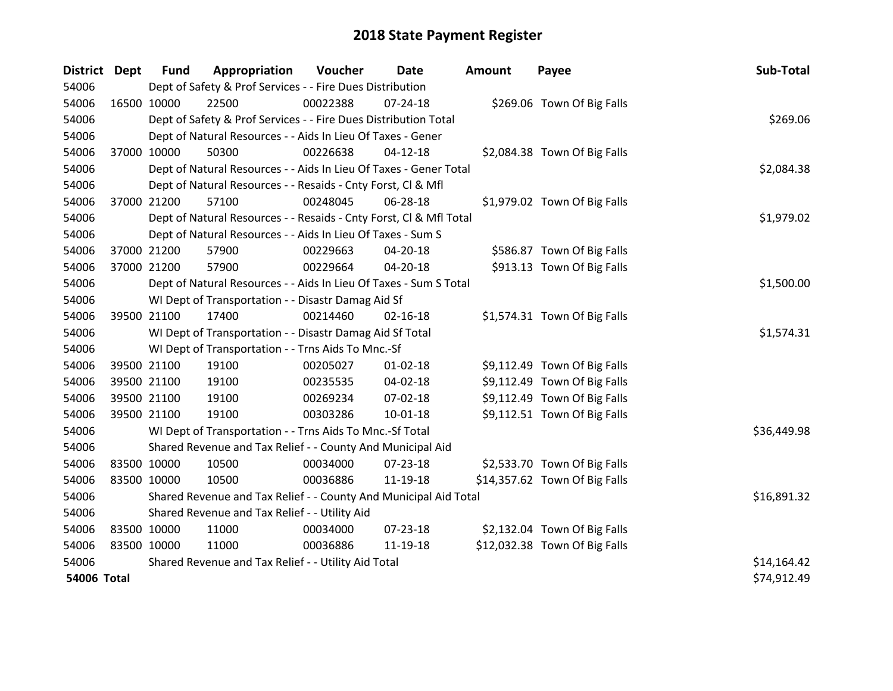| <b>District</b> | <b>Dept</b> | <b>Fund</b> | Appropriation                                                      | Voucher  | <b>Date</b>    | <b>Amount</b> | Payee                         | Sub-Total   |
|-----------------|-------------|-------------|--------------------------------------------------------------------|----------|----------------|---------------|-------------------------------|-------------|
| 54006           |             |             | Dept of Safety & Prof Services - - Fire Dues Distribution          |          |                |               |                               |             |
| 54006           | 16500 10000 |             | 22500                                                              | 00022388 | 07-24-18       |               | \$269.06 Town Of Big Falls    |             |
| 54006           |             |             | Dept of Safety & Prof Services - - Fire Dues Distribution Total    |          |                |               |                               | \$269.06    |
| 54006           |             |             | Dept of Natural Resources - - Aids In Lieu Of Taxes - Gener        |          |                |               |                               |             |
| 54006           | 37000 10000 |             | 50300                                                              | 00226638 | $04-12-18$     |               | \$2,084.38 Town Of Big Falls  |             |
| 54006           |             |             | Dept of Natural Resources - - Aids In Lieu Of Taxes - Gener Total  |          |                |               |                               | \$2,084.38  |
| 54006           |             |             | Dept of Natural Resources - - Resaids - Cnty Forst, Cl & Mfl       |          |                |               |                               |             |
| 54006           | 37000 21200 |             | 57100                                                              | 00248045 | 06-28-18       |               | \$1,979.02 Town Of Big Falls  |             |
| 54006           |             |             | Dept of Natural Resources - - Resaids - Cnty Forst, CI & Mfl Total |          |                |               |                               | \$1,979.02  |
| 54006           |             |             | Dept of Natural Resources - - Aids In Lieu Of Taxes - Sum S        |          |                |               |                               |             |
| 54006           | 37000 21200 |             | 57900                                                              | 00229663 | 04-20-18       |               | \$586.87 Town Of Big Falls    |             |
| 54006           | 37000 21200 |             | 57900                                                              | 00229664 | $04 - 20 - 18$ |               | \$913.13 Town Of Big Falls    |             |
| 54006           |             |             | Dept of Natural Resources - - Aids In Lieu Of Taxes - Sum S Total  |          |                |               |                               | \$1,500.00  |
| 54006           |             |             | WI Dept of Transportation - - Disastr Damag Aid Sf                 |          |                |               |                               |             |
| 54006           | 39500 21100 |             | 17400                                                              | 00214460 | 02-16-18       |               | \$1,574.31 Town Of Big Falls  |             |
| 54006           |             |             | WI Dept of Transportation - - Disastr Damag Aid Sf Total           |          |                |               |                               | \$1,574.31  |
| 54006           |             |             | WI Dept of Transportation - - Trns Aids To Mnc.-Sf                 |          |                |               |                               |             |
| 54006           | 39500 21100 |             | 19100                                                              | 00205027 | $01 - 02 - 18$ |               | \$9,112.49 Town Of Big Falls  |             |
| 54006           | 39500 21100 |             | 19100                                                              | 00235535 | 04-02-18       |               | \$9,112.49 Town Of Big Falls  |             |
| 54006           | 39500 21100 |             | 19100                                                              | 00269234 | 07-02-18       |               | \$9,112.49 Town Of Big Falls  |             |
| 54006           | 39500 21100 |             | 19100                                                              | 00303286 | $10 - 01 - 18$ |               | \$9,112.51 Town Of Big Falls  |             |
| 54006           |             |             | WI Dept of Transportation - - Trns Aids To Mnc.-Sf Total           |          |                |               |                               | \$36,449.98 |
| 54006           |             |             | Shared Revenue and Tax Relief - - County And Municipal Aid         |          |                |               |                               |             |
| 54006           | 83500 10000 |             | 10500                                                              | 00034000 | $07 - 23 - 18$ |               | \$2,533.70 Town Of Big Falls  |             |
| 54006           | 83500 10000 |             | 10500                                                              | 00036886 | 11-19-18       |               | \$14,357.62 Town Of Big Falls |             |
| 54006           |             |             | Shared Revenue and Tax Relief - - County And Municipal Aid Total   |          |                |               |                               | \$16,891.32 |
| 54006           |             |             | Shared Revenue and Tax Relief - - Utility Aid                      |          |                |               |                               |             |
| 54006           | 83500 10000 |             | 11000                                                              | 00034000 | 07-23-18       |               | \$2,132.04 Town Of Big Falls  |             |
| 54006           | 83500 10000 |             | 11000                                                              | 00036886 | 11-19-18       |               | \$12,032.38 Town Of Big Falls |             |
| 54006           |             |             | Shared Revenue and Tax Relief - - Utility Aid Total                |          |                |               |                               | \$14,164.42 |
| 54006 Total     |             |             |                                                                    |          |                |               |                               | \$74,912.49 |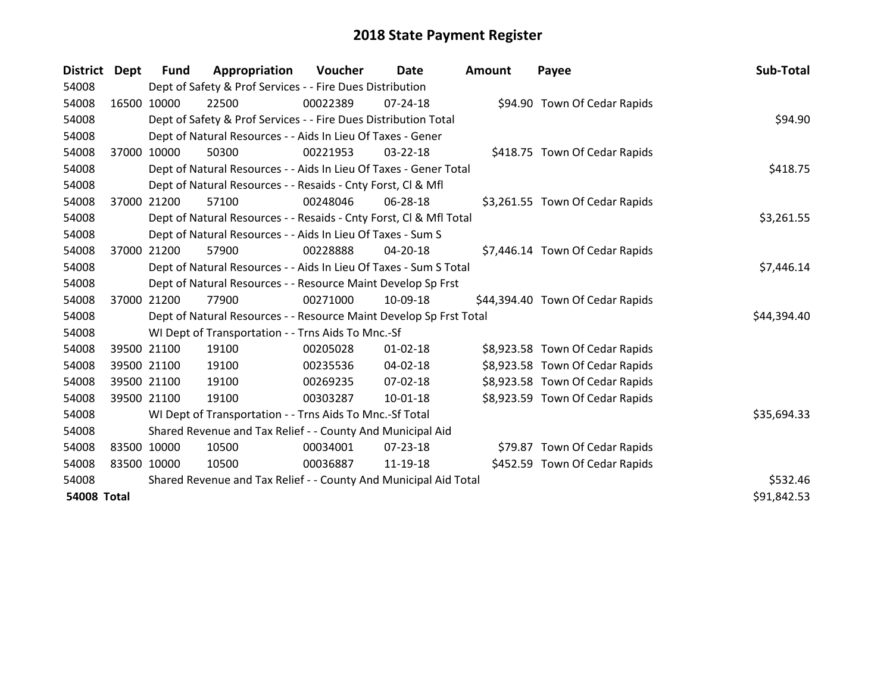| <b>District</b>    | <b>Dept</b> | <b>Fund</b> | Appropriation                                                      | <b>Voucher</b> | Date           | <b>Amount</b> | Payee                            | Sub-Total   |
|--------------------|-------------|-------------|--------------------------------------------------------------------|----------------|----------------|---------------|----------------------------------|-------------|
| 54008              |             |             | Dept of Safety & Prof Services - - Fire Dues Distribution          |                |                |               |                                  |             |
| 54008              |             | 16500 10000 | 22500                                                              | 00022389       | 07-24-18       |               | \$94.90 Town Of Cedar Rapids     |             |
| 54008              |             |             | Dept of Safety & Prof Services - - Fire Dues Distribution Total    |                |                |               |                                  | \$94.90     |
| 54008              |             |             | Dept of Natural Resources - - Aids In Lieu Of Taxes - Gener        |                |                |               |                                  |             |
| 54008              | 37000       | 10000       | 50300                                                              | 00221953       | 03-22-18       |               | \$418.75 Town Of Cedar Rapids    |             |
| 54008              |             |             | Dept of Natural Resources - - Aids In Lieu Of Taxes - Gener Total  |                |                |               |                                  | \$418.75    |
| 54008              |             |             | Dept of Natural Resources - - Resaids - Cnty Forst, CI & Mfl       |                |                |               |                                  |             |
| 54008              | 37000       | 21200       | 57100                                                              | 00248046       | 06-28-18       |               | \$3,261.55 Town Of Cedar Rapids  |             |
| 54008              |             |             | Dept of Natural Resources - - Resaids - Cnty Forst, CI & Mfl Total |                |                |               |                                  | \$3,261.55  |
| 54008              |             |             | Dept of Natural Resources - - Aids In Lieu Of Taxes - Sum S        |                |                |               |                                  |             |
| 54008              |             | 37000 21200 | 57900                                                              | 00228888       | 04-20-18       |               | \$7,446.14 Town Of Cedar Rapids  |             |
| 54008              |             |             | Dept of Natural Resources - - Aids In Lieu Of Taxes - Sum S Total  |                | \$7,446.14     |               |                                  |             |
| 54008              |             |             | Dept of Natural Resources - - Resource Maint Develop Sp Frst       |                |                |               |                                  |             |
| 54008              |             | 37000 21200 | 77900                                                              | 00271000       | 10-09-18       |               | \$44,394.40 Town Of Cedar Rapids |             |
| 54008              |             |             | Dept of Natural Resources - - Resource Maint Develop Sp Frst Total |                |                |               |                                  | \$44,394.40 |
| 54008              |             |             | WI Dept of Transportation - - Trns Aids To Mnc.-Sf                 |                |                |               |                                  |             |
| 54008              |             | 39500 21100 | 19100                                                              | 00205028       | $01 - 02 - 18$ |               | \$8,923.58 Town Of Cedar Rapids  |             |
| 54008              |             | 39500 21100 | 19100                                                              | 00235536       | $04 - 02 - 18$ |               | \$8,923.58 Town Of Cedar Rapids  |             |
| 54008              |             | 39500 21100 | 19100                                                              | 00269235       | 07-02-18       |               | \$8,923.58 Town Of Cedar Rapids  |             |
| 54008              |             | 39500 21100 | 19100                                                              | 00303287       | $10 - 01 - 18$ |               | \$8,923.59 Town Of Cedar Rapids  |             |
| 54008              |             |             | WI Dept of Transportation - - Trns Aids To Mnc.-Sf Total           |                |                |               |                                  | \$35,694.33 |
| 54008              |             |             | Shared Revenue and Tax Relief - - County And Municipal Aid         |                |                |               |                                  |             |
| 54008              | 83500 10000 |             | 10500                                                              | 00034001       | $07 - 23 - 18$ |               | \$79.87 Town Of Cedar Rapids     |             |
| 54008              | 83500 10000 |             | 10500                                                              | 00036887       | 11-19-18       |               | \$452.59 Town Of Cedar Rapids    |             |
| 54008              |             |             | Shared Revenue and Tax Relief - - County And Municipal Aid Total   |                |                |               |                                  | \$532.46    |
| <b>54008 Total</b> |             |             |                                                                    |                |                |               |                                  | \$91,842.53 |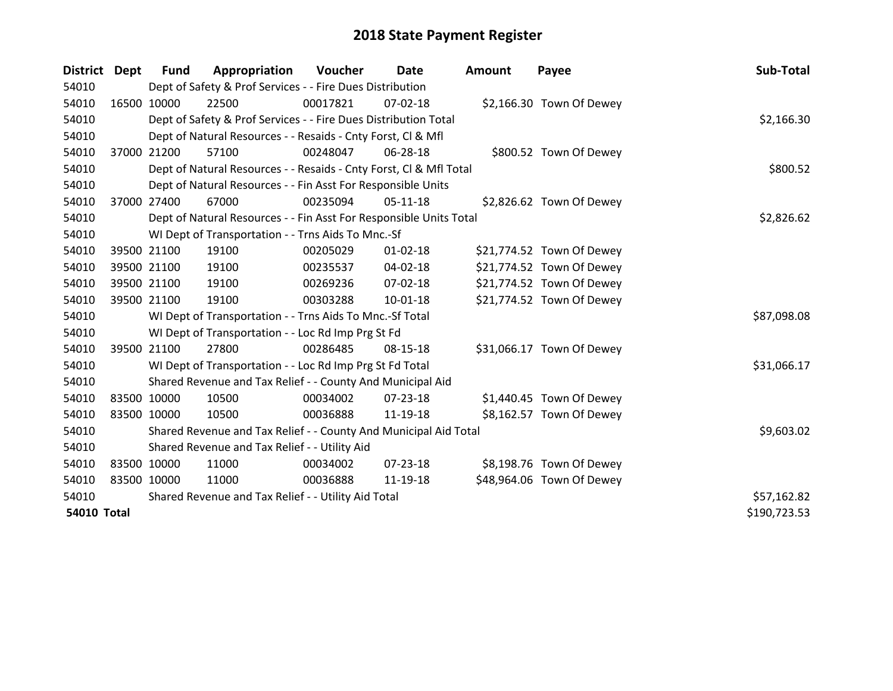| District Dept      | <b>Fund</b> | Appropriation                                                      | Voucher  | Date           | <b>Amount</b> | Payee                     | Sub-Total    |
|--------------------|-------------|--------------------------------------------------------------------|----------|----------------|---------------|---------------------------|--------------|
| 54010              |             | Dept of Safety & Prof Services - - Fire Dues Distribution          |          |                |               |                           |              |
| 54010              | 16500 10000 | 22500                                                              | 00017821 | $07 - 02 - 18$ |               | \$2,166.30 Town Of Dewey  |              |
| 54010              |             | Dept of Safety & Prof Services - - Fire Dues Distribution Total    |          |                |               |                           | \$2,166.30   |
| 54010              |             | Dept of Natural Resources - - Resaids - Cnty Forst, CI & Mfl       |          |                |               |                           |              |
| 54010              | 37000 21200 | 57100                                                              | 00248047 | 06-28-18       |               | \$800.52 Town Of Dewey    |              |
| 54010              |             | Dept of Natural Resources - - Resaids - Cnty Forst, Cl & Mfl Total | \$800.52 |                |               |                           |              |
| 54010              |             | Dept of Natural Resources - - Fin Asst For Responsible Units       |          |                |               |                           |              |
| 54010              | 37000 27400 | 67000                                                              | 00235094 | $05 - 11 - 18$ |               | \$2,826.62 Town Of Dewey  |              |
| 54010              |             | Dept of Natural Resources - - Fin Asst For Responsible Units Total |          |                |               |                           | \$2,826.62   |
| 54010              |             | WI Dept of Transportation - - Trns Aids To Mnc.-Sf                 |          |                |               |                           |              |
| 54010              | 39500 21100 | 19100                                                              | 00205029 | $01 - 02 - 18$ |               | \$21,774.52 Town Of Dewey |              |
| 54010              | 39500 21100 | 19100                                                              | 00235537 | $04 - 02 - 18$ |               | \$21,774.52 Town Of Dewey |              |
| 54010              | 39500 21100 | 19100                                                              | 00269236 | 07-02-18       |               | \$21,774.52 Town Of Dewey |              |
| 54010              | 39500 21100 | 19100                                                              | 00303288 | $10 - 01 - 18$ |               | \$21,774.52 Town Of Dewey |              |
| 54010              |             | WI Dept of Transportation - - Trns Aids To Mnc.-Sf Total           |          |                |               |                           | \$87,098.08  |
| 54010              |             | WI Dept of Transportation - - Loc Rd Imp Prg St Fd                 |          |                |               |                           |              |
| 54010              | 39500 21100 | 27800                                                              | 00286485 | 08-15-18       |               | \$31,066.17 Town Of Dewey |              |
| 54010              |             | WI Dept of Transportation - - Loc Rd Imp Prg St Fd Total           |          |                |               |                           | \$31,066.17  |
| 54010              |             | Shared Revenue and Tax Relief - - County And Municipal Aid         |          |                |               |                           |              |
| 54010              | 83500 10000 | 10500                                                              | 00034002 | $07 - 23 - 18$ |               | \$1,440.45 Town Of Dewey  |              |
| 54010              | 83500 10000 | 10500                                                              | 00036888 | 11-19-18       |               | \$8,162.57 Town Of Dewey  |              |
| 54010              |             | Shared Revenue and Tax Relief - - County And Municipal Aid Total   |          |                |               |                           | \$9,603.02   |
| 54010              |             | Shared Revenue and Tax Relief - - Utility Aid                      |          |                |               |                           |              |
| 54010              | 83500 10000 | 11000                                                              | 00034002 | $07 - 23 - 18$ |               | \$8,198.76 Town Of Dewey  |              |
| 54010              | 83500 10000 | 11000                                                              | 00036888 | 11-19-18       |               | \$48,964.06 Town Of Dewey |              |
| 54010              |             | Shared Revenue and Tax Relief - - Utility Aid Total                |          |                |               |                           | \$57,162.82  |
| <b>54010 Total</b> |             |                                                                    |          |                |               |                           | \$190,723.53 |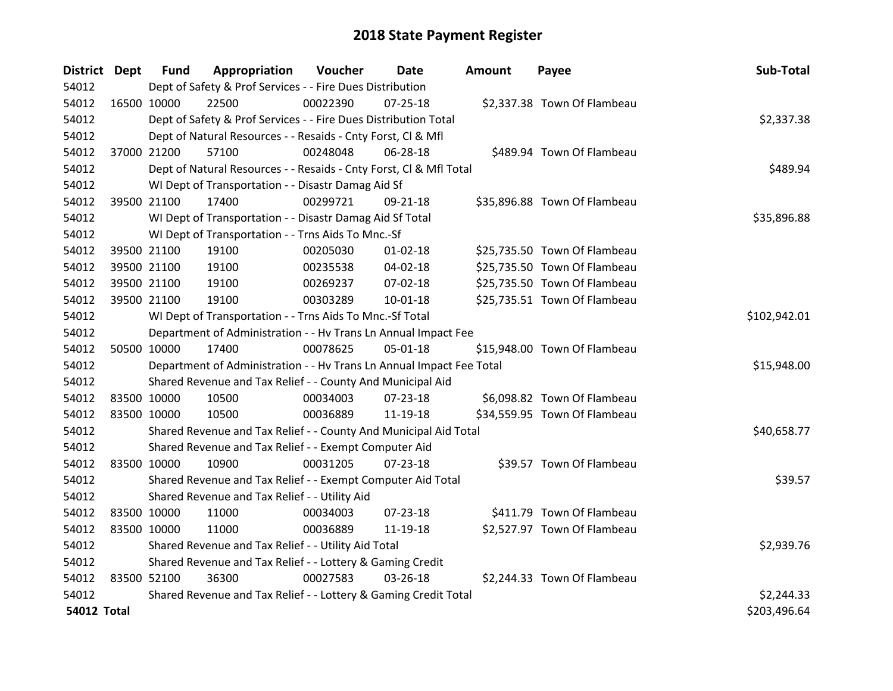| District Dept      |             | <b>Fund</b> | Appropriation                                                        | Voucher      | Date           | Amount | Payee                        | Sub-Total    |
|--------------------|-------------|-------------|----------------------------------------------------------------------|--------------|----------------|--------|------------------------------|--------------|
| 54012              |             |             | Dept of Safety & Prof Services - - Fire Dues Distribution            |              |                |        |                              |              |
| 54012              | 16500 10000 |             | 22500                                                                | 00022390     | $07 - 25 - 18$ |        | \$2,337.38 Town Of Flambeau  |              |
| 54012              |             |             | Dept of Safety & Prof Services - - Fire Dues Distribution Total      |              |                |        |                              | \$2,337.38   |
| 54012              |             |             | Dept of Natural Resources - - Resaids - Cnty Forst, Cl & Mfl         |              |                |        |                              |              |
| 54012              | 37000 21200 |             | 57100                                                                | 00248048     | 06-28-18       |        | \$489.94 Town Of Flambeau    |              |
| 54012              |             |             | Dept of Natural Resources - - Resaids - Cnty Forst, CI & Mfl Total   |              |                |        |                              | \$489.94     |
| 54012              |             |             | WI Dept of Transportation - - Disastr Damag Aid Sf                   |              |                |        |                              |              |
| 54012              | 39500 21100 |             | 17400                                                                | 00299721     | 09-21-18       |        | \$35,896.88 Town Of Flambeau |              |
| 54012              |             |             | WI Dept of Transportation - - Disastr Damag Aid Sf Total             |              |                |        |                              | \$35,896.88  |
| 54012              |             |             | WI Dept of Transportation - - Trns Aids To Mnc.-Sf                   |              |                |        |                              |              |
| 54012              |             | 39500 21100 | 19100                                                                | 00205030     | $01 - 02 - 18$ |        | \$25,735.50 Town Of Flambeau |              |
| 54012              | 39500 21100 |             | 19100                                                                | 00235538     | 04-02-18       |        | \$25,735.50 Town Of Flambeau |              |
| 54012              | 39500 21100 |             | 19100                                                                | 00269237     | 07-02-18       |        | \$25,735.50 Town Of Flambeau |              |
| 54012              | 39500 21100 |             | 19100                                                                | 00303289     | $10 - 01 - 18$ |        | \$25,735.51 Town Of Flambeau |              |
| 54012              |             |             | WI Dept of Transportation - - Trns Aids To Mnc.-Sf Total             | \$102,942.01 |                |        |                              |              |
| 54012              |             |             | Department of Administration - - Hv Trans Ln Annual Impact Fee       |              |                |        |                              |              |
| 54012              | 50500 10000 |             | 17400                                                                | 00078625     | 05-01-18       |        | \$15,948.00 Town Of Flambeau |              |
| 54012              |             |             | Department of Administration - - Hv Trans Ln Annual Impact Fee Total |              |                |        |                              | \$15,948.00  |
| 54012              |             |             | Shared Revenue and Tax Relief - - County And Municipal Aid           |              |                |        |                              |              |
| 54012              | 83500 10000 |             | 10500                                                                | 00034003     | 07-23-18       |        | \$6,098.82 Town Of Flambeau  |              |
| 54012              | 83500 10000 |             | 10500                                                                | 00036889     | 11-19-18       |        | \$34,559.95 Town Of Flambeau |              |
| 54012              |             |             | Shared Revenue and Tax Relief - - County And Municipal Aid Total     |              |                |        |                              | \$40,658.77  |
| 54012              |             |             | Shared Revenue and Tax Relief - - Exempt Computer Aid                |              |                |        |                              |              |
| 54012              | 83500 10000 |             | 10900                                                                | 00031205     | 07-23-18       |        | \$39.57 Town Of Flambeau     |              |
| 54012              |             |             | Shared Revenue and Tax Relief - - Exempt Computer Aid Total          |              |                |        |                              | \$39.57      |
| 54012              |             |             | Shared Revenue and Tax Relief - - Utility Aid                        |              |                |        |                              |              |
| 54012              | 83500 10000 |             | 11000                                                                | 00034003     | 07-23-18       |        | \$411.79 Town Of Flambeau    |              |
| 54012              | 83500 10000 |             | 11000                                                                | 00036889     | 11-19-18       |        | \$2,527.97 Town Of Flambeau  |              |
| 54012              |             |             | Shared Revenue and Tax Relief - - Utility Aid Total                  |              |                |        |                              | \$2,939.76   |
| 54012              |             |             | Shared Revenue and Tax Relief - - Lottery & Gaming Credit            |              |                |        |                              |              |
| 54012              | 83500 52100 |             | 36300                                                                | 00027583     | 03-26-18       |        | \$2,244.33 Town Of Flambeau  |              |
| 54012              |             |             | Shared Revenue and Tax Relief - - Lottery & Gaming Credit Total      |              |                |        |                              | \$2,244.33   |
| <b>54012 Total</b> |             |             |                                                                      |              |                |        |                              | \$203,496.64 |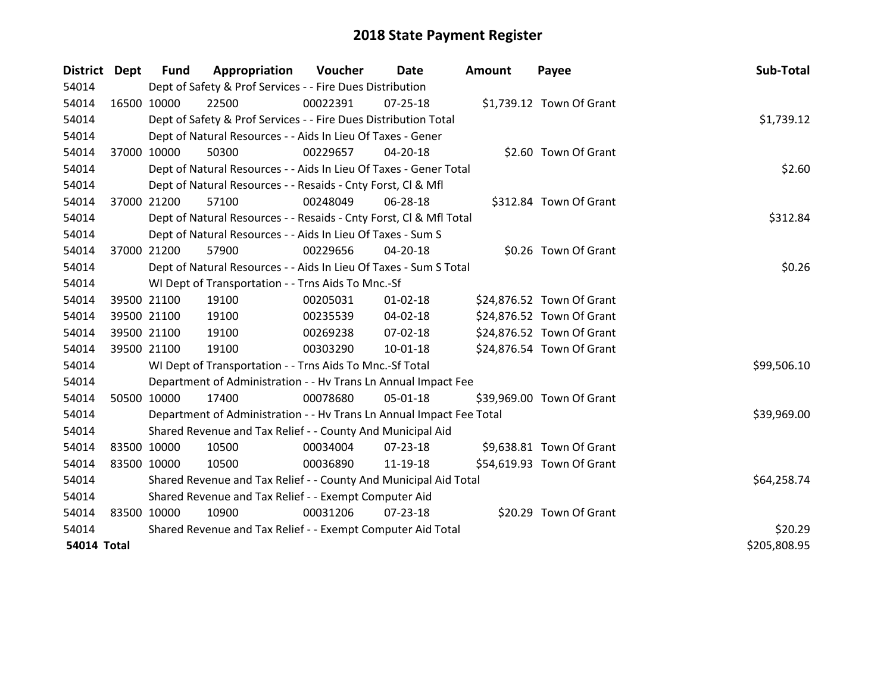| District Dept      |             | <b>Fund</b>                                                 | Appropriation                                                        | Voucher  | Date           | <b>Amount</b> | Payee                     | Sub-Total    |
|--------------------|-------------|-------------------------------------------------------------|----------------------------------------------------------------------|----------|----------------|---------------|---------------------------|--------------|
| 54014              |             |                                                             | Dept of Safety & Prof Services - - Fire Dues Distribution            |          |                |               |                           |              |
| 54014              | 16500 10000 |                                                             | 22500                                                                | 00022391 | $07 - 25 - 18$ |               | \$1,739.12 Town Of Grant  |              |
| 54014              |             |                                                             | Dept of Safety & Prof Services - - Fire Dues Distribution Total      |          |                |               |                           | \$1,739.12   |
| 54014              |             |                                                             | Dept of Natural Resources - - Aids In Lieu Of Taxes - Gener          |          |                |               |                           |              |
| 54014              | 37000 10000 |                                                             | 50300                                                                | 00229657 | 04-20-18       |               | \$2.60 Town Of Grant      |              |
| 54014              |             |                                                             | Dept of Natural Resources - - Aids In Lieu Of Taxes - Gener Total    |          |                |               |                           | \$2.60       |
| 54014              |             |                                                             | Dept of Natural Resources - - Resaids - Cnty Forst, CI & Mfl         |          |                |               |                           |              |
| 54014              | 37000 21200 |                                                             | 57100                                                                | 00248049 | 06-28-18       |               | \$312.84 Town Of Grant    |              |
| 54014              |             |                                                             | Dept of Natural Resources - - Resaids - Cnty Forst, CI & Mfl Total   |          |                |               |                           | \$312.84     |
| 54014              |             |                                                             | Dept of Natural Resources - - Aids In Lieu Of Taxes - Sum S          |          |                |               |                           |              |
| 54014              |             | 37000 21200                                                 | 57900                                                                | 00229656 | $04 - 20 - 18$ |               | \$0.26 Town Of Grant      |              |
| 54014              |             |                                                             | Dept of Natural Resources - - Aids In Lieu Of Taxes - Sum S Total    |          |                |               |                           | \$0.26       |
| 54014              |             |                                                             | WI Dept of Transportation - - Trns Aids To Mnc.-Sf                   |          |                |               |                           |              |
| 54014              |             | 39500 21100                                                 | 19100                                                                | 00205031 | $01 - 02 - 18$ |               | \$24,876.52 Town Of Grant |              |
| 54014              |             | 39500 21100                                                 | 19100                                                                | 00235539 | 04-02-18       |               | \$24,876.52 Town Of Grant |              |
| 54014              |             | 39500 21100                                                 | 19100                                                                | 00269238 | 07-02-18       |               | \$24,876.52 Town Of Grant |              |
| 54014              | 39500 21100 |                                                             | 19100                                                                | 00303290 | $10 - 01 - 18$ |               | \$24,876.54 Town Of Grant |              |
| 54014              |             |                                                             | WI Dept of Transportation - - Trns Aids To Mnc.-Sf Total             |          |                |               |                           | \$99,506.10  |
| 54014              |             |                                                             | Department of Administration - - Hv Trans Ln Annual Impact Fee       |          |                |               |                           |              |
| 54014              | 50500 10000 |                                                             | 17400                                                                | 00078680 | 05-01-18       |               | \$39,969.00 Town Of Grant |              |
| 54014              |             |                                                             | Department of Administration - - Hv Trans Ln Annual Impact Fee Total |          |                |               |                           | \$39,969.00  |
| 54014              |             |                                                             | Shared Revenue and Tax Relief - - County And Municipal Aid           |          |                |               |                           |              |
| 54014              | 83500 10000 |                                                             | 10500                                                                | 00034004 | $07 - 23 - 18$ |               | \$9,638.81 Town Of Grant  |              |
| 54014              | 83500 10000 |                                                             | 10500                                                                | 00036890 | 11-19-18       |               | \$54,619.93 Town Of Grant |              |
| 54014              |             |                                                             | Shared Revenue and Tax Relief - - County And Municipal Aid Total     |          |                |               |                           | \$64,258.74  |
| 54014              |             |                                                             | Shared Revenue and Tax Relief - - Exempt Computer Aid                |          |                |               |                           |              |
| 54014              | 83500 10000 |                                                             | 10900                                                                | 00031206 | $07 - 23 - 18$ |               | \$20.29 Town Of Grant     |              |
| 54014              |             | Shared Revenue and Tax Relief - - Exempt Computer Aid Total | \$20.29                                                              |          |                |               |                           |              |
| <b>54014 Total</b> |             |                                                             |                                                                      |          |                |               |                           | \$205,808.95 |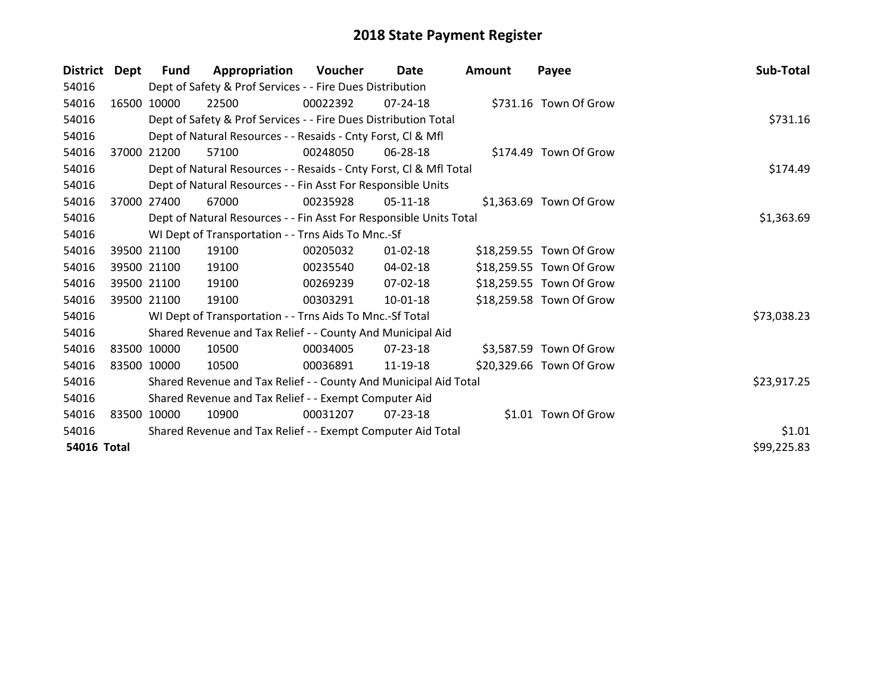| <b>District</b>    | Dept  | Fund        | Appropriation                                                      | Voucher  | Date           | <b>Amount</b> | Payee                    | Sub-Total   |
|--------------------|-------|-------------|--------------------------------------------------------------------|----------|----------------|---------------|--------------------------|-------------|
| 54016              |       |             | Dept of Safety & Prof Services - - Fire Dues Distribution          |          |                |               |                          |             |
| 54016              |       | 16500 10000 | 22500                                                              | 00022392 | $07 - 24 - 18$ |               | \$731.16 Town Of Grow    |             |
| 54016              |       |             | Dept of Safety & Prof Services - - Fire Dues Distribution Total    | \$731.16 |                |               |                          |             |
| 54016              |       |             | Dept of Natural Resources - - Resaids - Cnty Forst, CI & Mfl       |          |                |               |                          |             |
| 54016              | 37000 | 21200       | 57100                                                              | 00248050 | 06-28-18       |               | \$174.49 Town Of Grow    |             |
| 54016              |       |             | Dept of Natural Resources - - Resaids - Cnty Forst, Cl & Mfl Total |          |                |               |                          | \$174.49    |
| 54016              |       |             | Dept of Natural Resources - - Fin Asst For Responsible Units       |          |                |               |                          |             |
| 54016              | 37000 | 27400       | 67000                                                              | 00235928 | 05-11-18       |               | \$1,363.69 Town Of Grow  |             |
| 54016              |       |             | Dept of Natural Resources - - Fin Asst For Responsible Units Total |          |                |               |                          | \$1,363.69  |
| 54016              |       |             | WI Dept of Transportation - - Trns Aids To Mnc.-Sf                 |          |                |               |                          |             |
| 54016              |       | 39500 21100 | 19100                                                              | 00205032 | $01 - 02 - 18$ |               | \$18,259.55 Town Of Grow |             |
| 54016              |       | 39500 21100 | 19100                                                              | 00235540 | 04-02-18       |               | \$18,259.55 Town Of Grow |             |
| 54016              |       | 39500 21100 | 19100                                                              | 00269239 | 07-02-18       |               | \$18,259.55 Town Of Grow |             |
| 54016              |       | 39500 21100 | 19100                                                              | 00303291 | $10-01-18$     |               | \$18,259.58 Town Of Grow |             |
| 54016              |       |             | WI Dept of Transportation - - Trns Aids To Mnc.-Sf Total           |          |                |               |                          | \$73,038.23 |
| 54016              |       |             | Shared Revenue and Tax Relief - - County And Municipal Aid         |          |                |               |                          |             |
| 54016              |       | 83500 10000 | 10500                                                              | 00034005 | 07-23-18       |               | \$3,587.59 Town Of Grow  |             |
| 54016              |       | 83500 10000 | 10500                                                              | 00036891 | 11-19-18       |               | \$20,329.66 Town Of Grow |             |
| 54016              |       |             | Shared Revenue and Tax Relief - - County And Municipal Aid Total   |          |                |               |                          | \$23,917.25 |
| 54016              |       |             | Shared Revenue and Tax Relief - - Exempt Computer Aid              |          |                |               |                          |             |
| 54016              |       | 83500 10000 | 10900                                                              | 00031207 | 07-23-18       |               | \$1.01 Town Of Grow      |             |
| 54016              |       |             | Shared Revenue and Tax Relief - - Exempt Computer Aid Total        |          |                |               |                          | \$1.01      |
| <b>54016 Total</b> |       |             |                                                                    |          |                |               |                          | \$99,225.83 |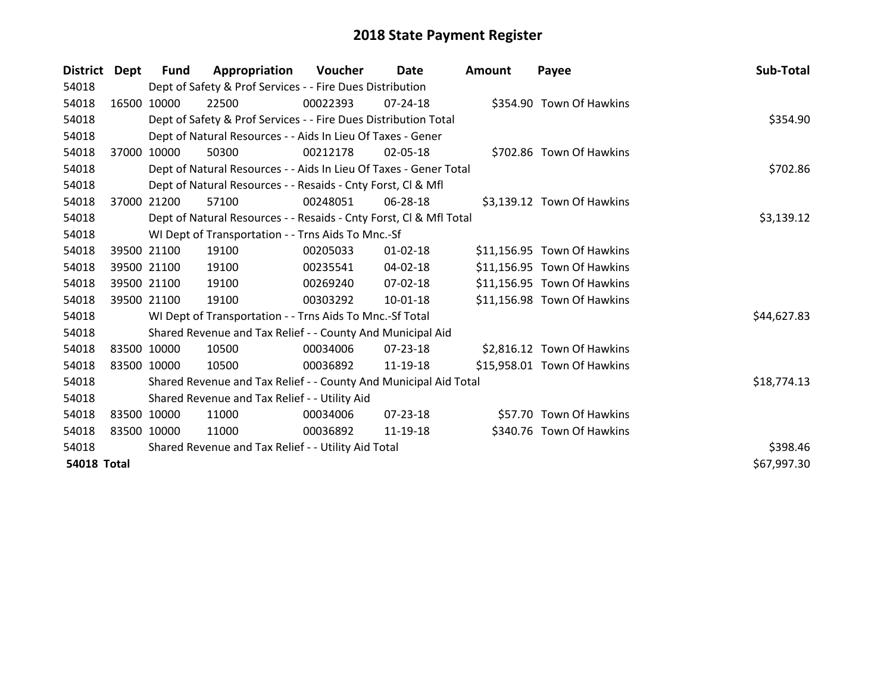| District Dept      |             | <b>Fund</b> | Appropriation                                                      | Voucher  | <b>Date</b>    | <b>Amount</b> | Payee                       | Sub-Total   |
|--------------------|-------------|-------------|--------------------------------------------------------------------|----------|----------------|---------------|-----------------------------|-------------|
| 54018              |             |             | Dept of Safety & Prof Services - - Fire Dues Distribution          |          |                |               |                             |             |
| 54018              |             | 16500 10000 | 22500                                                              | 00022393 | 07-24-18       |               | \$354.90 Town Of Hawkins    |             |
| 54018              |             |             | Dept of Safety & Prof Services - - Fire Dues Distribution Total    |          |                |               |                             | \$354.90    |
| 54018              |             |             | Dept of Natural Resources - - Aids In Lieu Of Taxes - Gener        |          |                |               |                             |             |
| 54018              | 37000       | 10000       | 50300                                                              | 00212178 | 02-05-18       |               | \$702.86 Town Of Hawkins    |             |
| 54018              |             |             | Dept of Natural Resources - - Aids In Lieu Of Taxes - Gener Total  |          |                |               |                             | \$702.86    |
| 54018              |             |             | Dept of Natural Resources - - Resaids - Cnty Forst, CI & Mfl       |          |                |               |                             |             |
| 54018              |             | 37000 21200 | 57100                                                              | 00248051 | $06 - 28 - 18$ |               | \$3,139.12 Town Of Hawkins  |             |
| 54018              |             |             | Dept of Natural Resources - - Resaids - Cnty Forst, CI & Mfl Total |          |                |               |                             | \$3,139.12  |
| 54018              |             |             | WI Dept of Transportation - - Trns Aids To Mnc.-Sf                 |          |                |               |                             |             |
| 54018              |             | 39500 21100 | 19100                                                              | 00205033 | $01 - 02 - 18$ |               | \$11,156.95 Town Of Hawkins |             |
| 54018              |             | 39500 21100 | 19100                                                              | 00235541 | 04-02-18       |               | \$11,156.95 Town Of Hawkins |             |
| 54018              |             | 39500 21100 | 19100                                                              | 00269240 | 07-02-18       |               | \$11,156.95 Town Of Hawkins |             |
| 54018              |             | 39500 21100 | 19100                                                              | 00303292 | $10 - 01 - 18$ |               | \$11,156.98 Town Of Hawkins |             |
| 54018              |             |             | WI Dept of Transportation - - Trns Aids To Mnc.-Sf Total           |          |                |               |                             | \$44,627.83 |
| 54018              |             |             | Shared Revenue and Tax Relief - - County And Municipal Aid         |          |                |               |                             |             |
| 54018              |             | 83500 10000 | 10500                                                              | 00034006 | 07-23-18       |               | \$2,816.12 Town Of Hawkins  |             |
| 54018              | 83500 10000 |             | 10500                                                              | 00036892 | 11-19-18       |               | \$15,958.01 Town Of Hawkins |             |
| 54018              |             |             | Shared Revenue and Tax Relief - - County And Municipal Aid Total   |          |                |               |                             | \$18,774.13 |
| 54018              |             |             | Shared Revenue and Tax Relief - - Utility Aid                      |          |                |               |                             |             |
| 54018              | 83500 10000 |             | 11000                                                              | 00034006 | $07 - 23 - 18$ |               | \$57.70 Town Of Hawkins     |             |
| 54018              | 83500 10000 |             | 11000                                                              | 00036892 | 11-19-18       |               | \$340.76 Town Of Hawkins    |             |
| 54018              |             |             | Shared Revenue and Tax Relief - - Utility Aid Total                |          |                |               |                             | \$398.46    |
| <b>54018 Total</b> |             |             |                                                                    |          |                |               |                             | \$67,997.30 |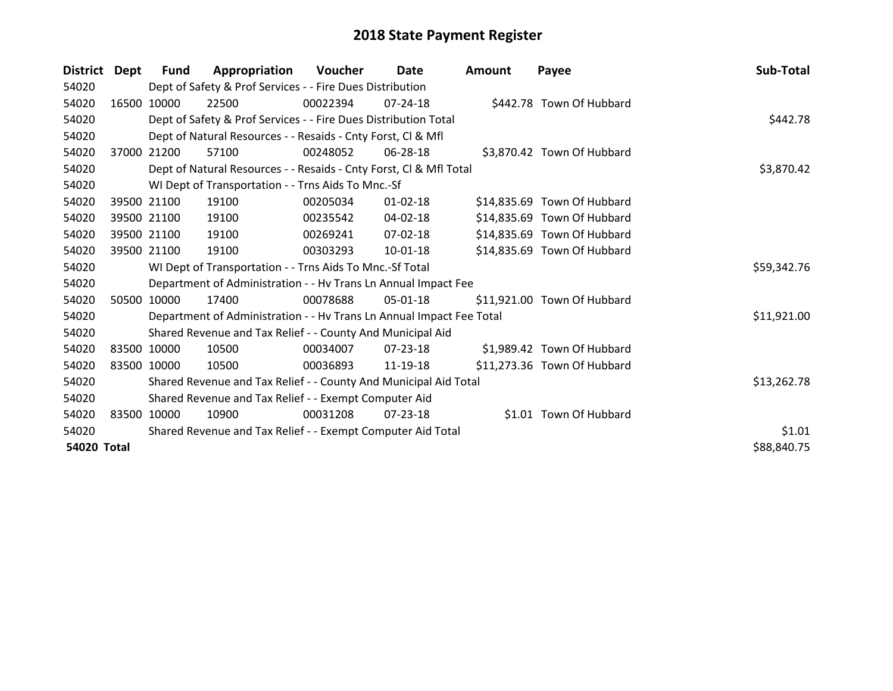| <b>District</b>    | Dept  | Fund        | Appropriation                                                        | <b>Voucher</b> | Date           | <b>Amount</b> | Payee                       | Sub-Total   |
|--------------------|-------|-------------|----------------------------------------------------------------------|----------------|----------------|---------------|-----------------------------|-------------|
| 54020              |       |             | Dept of Safety & Prof Services - - Fire Dues Distribution            |                |                |               |                             |             |
| 54020              |       | 16500 10000 | 22500                                                                | 00022394       | $07 - 24 - 18$ |               | \$442.78 Town Of Hubbard    |             |
| 54020              |       |             | Dept of Safety & Prof Services - - Fire Dues Distribution Total      |                | \$442.78       |               |                             |             |
| 54020              |       |             | Dept of Natural Resources - - Resaids - Cnty Forst, CI & Mfl         |                |                |               |                             |             |
| 54020              | 37000 | 21200       | 57100                                                                | 00248052       | 06-28-18       |               | \$3,870.42 Town Of Hubbard  |             |
| 54020              |       |             | Dept of Natural Resources - - Resaids - Cnty Forst, CI & Mfl Total   |                |                |               |                             | \$3,870.42  |
| 54020              |       |             | WI Dept of Transportation - - Trns Aids To Mnc.-Sf                   |                |                |               |                             |             |
| 54020              |       | 39500 21100 | 19100                                                                | 00205034       | $01 - 02 - 18$ |               | \$14,835.69 Town Of Hubbard |             |
| 54020              |       | 39500 21100 | 19100                                                                | 00235542       | $04 - 02 - 18$ |               | \$14,835.69 Town Of Hubbard |             |
| 54020              |       | 39500 21100 | 19100                                                                | 00269241       | $07 - 02 - 18$ |               | \$14,835.69 Town Of Hubbard |             |
| 54020              |       | 39500 21100 | 19100                                                                | 00303293       | 10-01-18       |               | \$14,835.69 Town Of Hubbard |             |
| 54020              |       |             | WI Dept of Transportation - - Trns Aids To Mnc.-Sf Total             |                |                |               |                             | \$59,342.76 |
| 54020              |       |             | Department of Administration - - Hv Trans Ln Annual Impact Fee       |                |                |               |                             |             |
| 54020              |       | 50500 10000 | 17400                                                                | 00078688       | 05-01-18       |               | \$11,921.00 Town Of Hubbard |             |
| 54020              |       |             | Department of Administration - - Hy Trans Ln Annual Impact Fee Total |                |                |               |                             | \$11,921.00 |
| 54020              |       |             | Shared Revenue and Tax Relief - - County And Municipal Aid           |                |                |               |                             |             |
| 54020              | 83500 | 10000       | 10500                                                                | 00034007       | 07-23-18       |               | \$1,989.42 Town Of Hubbard  |             |
| 54020              |       | 83500 10000 | 10500                                                                | 00036893       | 11-19-18       |               | \$11,273.36 Town Of Hubbard |             |
| 54020              |       |             | Shared Revenue and Tax Relief - - County And Municipal Aid Total     |                |                |               |                             | \$13,262.78 |
| 54020              |       |             | Shared Revenue and Tax Relief - - Exempt Computer Aid                |                |                |               |                             |             |
| 54020              |       | 83500 10000 | 10900                                                                | 00031208       | 07-23-18       |               | \$1.01 Town Of Hubbard      |             |
| 54020              |       |             | Shared Revenue and Tax Relief - - Exempt Computer Aid Total          |                |                |               |                             | \$1.01      |
| <b>54020 Total</b> |       |             |                                                                      |                |                |               |                             | \$88,840.75 |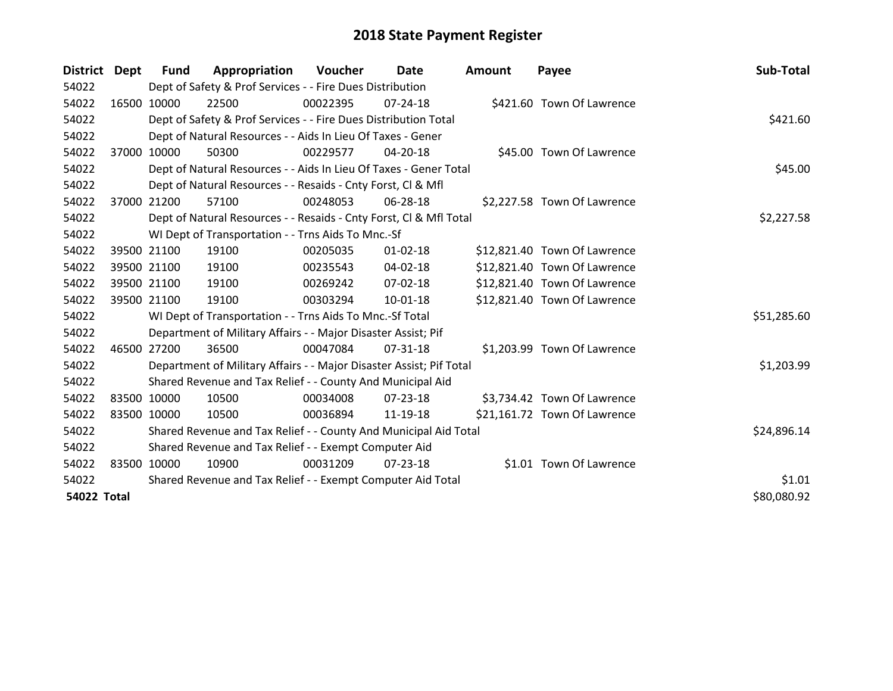| District Dept      |             | <b>Fund</b> | Appropriation                                                       | Voucher  | <b>Date</b>    | Amount | Payee                        | Sub-Total   |
|--------------------|-------------|-------------|---------------------------------------------------------------------|----------|----------------|--------|------------------------------|-------------|
| 54022              |             |             | Dept of Safety & Prof Services - - Fire Dues Distribution           |          |                |        |                              |             |
| 54022              | 16500 10000 |             | 22500                                                               | 00022395 | $07 - 24 - 18$ |        | \$421.60 Town Of Lawrence    |             |
| 54022              |             |             | Dept of Safety & Prof Services - - Fire Dues Distribution Total     |          |                |        |                              | \$421.60    |
| 54022              |             |             | Dept of Natural Resources - - Aids In Lieu Of Taxes - Gener         |          |                |        |                              |             |
| 54022              |             | 37000 10000 | 50300                                                               | 00229577 | 04-20-18       |        | \$45.00 Town Of Lawrence     |             |
| 54022              |             |             | Dept of Natural Resources - - Aids In Lieu Of Taxes - Gener Total   |          |                |        |                              | \$45.00     |
| 54022              |             |             | Dept of Natural Resources - - Resaids - Cnty Forst, CI & Mfl        |          |                |        |                              |             |
| 54022              | 37000       | 21200       | 57100                                                               | 00248053 | 06-28-18       |        | \$2,227.58 Town Of Lawrence  |             |
| 54022              |             |             | Dept of Natural Resources - - Resaids - Cnty Forst, Cl & Mfl Total  |          |                |        |                              | \$2,227.58  |
| 54022              |             |             | WI Dept of Transportation - - Trns Aids To Mnc.-Sf                  |          |                |        |                              |             |
| 54022              |             | 39500 21100 | 19100                                                               | 00205035 | $01 - 02 - 18$ |        | \$12,821.40 Town Of Lawrence |             |
| 54022              |             | 39500 21100 | 19100                                                               | 00235543 | 04-02-18       |        | \$12,821.40 Town Of Lawrence |             |
| 54022              |             | 39500 21100 | 19100                                                               | 00269242 | $07 - 02 - 18$ |        | \$12,821.40 Town Of Lawrence |             |
| 54022              |             | 39500 21100 | 19100                                                               | 00303294 | 10-01-18       |        | \$12,821.40 Town Of Lawrence |             |
| 54022              |             |             | WI Dept of Transportation - - Trns Aids To Mnc.-Sf Total            |          |                |        |                              | \$51,285.60 |
| 54022              |             |             | Department of Military Affairs - - Major Disaster Assist; Pif       |          |                |        |                              |             |
| 54022              | 46500 27200 |             | 36500                                                               | 00047084 | $07 - 31 - 18$ |        | \$1,203.99 Town Of Lawrence  |             |
| 54022              |             |             | Department of Military Affairs - - Major Disaster Assist; Pif Total |          |                |        |                              | \$1,203.99  |
| 54022              |             |             | Shared Revenue and Tax Relief - - County And Municipal Aid          |          |                |        |                              |             |
| 54022              |             | 83500 10000 | 10500                                                               | 00034008 | 07-23-18       |        | \$3,734.42 Town Of Lawrence  |             |
| 54022              | 83500 10000 |             | 10500                                                               | 00036894 | 11-19-18       |        | \$21,161.72 Town Of Lawrence |             |
| 54022              |             |             | Shared Revenue and Tax Relief - - County And Municipal Aid Total    |          | \$24,896.14    |        |                              |             |
| 54022              |             |             | Shared Revenue and Tax Relief - - Exempt Computer Aid               |          |                |        |                              |             |
| 54022              | 83500 10000 |             | 10900                                                               | 00031209 | 07-23-18       |        | \$1.01 Town Of Lawrence      |             |
| 54022              |             |             | Shared Revenue and Tax Relief - - Exempt Computer Aid Total         |          |                |        |                              | \$1.01      |
| <b>54022 Total</b> |             |             |                                                                     |          |                |        |                              | \$80,080.92 |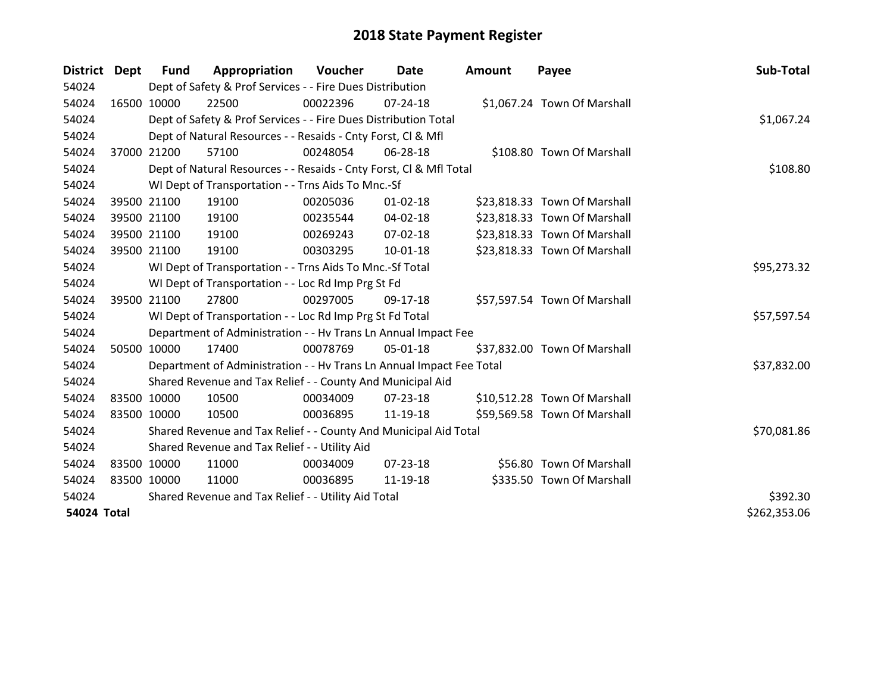| District Dept | <b>Fund</b> | Appropriation                                                        | Voucher  | Date           | <b>Amount</b> | Payee                        | Sub-Total    |
|---------------|-------------|----------------------------------------------------------------------|----------|----------------|---------------|------------------------------|--------------|
| 54024         |             | Dept of Safety & Prof Services - - Fire Dues Distribution            |          |                |               |                              |              |
| 54024         | 16500 10000 | 22500                                                                | 00022396 | $07 - 24 - 18$ |               | \$1,067.24 Town Of Marshall  |              |
| 54024         |             | Dept of Safety & Prof Services - - Fire Dues Distribution Total      |          |                |               |                              | \$1,067.24   |
| 54024         |             | Dept of Natural Resources - - Resaids - Cnty Forst, CI & Mfl         |          |                |               |                              |              |
| 54024         | 37000 21200 | 57100                                                                | 00248054 | 06-28-18       |               | \$108.80 Town Of Marshall    |              |
| 54024         |             | Dept of Natural Resources - - Resaids - Cnty Forst, Cl & Mfl Total   |          |                |               |                              | \$108.80     |
| 54024         |             | WI Dept of Transportation - - Trns Aids To Mnc.-Sf                   |          |                |               |                              |              |
| 54024         | 39500 21100 | 19100                                                                | 00205036 | $01 - 02 - 18$ |               | \$23,818.33 Town Of Marshall |              |
| 54024         | 39500 21100 | 19100                                                                | 00235544 | 04-02-18       |               | \$23,818.33 Town Of Marshall |              |
| 54024         | 39500 21100 | 19100                                                                | 00269243 | $07 - 02 - 18$ |               | \$23,818.33 Town Of Marshall |              |
| 54024         | 39500 21100 | 19100                                                                | 00303295 | $10 - 01 - 18$ |               | \$23,818.33 Town Of Marshall |              |
| 54024         |             | WI Dept of Transportation - - Trns Aids To Mnc.-Sf Total             |          |                |               |                              | \$95,273.32  |
| 54024         |             | WI Dept of Transportation - - Loc Rd Imp Prg St Fd                   |          |                |               |                              |              |
| 54024         | 39500 21100 | 27800                                                                | 00297005 | 09-17-18       |               | \$57,597.54 Town Of Marshall |              |
| 54024         |             | WI Dept of Transportation - - Loc Rd Imp Prg St Fd Total             |          |                |               |                              | \$57,597.54  |
| 54024         |             | Department of Administration - - Hv Trans Ln Annual Impact Fee       |          |                |               |                              |              |
| 54024         | 50500 10000 | 17400                                                                | 00078769 | 05-01-18       |               | \$37,832.00 Town Of Marshall |              |
| 54024         |             | Department of Administration - - Hv Trans Ln Annual Impact Fee Total |          |                |               |                              | \$37,832.00  |
| 54024         |             | Shared Revenue and Tax Relief - - County And Municipal Aid           |          |                |               |                              |              |
| 54024         | 83500 10000 | 10500                                                                | 00034009 | $07 - 23 - 18$ |               | \$10,512.28 Town Of Marshall |              |
| 54024         | 83500 10000 | 10500                                                                | 00036895 | 11-19-18       |               | \$59,569.58 Town Of Marshall |              |
| 54024         |             | Shared Revenue and Tax Relief - - County And Municipal Aid Total     |          |                |               |                              | \$70,081.86  |
| 54024         |             | Shared Revenue and Tax Relief - - Utility Aid                        |          |                |               |                              |              |
| 54024         | 83500 10000 | 11000                                                                | 00034009 | $07 - 23 - 18$ |               | \$56.80 Town Of Marshall     |              |
| 54024         | 83500 10000 | 11000                                                                | 00036895 | 11-19-18       |               | \$335.50 Town Of Marshall    |              |
| 54024         |             | Shared Revenue and Tax Relief - - Utility Aid Total                  |          |                |               |                              | \$392.30     |
| 54024 Total   |             |                                                                      |          |                |               |                              | \$262,353.06 |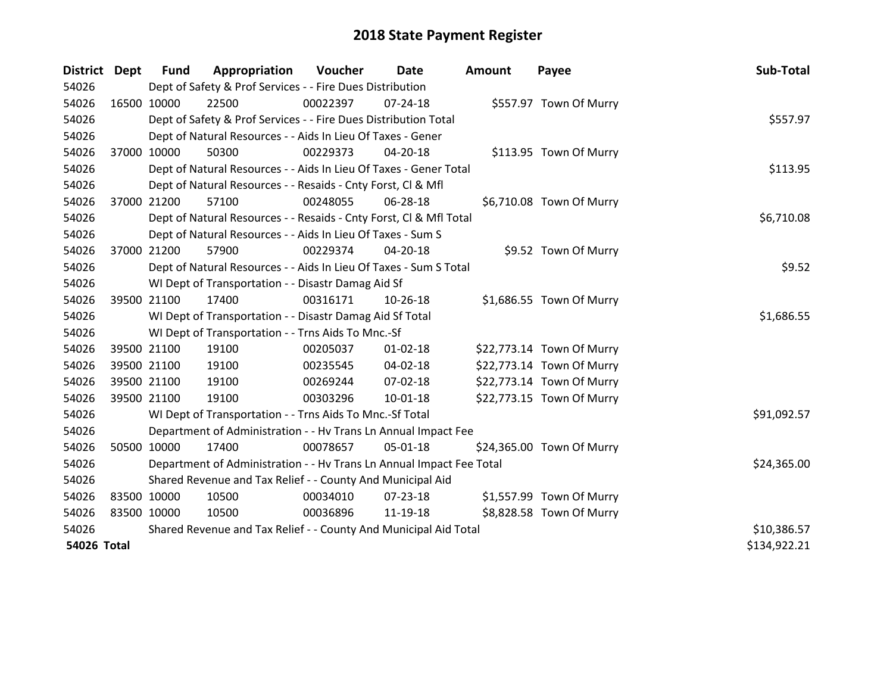| District    | <b>Dept</b> | <b>Fund</b>                                                      | Appropriation                                                        | Voucher  | Date           | Amount | Payee                     | Sub-Total    |
|-------------|-------------|------------------------------------------------------------------|----------------------------------------------------------------------|----------|----------------|--------|---------------------------|--------------|
| 54026       |             |                                                                  | Dept of Safety & Prof Services - - Fire Dues Distribution            |          |                |        |                           |              |
| 54026       |             | 16500 10000                                                      | 22500                                                                | 00022397 | 07-24-18       |        | \$557.97 Town Of Murry    |              |
| 54026       |             |                                                                  | Dept of Safety & Prof Services - - Fire Dues Distribution Total      |          |                |        |                           | \$557.97     |
| 54026       |             |                                                                  | Dept of Natural Resources - - Aids In Lieu Of Taxes - Gener          |          |                |        |                           |              |
| 54026       |             | 37000 10000                                                      | 50300                                                                | 00229373 | 04-20-18       |        | \$113.95 Town Of Murry    |              |
| 54026       |             |                                                                  | Dept of Natural Resources - - Aids In Lieu Of Taxes - Gener Total    |          |                |        |                           | \$113.95     |
| 54026       |             |                                                                  | Dept of Natural Resources - - Resaids - Cnty Forst, Cl & Mfl         |          |                |        |                           |              |
| 54026       |             | 37000 21200                                                      | 57100                                                                | 00248055 | 06-28-18       |        | \$6,710.08 Town Of Murry  |              |
| 54026       |             |                                                                  | Dept of Natural Resources - - Resaids - Cnty Forst, CI & Mfl Total   |          |                |        |                           | \$6,710.08   |
| 54026       |             |                                                                  | Dept of Natural Resources - - Aids In Lieu Of Taxes - Sum S          |          |                |        |                           |              |
| 54026       |             | 37000 21200                                                      | 57900                                                                | 00229374 | 04-20-18       |        | \$9.52 Town Of Murry      |              |
| 54026       |             |                                                                  | Dept of Natural Resources - - Aids In Lieu Of Taxes - Sum S Total    |          |                |        |                           | \$9.52       |
| 54026       |             |                                                                  | WI Dept of Transportation - - Disastr Damag Aid Sf                   |          |                |        |                           |              |
| 54026       | 39500 21100 |                                                                  | 17400                                                                | 00316171 | 10-26-18       |        | \$1,686.55 Town Of Murry  |              |
| 54026       |             |                                                                  | WI Dept of Transportation - - Disastr Damag Aid Sf Total             |          |                |        |                           | \$1,686.55   |
| 54026       |             |                                                                  | WI Dept of Transportation - - Trns Aids To Mnc.-Sf                   |          |                |        |                           |              |
| 54026       |             | 39500 21100                                                      | 19100                                                                | 00205037 | $01 - 02 - 18$ |        | \$22,773.14 Town Of Murry |              |
| 54026       |             | 39500 21100                                                      | 19100                                                                | 00235545 | 04-02-18       |        | \$22,773.14 Town Of Murry |              |
| 54026       |             | 39500 21100                                                      | 19100                                                                | 00269244 | 07-02-18       |        | \$22,773.14 Town Of Murry |              |
| 54026       | 39500 21100 |                                                                  | 19100                                                                | 00303296 | $10 - 01 - 18$ |        | \$22,773.15 Town Of Murry |              |
| 54026       |             |                                                                  | WI Dept of Transportation - - Trns Aids To Mnc.-Sf Total             |          |                |        |                           | \$91,092.57  |
| 54026       |             |                                                                  | Department of Administration - - Hv Trans Ln Annual Impact Fee       |          |                |        |                           |              |
| 54026       | 50500 10000 |                                                                  | 17400                                                                | 00078657 | 05-01-18       |        | \$24,365.00 Town Of Murry |              |
| 54026       |             |                                                                  | Department of Administration - - Hv Trans Ln Annual Impact Fee Total |          |                |        |                           | \$24,365.00  |
| 54026       |             | Shared Revenue and Tax Relief - - County And Municipal Aid       |                                                                      |          |                |        |                           |              |
| 54026       | 83500 10000 |                                                                  | 10500                                                                | 00034010 | 07-23-18       |        | \$1,557.99 Town Of Murry  |              |
| 54026       | 83500 10000 |                                                                  | 10500                                                                | 00036896 | 11-19-18       |        | \$8,828.58 Town Of Murry  |              |
| 54026       |             | Shared Revenue and Tax Relief - - County And Municipal Aid Total | \$10,386.57                                                          |          |                |        |                           |              |
| 54026 Total |             |                                                                  |                                                                      |          |                |        |                           | \$134,922.21 |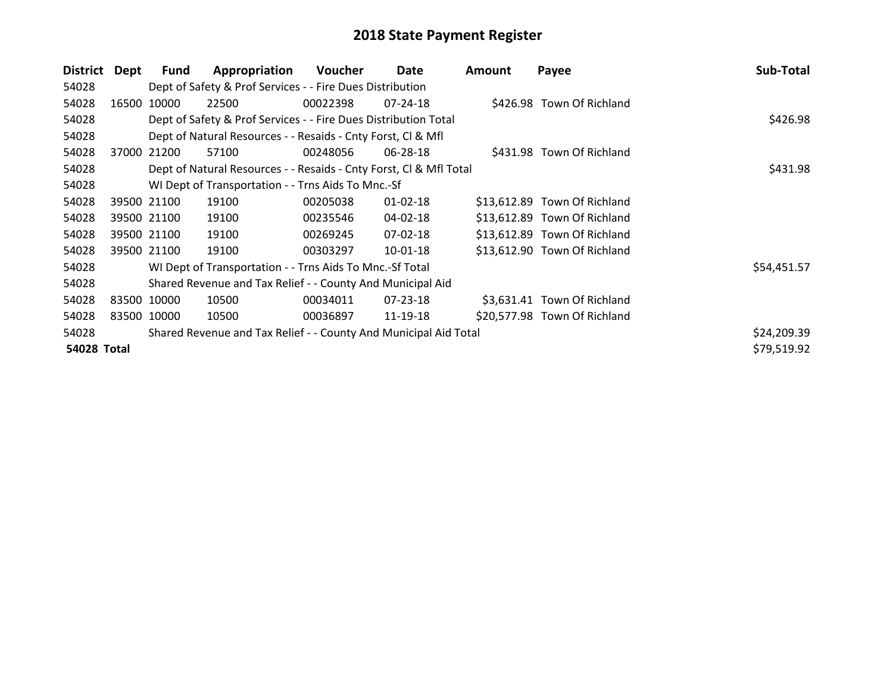| <b>District</b>    | Dept        | Fund        | Appropriation                                                      | Voucher  | Date           | <b>Amount</b> | Payee                        | Sub-Total   |
|--------------------|-------------|-------------|--------------------------------------------------------------------|----------|----------------|---------------|------------------------------|-------------|
| 54028              |             |             | Dept of Safety & Prof Services - - Fire Dues Distribution          |          |                |               |                              |             |
| 54028              | 16500 10000 |             | 22500                                                              | 00022398 | $07 - 24 - 18$ |               | \$426.98 Town Of Richland    |             |
| 54028              |             |             | Dept of Safety & Prof Services - - Fire Dues Distribution Total    |          | \$426.98       |               |                              |             |
| 54028              |             |             | Dept of Natural Resources - - Resaids - Cnty Forst, CI & Mfl       |          |                |               |                              |             |
| 54028              | 37000 21200 |             | 57100                                                              | 00248056 | 06-28-18       |               | \$431.98 Town Of Richland    |             |
| 54028              |             |             | Dept of Natural Resources - - Resaids - Cnty Forst, CI & Mfl Total |          |                |               |                              | \$431.98    |
| 54028              |             |             | WI Dept of Transportation - - Trns Aids To Mnc.-Sf                 |          |                |               |                              |             |
| 54028              |             | 39500 21100 | 19100                                                              | 00205038 | $01 - 02 - 18$ |               | \$13,612.89 Town Of Richland |             |
| 54028              |             | 39500 21100 | 19100                                                              | 00235546 | 04-02-18       |               | \$13,612.89 Town Of Richland |             |
| 54028              |             | 39500 21100 | 19100                                                              | 00269245 | 07-02-18       |               | \$13,612.89 Town Of Richland |             |
| 54028              |             | 39500 21100 | 19100                                                              | 00303297 | 10-01-18       |               | \$13,612.90 Town Of Richland |             |
| 54028              |             |             | WI Dept of Transportation - - Trns Aids To Mnc.-Sf Total           |          |                |               |                              | \$54,451.57 |
| 54028              |             |             | Shared Revenue and Tax Relief - - County And Municipal Aid         |          |                |               |                              |             |
| 54028              |             | 83500 10000 | 10500                                                              | 00034011 | 07-23-18       |               | \$3,631.41 Town Of Richland  |             |
| 54028              |             | 83500 10000 | 10500                                                              | 00036897 | 11-19-18       |               | \$20,577.98 Town Of Richland |             |
| 54028              |             |             | Shared Revenue and Tax Relief - - County And Municipal Aid Total   |          |                |               |                              | \$24,209.39 |
| <b>54028 Total</b> |             |             |                                                                    |          |                |               |                              | \$79,519.92 |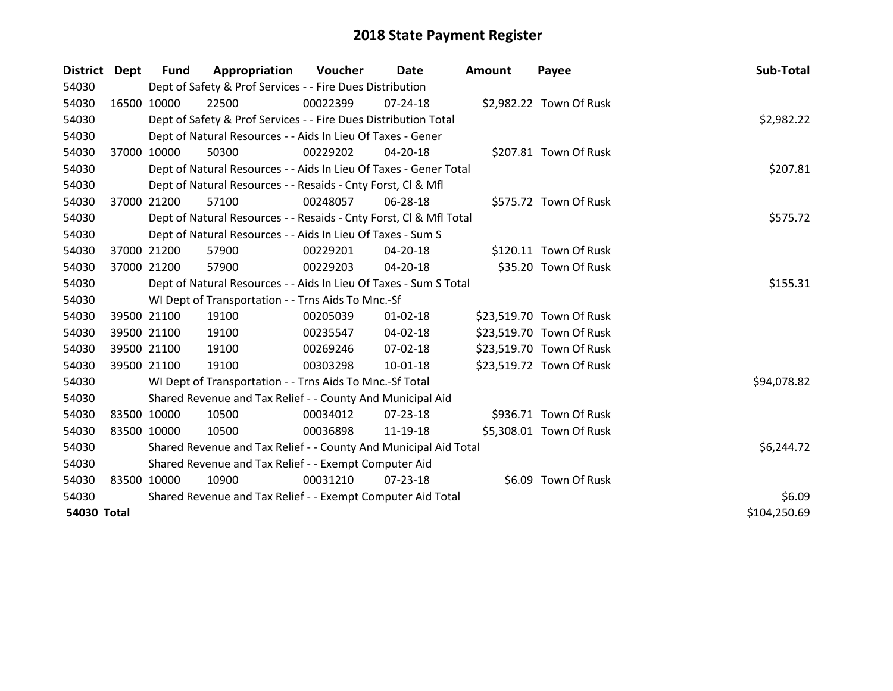| District Dept      |             | <b>Fund</b> | Appropriation                                                      | Voucher  | Date           | <b>Amount</b> | Payee                    | Sub-Total    |
|--------------------|-------------|-------------|--------------------------------------------------------------------|----------|----------------|---------------|--------------------------|--------------|
| 54030              |             |             | Dept of Safety & Prof Services - - Fire Dues Distribution          |          |                |               |                          |              |
| 54030              | 16500 10000 |             | 22500                                                              | 00022399 | $07 - 24 - 18$ |               | \$2,982.22 Town Of Rusk  |              |
| 54030              |             |             | Dept of Safety & Prof Services - - Fire Dues Distribution Total    |          |                |               |                          | \$2,982.22   |
| 54030              |             |             | Dept of Natural Resources - - Aids In Lieu Of Taxes - Gener        |          |                |               |                          |              |
| 54030              | 37000 10000 |             | 50300                                                              | 00229202 | 04-20-18       |               | \$207.81 Town Of Rusk    |              |
| 54030              |             |             | Dept of Natural Resources - - Aids In Lieu Of Taxes - Gener Total  |          |                |               |                          | \$207.81     |
| 54030              |             |             | Dept of Natural Resources - - Resaids - Cnty Forst, Cl & Mfl       |          |                |               |                          |              |
| 54030              | 37000 21200 |             | 57100                                                              | 00248057 | 06-28-18       |               | \$575.72 Town Of Rusk    |              |
| 54030              |             |             | Dept of Natural Resources - - Resaids - Cnty Forst, Cl & Mfl Total | \$575.72 |                |               |                          |              |
| 54030              |             |             | Dept of Natural Resources - - Aids In Lieu Of Taxes - Sum S        |          |                |               |                          |              |
| 54030              |             | 37000 21200 | 57900                                                              | 00229201 | $04 - 20 - 18$ |               | \$120.11 Town Of Rusk    |              |
| 54030              |             | 37000 21200 | 57900                                                              | 00229203 | 04-20-18       |               | \$35.20 Town Of Rusk     |              |
| 54030              |             |             | Dept of Natural Resources - - Aids In Lieu Of Taxes - Sum S Total  |          |                |               |                          | \$155.31     |
| 54030              |             |             | WI Dept of Transportation - - Trns Aids To Mnc.-Sf                 |          |                |               |                          |              |
| 54030              |             | 39500 21100 | 19100                                                              | 00205039 | $01 - 02 - 18$ |               | \$23,519.70 Town Of Rusk |              |
| 54030              |             | 39500 21100 | 19100                                                              | 00235547 | 04-02-18       |               | \$23,519.70 Town Of Rusk |              |
| 54030              | 39500 21100 |             | 19100                                                              | 00269246 | $07 - 02 - 18$ |               | \$23,519.70 Town Of Rusk |              |
| 54030              |             | 39500 21100 | 19100                                                              | 00303298 | 10-01-18       |               | \$23,519.72 Town Of Rusk |              |
| 54030              |             |             | WI Dept of Transportation - - Trns Aids To Mnc.-Sf Total           |          |                |               |                          | \$94,078.82  |
| 54030              |             |             | Shared Revenue and Tax Relief - - County And Municipal Aid         |          |                |               |                          |              |
| 54030              | 83500 10000 |             | 10500                                                              | 00034012 | $07 - 23 - 18$ |               | \$936.71 Town Of Rusk    |              |
| 54030              | 83500 10000 |             | 10500                                                              | 00036898 | 11-19-18       |               | \$5,308.01 Town Of Rusk  |              |
| 54030              |             |             | Shared Revenue and Tax Relief - - County And Municipal Aid Total   |          |                |               |                          | \$6,244.72   |
| 54030              |             |             | Shared Revenue and Tax Relief - - Exempt Computer Aid              |          |                |               |                          |              |
| 54030              | 83500 10000 |             | 10900                                                              | 00031210 | $07 - 23 - 18$ |               | \$6.09 Town Of Rusk      |              |
| 54030              |             |             | Shared Revenue and Tax Relief - - Exempt Computer Aid Total        | \$6.09   |                |               |                          |              |
| <b>54030 Total</b> |             |             |                                                                    |          |                |               |                          | \$104,250.69 |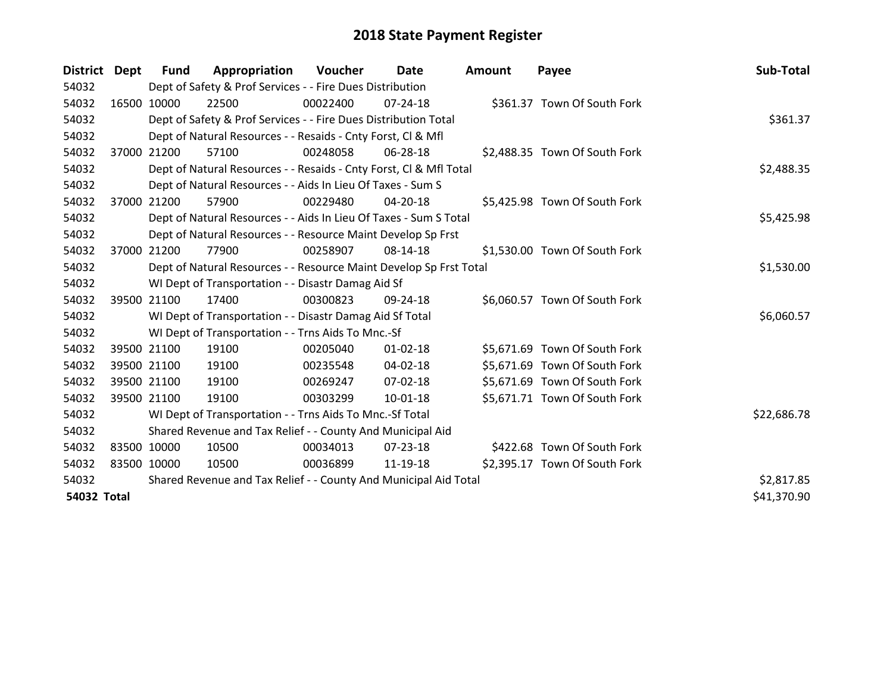| District Dept      |       | <b>Fund</b> | Appropriation                                                      | Voucher  | Date           | <b>Amount</b> | Payee                         | Sub-Total   |
|--------------------|-------|-------------|--------------------------------------------------------------------|----------|----------------|---------------|-------------------------------|-------------|
| 54032              |       |             | Dept of Safety & Prof Services - - Fire Dues Distribution          |          |                |               |                               |             |
| 54032              |       | 16500 10000 | 22500                                                              | 00022400 | 07-24-18       |               | \$361.37 Town Of South Fork   |             |
| 54032              |       |             | Dept of Safety & Prof Services - - Fire Dues Distribution Total    |          |                |               |                               | \$361.37    |
| 54032              |       |             | Dept of Natural Resources - - Resaids - Cnty Forst, CI & Mfl       |          |                |               |                               |             |
| 54032              |       | 37000 21200 | 57100                                                              | 00248058 | 06-28-18       |               | \$2,488.35 Town Of South Fork |             |
| 54032              |       |             | Dept of Natural Resources - - Resaids - Cnty Forst, Cl & Mfl Total |          | \$2,488.35     |               |                               |             |
| 54032              |       |             | Dept of Natural Resources - - Aids In Lieu Of Taxes - Sum S        |          |                |               |                               |             |
| 54032              | 37000 | 21200       | 57900                                                              | 00229480 | $04 - 20 - 18$ |               | \$5,425.98 Town Of South Fork |             |
| 54032              |       |             | Dept of Natural Resources - - Aids In Lieu Of Taxes - Sum S Total  |          |                |               |                               | \$5,425.98  |
| 54032              |       |             | Dept of Natural Resources - - Resource Maint Develop Sp Frst       |          |                |               |                               |             |
| 54032              |       | 37000 21200 | 77900                                                              | 00258907 | 08-14-18       |               | \$1,530.00 Town Of South Fork |             |
| 54032              |       |             | Dept of Natural Resources - - Resource Maint Develop Sp Frst Total |          |                |               |                               | \$1,530.00  |
| 54032              |       |             | WI Dept of Transportation - - Disastr Damag Aid Sf                 |          |                |               |                               |             |
| 54032              |       | 39500 21100 | 17400                                                              | 00300823 | $09 - 24 - 18$ |               | \$6,060.57 Town Of South Fork |             |
| 54032              |       |             | WI Dept of Transportation - - Disastr Damag Aid Sf Total           |          |                |               |                               | \$6,060.57  |
| 54032              |       |             | WI Dept of Transportation - - Trns Aids To Mnc.-Sf                 |          |                |               |                               |             |
| 54032              |       | 39500 21100 | 19100                                                              | 00205040 | $01 - 02 - 18$ |               | \$5,671.69 Town Of South Fork |             |
| 54032              |       | 39500 21100 | 19100                                                              | 00235548 | $04 - 02 - 18$ |               | \$5,671.69 Town Of South Fork |             |
| 54032              |       | 39500 21100 | 19100                                                              | 00269247 | 07-02-18       |               | \$5,671.69 Town Of South Fork |             |
| 54032              |       | 39500 21100 | 19100                                                              | 00303299 | $10 - 01 - 18$ |               | \$5,671.71 Town Of South Fork |             |
| 54032              |       |             | WI Dept of Transportation - - Trns Aids To Mnc.-Sf Total           |          |                |               |                               | \$22,686.78 |
| 54032              |       |             | Shared Revenue and Tax Relief - - County And Municipal Aid         |          |                |               |                               |             |
| 54032              |       | 83500 10000 | 10500                                                              | 00034013 | 07-23-18       |               | \$422.68 Town Of South Fork   |             |
| 54032              |       | 83500 10000 | 10500                                                              | 00036899 | 11-19-18       |               | \$2,395.17 Town Of South Fork |             |
| 54032              |       |             | Shared Revenue and Tax Relief - - County And Municipal Aid Total   |          |                |               |                               | \$2,817.85  |
| <b>54032 Total</b> |       |             |                                                                    |          |                |               |                               | \$41,370.90 |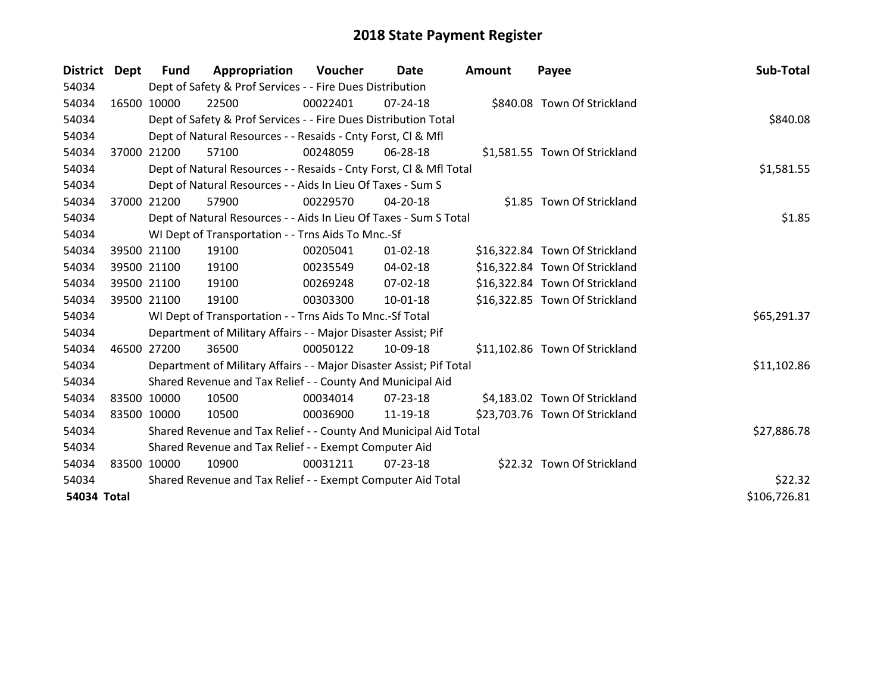| District Dept |             | <b>Fund</b>                                                 | Appropriation                                                       | Voucher  | <b>Date</b>    | <b>Amount</b> | Payee                          | Sub-Total    |
|---------------|-------------|-------------------------------------------------------------|---------------------------------------------------------------------|----------|----------------|---------------|--------------------------------|--------------|
| 54034         |             |                                                             | Dept of Safety & Prof Services - - Fire Dues Distribution           |          |                |               |                                |              |
| 54034         | 16500 10000 |                                                             | 22500                                                               | 00022401 | $07 - 24 - 18$ |               | \$840.08 Town Of Strickland    |              |
| 54034         |             |                                                             | Dept of Safety & Prof Services - - Fire Dues Distribution Total     |          |                |               |                                | \$840.08     |
| 54034         |             |                                                             | Dept of Natural Resources - - Resaids - Cnty Forst, CI & Mfl        |          |                |               |                                |              |
| 54034         |             | 37000 21200                                                 | 57100                                                               | 00248059 | 06-28-18       |               | \$1,581.55 Town Of Strickland  |              |
| 54034         |             |                                                             | Dept of Natural Resources - - Resaids - Cnty Forst, CI & Mfl Total  |          |                |               |                                | \$1,581.55   |
| 54034         |             |                                                             | Dept of Natural Resources - - Aids In Lieu Of Taxes - Sum S         |          |                |               |                                |              |
| 54034         | 37000       | 21200                                                       | 57900                                                               | 00229570 | 04-20-18       |               | \$1.85 Town Of Strickland      |              |
| 54034         |             |                                                             | Dept of Natural Resources - - Aids In Lieu Of Taxes - Sum S Total   |          |                |               |                                | \$1.85       |
| 54034         |             |                                                             | WI Dept of Transportation - - Trns Aids To Mnc.-Sf                  |          |                |               |                                |              |
| 54034         |             | 39500 21100                                                 | 19100                                                               | 00205041 | $01 - 02 - 18$ |               | \$16,322.84 Town Of Strickland |              |
| 54034         |             | 39500 21100                                                 | 19100                                                               | 00235549 | 04-02-18       |               | \$16,322.84 Town Of Strickland |              |
| 54034         |             | 39500 21100                                                 | 19100                                                               | 00269248 | $07 - 02 - 18$ |               | \$16,322.84 Town Of Strickland |              |
| 54034         |             | 39500 21100                                                 | 19100                                                               | 00303300 | 10-01-18       |               | \$16,322.85 Town Of Strickland |              |
| 54034         |             |                                                             | WI Dept of Transportation - - Trns Aids To Mnc.-Sf Total            |          |                |               |                                | \$65,291.37  |
| 54034         |             |                                                             | Department of Military Affairs - - Major Disaster Assist; Pif       |          |                |               |                                |              |
| 54034         | 46500 27200 |                                                             | 36500                                                               | 00050122 | 10-09-18       |               | \$11,102.86 Town Of Strickland |              |
| 54034         |             |                                                             | Department of Military Affairs - - Major Disaster Assist; Pif Total |          |                |               |                                | \$11,102.86  |
| 54034         |             |                                                             | Shared Revenue and Tax Relief - - County And Municipal Aid          |          |                |               |                                |              |
| 54034         | 83500 10000 |                                                             | 10500                                                               | 00034014 | 07-23-18       |               | \$4,183.02 Town Of Strickland  |              |
| 54034         | 83500 10000 |                                                             | 10500                                                               | 00036900 | 11-19-18       |               | \$23,703.76 Town Of Strickland |              |
| 54034         |             |                                                             | Shared Revenue and Tax Relief - - County And Municipal Aid Total    |          | \$27,886.78    |               |                                |              |
| 54034         |             |                                                             | Shared Revenue and Tax Relief - - Exempt Computer Aid               |          |                |               |                                |              |
| 54034         | 83500 10000 |                                                             | 10900                                                               | 00031211 | 07-23-18       |               | \$22.32 Town Of Strickland     |              |
| 54034         |             | Shared Revenue and Tax Relief - - Exempt Computer Aid Total | \$22.32                                                             |          |                |               |                                |              |
| 54034 Total   |             |                                                             |                                                                     |          |                |               |                                | \$106,726.81 |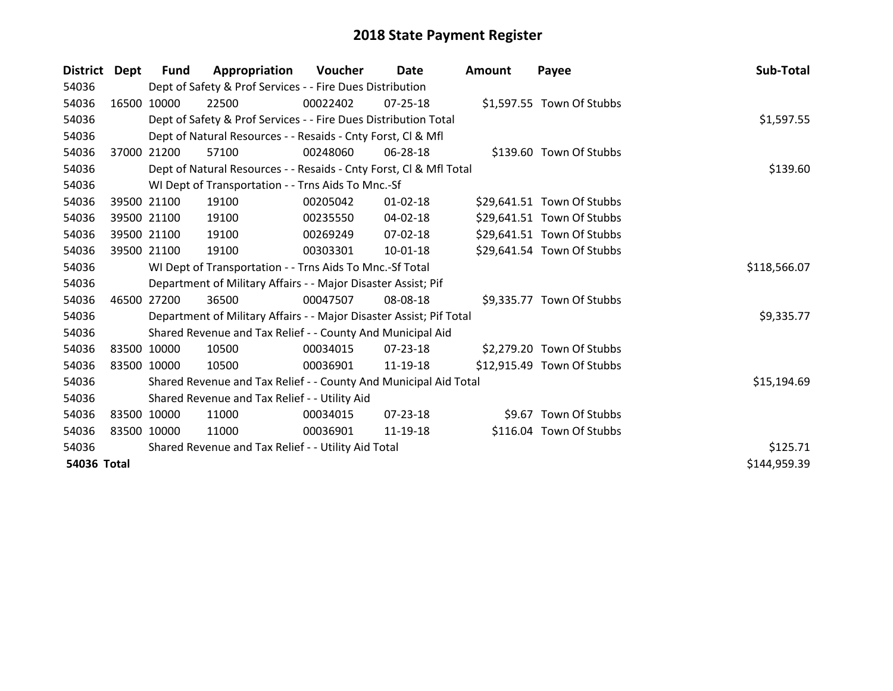| District    | Dept        | <b>Fund</b> | Appropriation                                                       | Voucher  | Date           | Amount | Payee                      | Sub-Total    |
|-------------|-------------|-------------|---------------------------------------------------------------------|----------|----------------|--------|----------------------------|--------------|
| 54036       |             |             | Dept of Safety & Prof Services - - Fire Dues Distribution           |          |                |        |                            |              |
| 54036       |             | 16500 10000 | 22500                                                               | 00022402 | $07 - 25 - 18$ |        | \$1,597.55 Town Of Stubbs  |              |
| 54036       |             |             | Dept of Safety & Prof Services - - Fire Dues Distribution Total     |          |                |        |                            | \$1,597.55   |
| 54036       |             |             | Dept of Natural Resources - - Resaids - Cnty Forst, CI & Mfl        |          |                |        |                            |              |
| 54036       | 37000       | 21200       | 57100                                                               | 00248060 | 06-28-18       |        | \$139.60 Town Of Stubbs    |              |
| 54036       |             |             | Dept of Natural Resources - - Resaids - Cnty Forst, Cl & Mfl Total  |          | \$139.60       |        |                            |              |
| 54036       |             |             | WI Dept of Transportation - - Trns Aids To Mnc.-Sf                  |          |                |        |                            |              |
| 54036       |             | 39500 21100 | 19100                                                               | 00205042 | $01 - 02 - 18$ |        | \$29,641.51 Town Of Stubbs |              |
| 54036       |             | 39500 21100 | 19100                                                               | 00235550 | 04-02-18       |        | \$29,641.51 Town Of Stubbs |              |
| 54036       |             | 39500 21100 | 19100                                                               | 00269249 | $07 - 02 - 18$ |        | \$29,641.51 Town Of Stubbs |              |
| 54036       |             | 39500 21100 | 19100                                                               | 00303301 | 10-01-18       |        | \$29,641.54 Town Of Stubbs |              |
| 54036       |             |             | WI Dept of Transportation - - Trns Aids To Mnc.-Sf Total            |          |                |        |                            | \$118,566.07 |
| 54036       |             |             | Department of Military Affairs - - Major Disaster Assist; Pif       |          |                |        |                            |              |
| 54036       | 46500 27200 |             | 36500                                                               | 00047507 | 08-08-18       |        | \$9,335.77 Town Of Stubbs  |              |
| 54036       |             |             | Department of Military Affairs - - Major Disaster Assist; Pif Total |          |                |        |                            | \$9,335.77   |
| 54036       |             |             | Shared Revenue and Tax Relief - - County And Municipal Aid          |          |                |        |                            |              |
| 54036       |             | 83500 10000 | 10500                                                               | 00034015 | 07-23-18       |        | \$2,279.20 Town Of Stubbs  |              |
| 54036       |             | 83500 10000 | 10500                                                               | 00036901 | 11-19-18       |        | \$12,915.49 Town Of Stubbs |              |
| 54036       |             |             | Shared Revenue and Tax Relief - - County And Municipal Aid Total    |          |                |        |                            | \$15,194.69  |
| 54036       |             |             | Shared Revenue and Tax Relief - - Utility Aid                       |          |                |        |                            |              |
| 54036       |             | 83500 10000 | 11000                                                               | 00034015 | $07 - 23 - 18$ |        | \$9.67 Town Of Stubbs      |              |
| 54036       |             | 83500 10000 | 11000                                                               | 00036901 | 11-19-18       |        | \$116.04 Town Of Stubbs    |              |
| 54036       |             |             | Shared Revenue and Tax Relief - - Utility Aid Total                 | \$125.71 |                |        |                            |              |
| 54036 Total |             |             |                                                                     |          |                |        |                            | \$144,959.39 |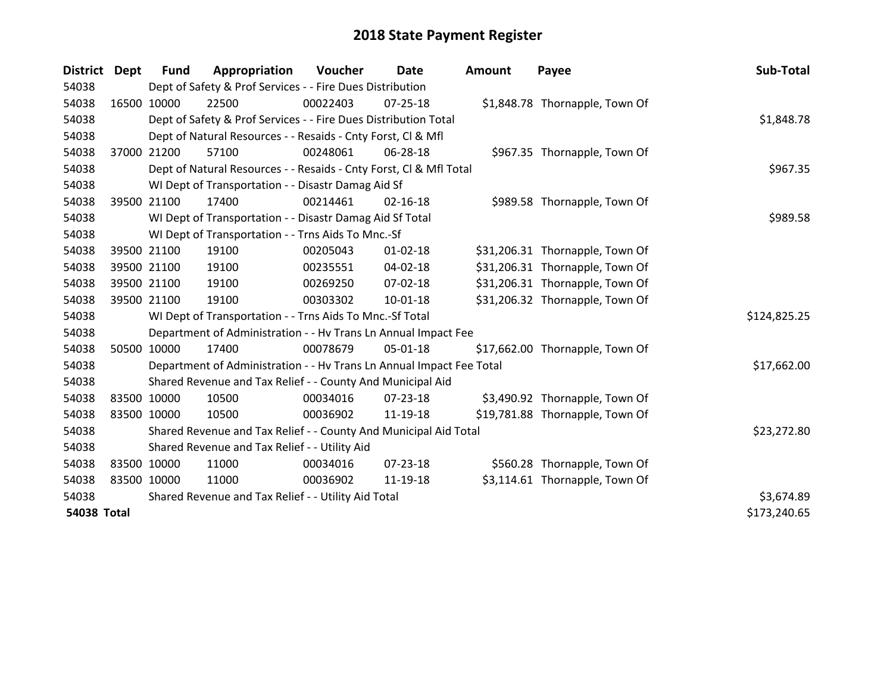| District Dept      | <b>Fund</b>                                         | Appropriation                                                        | Voucher  | Date           | <b>Amount</b> | Payee                           | Sub-Total    |
|--------------------|-----------------------------------------------------|----------------------------------------------------------------------|----------|----------------|---------------|---------------------------------|--------------|
| 54038              |                                                     | Dept of Safety & Prof Services - - Fire Dues Distribution            |          |                |               |                                 |              |
| 54038              | 16500 10000                                         | 22500                                                                | 00022403 | $07 - 25 - 18$ |               | \$1,848.78 Thornapple, Town Of  |              |
| 54038              |                                                     | Dept of Safety & Prof Services - - Fire Dues Distribution Total      |          |                |               |                                 | \$1,848.78   |
| 54038              |                                                     | Dept of Natural Resources - - Resaids - Cnty Forst, Cl & Mfl         |          |                |               |                                 |              |
| 54038              | 37000 21200                                         | 57100                                                                | 00248061 | 06-28-18       |               | \$967.35 Thornapple, Town Of    |              |
| 54038              |                                                     | Dept of Natural Resources - - Resaids - Cnty Forst, Cl & Mfl Total   | \$967.35 |                |               |                                 |              |
| 54038              |                                                     | WI Dept of Transportation - - Disastr Damag Aid Sf                   |          |                |               |                                 |              |
| 54038              | 39500 21100                                         | 17400                                                                | 00214461 | $02 - 16 - 18$ |               | \$989.58 Thornapple, Town Of    |              |
| 54038              |                                                     | WI Dept of Transportation - - Disastr Damag Aid Sf Total             |          |                |               |                                 | \$989.58     |
| 54038              |                                                     | WI Dept of Transportation - - Trns Aids To Mnc.-Sf                   |          |                |               |                                 |              |
| 54038              | 39500 21100                                         | 19100                                                                | 00205043 | $01 - 02 - 18$ |               | \$31,206.31 Thornapple, Town Of |              |
| 54038              | 39500 21100                                         | 19100                                                                | 00235551 | 04-02-18       |               | \$31,206.31 Thornapple, Town Of |              |
| 54038              | 39500 21100                                         | 19100                                                                | 00269250 | 07-02-18       |               | \$31,206.31 Thornapple, Town Of |              |
| 54038              | 39500 21100                                         | 19100                                                                | 00303302 | $10-01-18$     |               | \$31,206.32 Thornapple, Town Of |              |
| 54038              |                                                     | WI Dept of Transportation - - Trns Aids To Mnc.-Sf Total             |          |                |               |                                 | \$124,825.25 |
| 54038              |                                                     | Department of Administration - - Hv Trans Ln Annual Impact Fee       |          |                |               |                                 |              |
| 54038              | 50500 10000                                         | 17400                                                                | 00078679 | 05-01-18       |               | \$17,662.00 Thornapple, Town Of |              |
| 54038              |                                                     | Department of Administration - - Hv Trans Ln Annual Impact Fee Total |          |                |               |                                 | \$17,662.00  |
| 54038              |                                                     | Shared Revenue and Tax Relief - - County And Municipal Aid           |          |                |               |                                 |              |
| 54038              | 83500 10000                                         | 10500                                                                | 00034016 | 07-23-18       |               | \$3,490.92 Thornapple, Town Of  |              |
| 54038              | 83500 10000                                         | 10500                                                                | 00036902 | 11-19-18       |               | \$19,781.88 Thornapple, Town Of |              |
| 54038              |                                                     | Shared Revenue and Tax Relief - - County And Municipal Aid Total     |          |                |               |                                 | \$23,272.80  |
| 54038              |                                                     | Shared Revenue and Tax Relief - - Utility Aid                        |          |                |               |                                 |              |
| 54038              | 83500 10000                                         | 11000                                                                | 00034016 | $07 - 23 - 18$ |               | \$560.28 Thornapple, Town Of    |              |
| 54038              | 83500 10000                                         | 11000                                                                | 00036902 | 11-19-18       |               | \$3,114.61 Thornapple, Town Of  |              |
| 54038              | Shared Revenue and Tax Relief - - Utility Aid Total | \$3,674.89                                                           |          |                |               |                                 |              |
| <b>54038 Total</b> | \$173,240.65                                        |                                                                      |          |                |               |                                 |              |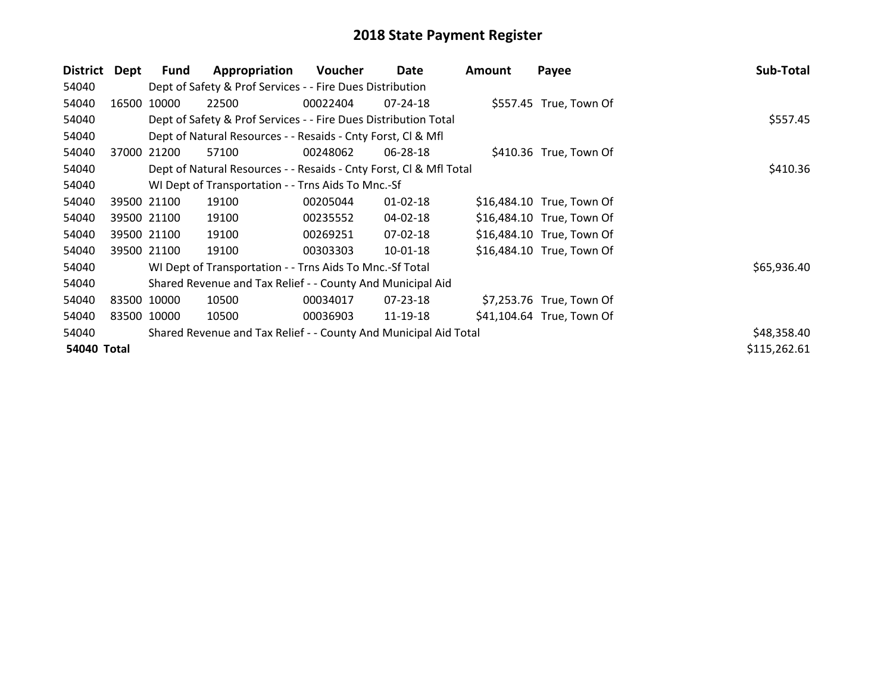| <b>District</b>    | Dept        | <b>Fund</b> | Appropriation                                                      | Voucher  | Date           | Amount | Payee                     | Sub-Total    |
|--------------------|-------------|-------------|--------------------------------------------------------------------|----------|----------------|--------|---------------------------|--------------|
| 54040              |             |             | Dept of Safety & Prof Services - - Fire Dues Distribution          |          |                |        |                           |              |
| 54040              | 16500       | 10000       | 22500                                                              | 00022404 | $07 - 24 - 18$ |        | \$557.45 True, Town Of    |              |
| 54040              |             |             | Dept of Safety & Prof Services - - Fire Dues Distribution Total    |          | \$557.45       |        |                           |              |
| 54040              |             |             | Dept of Natural Resources - - Resaids - Cnty Forst, CI & Mfl       |          |                |        |                           |              |
| 54040              | 37000       | 21200       | 57100                                                              | 00248062 | 06-28-18       |        | \$410.36 True, Town Of    |              |
| 54040              |             |             | Dept of Natural Resources - - Resaids - Cnty Forst, CI & Mfl Total |          |                |        |                           | \$410.36     |
| 54040              |             |             | WI Dept of Transportation - - Trns Aids To Mnc.-Sf                 |          |                |        |                           |              |
| 54040              |             | 39500 21100 | 19100                                                              | 00205044 | 01-02-18       |        | \$16,484.10 True, Town Of |              |
| 54040              |             | 39500 21100 | 19100                                                              | 00235552 | 04-02-18       |        | \$16,484.10 True, Town Of |              |
| 54040              |             | 39500 21100 | 19100                                                              | 00269251 | 07-02-18       |        | \$16,484.10 True, Town Of |              |
| 54040              |             | 39500 21100 | 19100                                                              | 00303303 | 10-01-18       |        | \$16,484.10 True, Town Of |              |
| 54040              |             |             | WI Dept of Transportation - - Trns Aids To Mnc.-Sf Total           |          |                |        |                           | \$65,936.40  |
| 54040              |             |             | Shared Revenue and Tax Relief - - County And Municipal Aid         |          |                |        |                           |              |
| 54040              |             | 83500 10000 | 10500                                                              | 00034017 | 07-23-18       |        | \$7,253.76 True, Town Of  |              |
| 54040              | 83500 10000 |             | 10500                                                              | 00036903 | 11-19-18       |        | \$41,104.64 True, Town Of |              |
| 54040              |             |             | Shared Revenue and Tax Relief - - County And Municipal Aid Total   |          |                |        |                           | \$48,358.40  |
| <b>54040 Total</b> |             |             |                                                                    |          |                |        |                           | \$115,262.61 |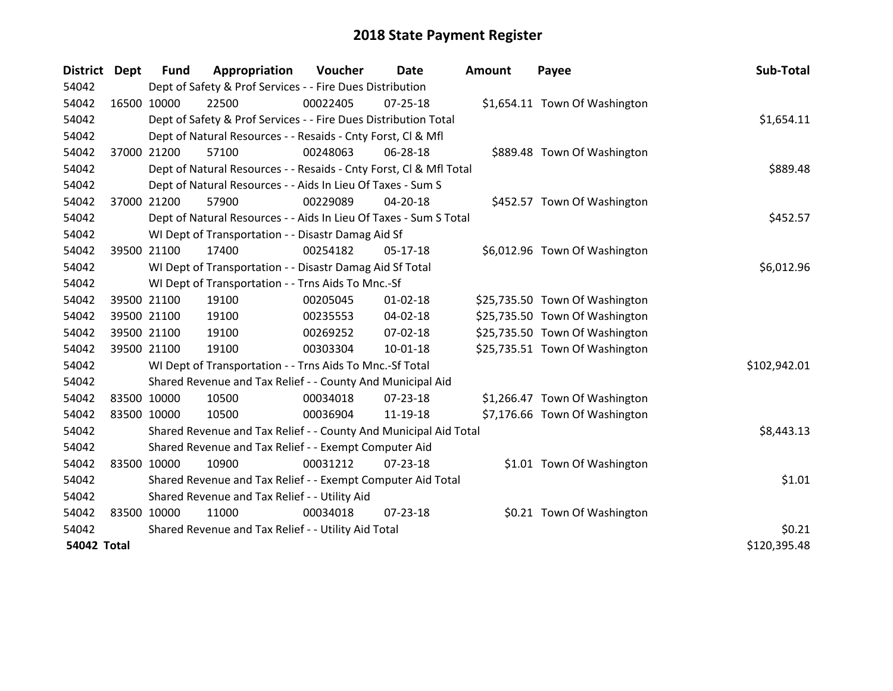| <b>District</b>    | <b>Dept</b> | <b>Fund</b>                                         | Appropriation                                                      | Voucher  | Date           | <b>Amount</b> | Payee                          | Sub-Total    |
|--------------------|-------------|-----------------------------------------------------|--------------------------------------------------------------------|----------|----------------|---------------|--------------------------------|--------------|
| 54042              |             |                                                     | Dept of Safety & Prof Services - - Fire Dues Distribution          |          |                |               |                                |              |
| 54042              | 16500 10000 |                                                     | 22500                                                              | 00022405 | $07 - 25 - 18$ |               | \$1,654.11 Town Of Washington  |              |
| 54042              |             |                                                     | Dept of Safety & Prof Services - - Fire Dues Distribution Total    |          |                |               |                                | \$1,654.11   |
| 54042              |             |                                                     | Dept of Natural Resources - - Resaids - Cnty Forst, Cl & Mfl       |          |                |               |                                |              |
| 54042              | 37000 21200 |                                                     | 57100                                                              | 00248063 | 06-28-18       |               | \$889.48 Town Of Washington    |              |
| 54042              |             |                                                     | Dept of Natural Resources - - Resaids - Cnty Forst, Cl & Mfl Total |          |                |               |                                | \$889.48     |
| 54042              |             |                                                     | Dept of Natural Resources - - Aids In Lieu Of Taxes - Sum S        |          |                |               |                                |              |
| 54042              | 37000 21200 |                                                     | 57900                                                              | 00229089 | $04 - 20 - 18$ |               | \$452.57 Town Of Washington    |              |
| 54042              |             |                                                     | Dept of Natural Resources - - Aids In Lieu Of Taxes - Sum S Total  |          |                |               |                                | \$452.57     |
| 54042              |             |                                                     | WI Dept of Transportation - - Disastr Damag Aid Sf                 |          |                |               |                                |              |
| 54042              | 39500 21100 |                                                     | 17400                                                              | 00254182 | 05-17-18       |               | \$6,012.96 Town Of Washington  |              |
| 54042              |             |                                                     | WI Dept of Transportation - - Disastr Damag Aid Sf Total           |          |                |               |                                | \$6,012.96   |
| 54042              |             |                                                     | WI Dept of Transportation - - Trns Aids To Mnc.-Sf                 |          |                |               |                                |              |
| 54042              |             | 39500 21100                                         | 19100                                                              | 00205045 | $01 - 02 - 18$ |               | \$25,735.50 Town Of Washington |              |
| 54042              |             | 39500 21100                                         | 19100                                                              | 00235553 | $04 - 02 - 18$ |               | \$25,735.50 Town Of Washington |              |
| 54042              | 39500 21100 |                                                     | 19100                                                              | 00269252 | $07-02-18$     |               | \$25,735.50 Town Of Washington |              |
| 54042              | 39500 21100 |                                                     | 19100                                                              | 00303304 | $10 - 01 - 18$ |               | \$25,735.51 Town Of Washington |              |
| 54042              |             |                                                     | WI Dept of Transportation - - Trns Aids To Mnc.-Sf Total           |          |                |               |                                | \$102,942.01 |
| 54042              |             |                                                     | Shared Revenue and Tax Relief - - County And Municipal Aid         |          |                |               |                                |              |
| 54042              | 83500 10000 |                                                     | 10500                                                              | 00034018 | $07 - 23 - 18$ |               | \$1,266.47 Town Of Washington  |              |
| 54042              | 83500 10000 |                                                     | 10500                                                              | 00036904 | 11-19-18       |               | \$7,176.66 Town Of Washington  |              |
| 54042              |             |                                                     | Shared Revenue and Tax Relief - - County And Municipal Aid Total   |          |                |               |                                | \$8,443.13   |
| 54042              |             |                                                     | Shared Revenue and Tax Relief - - Exempt Computer Aid              |          |                |               |                                |              |
| 54042              | 83500 10000 |                                                     | 10900                                                              | 00031212 | $07 - 23 - 18$ |               | \$1.01 Town Of Washington      |              |
| 54042              |             |                                                     | Shared Revenue and Tax Relief - - Exempt Computer Aid Total        |          |                |               |                                | \$1.01       |
| 54042              |             | Shared Revenue and Tax Relief - - Utility Aid       |                                                                    |          |                |               |                                |              |
| 54042              | 83500 10000 |                                                     | 11000                                                              | 00034018 | 07-23-18       |               | \$0.21 Town Of Washington      |              |
| 54042              |             | Shared Revenue and Tax Relief - - Utility Aid Total | \$0.21                                                             |          |                |               |                                |              |
| <b>54042 Total</b> |             |                                                     |                                                                    |          |                |               |                                | \$120,395.48 |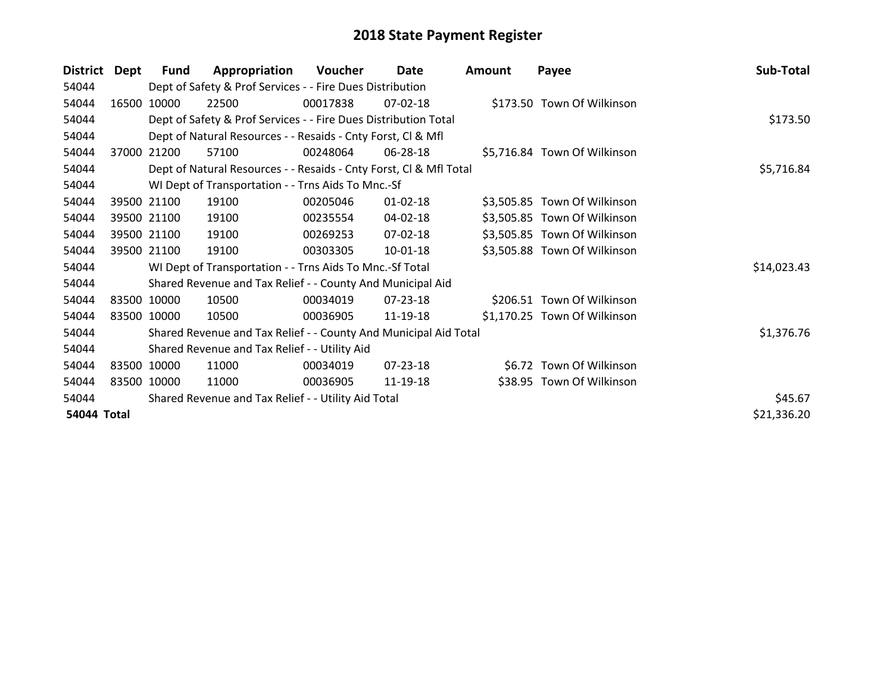| <b>District</b>    | Dept  | <b>Fund</b> | Appropriation                                                      | Voucher    | Date           | <b>Amount</b> | Payee                        | Sub-Total   |
|--------------------|-------|-------------|--------------------------------------------------------------------|------------|----------------|---------------|------------------------------|-------------|
| 54044              |       |             | Dept of Safety & Prof Services - - Fire Dues Distribution          |            |                |               |                              |             |
| 54044              | 16500 | 10000       | 22500                                                              | 00017838   | $07-02-18$     |               | \$173.50 Town Of Wilkinson   |             |
| 54044              |       |             | Dept of Safety & Prof Services - - Fire Dues Distribution Total    | \$173.50   |                |               |                              |             |
| 54044              |       |             | Dept of Natural Resources - - Resaids - Cnty Forst, CI & Mfl       |            |                |               |                              |             |
| 54044              | 37000 | 21200       | 57100                                                              | 00248064   | 06-28-18       |               | \$5,716.84 Town Of Wilkinson |             |
| 54044              |       |             | Dept of Natural Resources - - Resaids - Cnty Forst, Cl & Mfl Total | \$5,716.84 |                |               |                              |             |
| 54044              |       |             | WI Dept of Transportation - - Trns Aids To Mnc.-Sf                 |            |                |               |                              |             |
| 54044              |       | 39500 21100 | 19100                                                              | 00205046   | $01 - 02 - 18$ |               | \$3,505.85 Town Of Wilkinson |             |
| 54044              |       | 39500 21100 | 19100                                                              | 00235554   | 04-02-18       |               | \$3,505.85 Town Of Wilkinson |             |
| 54044              |       | 39500 21100 | 19100                                                              | 00269253   | 07-02-18       |               | \$3,505.85 Town Of Wilkinson |             |
| 54044              |       | 39500 21100 | 19100                                                              | 00303305   | $10-01-18$     |               | \$3,505.88 Town Of Wilkinson |             |
| 54044              |       |             | WI Dept of Transportation - - Trns Aids To Mnc.-Sf Total           |            |                |               |                              | \$14,023.43 |
| 54044              |       |             | Shared Revenue and Tax Relief - - County And Municipal Aid         |            |                |               |                              |             |
| 54044              |       | 83500 10000 | 10500                                                              | 00034019   | 07-23-18       |               | \$206.51 Town Of Wilkinson   |             |
| 54044              |       | 83500 10000 | 10500                                                              | 00036905   | 11-19-18       |               | \$1,170.25 Town Of Wilkinson |             |
| 54044              |       |             | Shared Revenue and Tax Relief - - County And Municipal Aid Total   |            |                |               |                              | \$1,376.76  |
| 54044              |       |             | Shared Revenue and Tax Relief - - Utility Aid                      |            |                |               |                              |             |
| 54044              |       | 83500 10000 | 11000                                                              | 00034019   | 07-23-18       |               | \$6.72 Town Of Wilkinson     |             |
| 54044              |       | 83500 10000 | 11000                                                              | 00036905   | 11-19-18       |               | \$38.95 Town Of Wilkinson    |             |
| 54044              |       |             | Shared Revenue and Tax Relief - - Utility Aid Total                |            |                |               |                              | \$45.67     |
| <b>54044 Total</b> |       |             |                                                                    |            |                |               |                              | \$21,336.20 |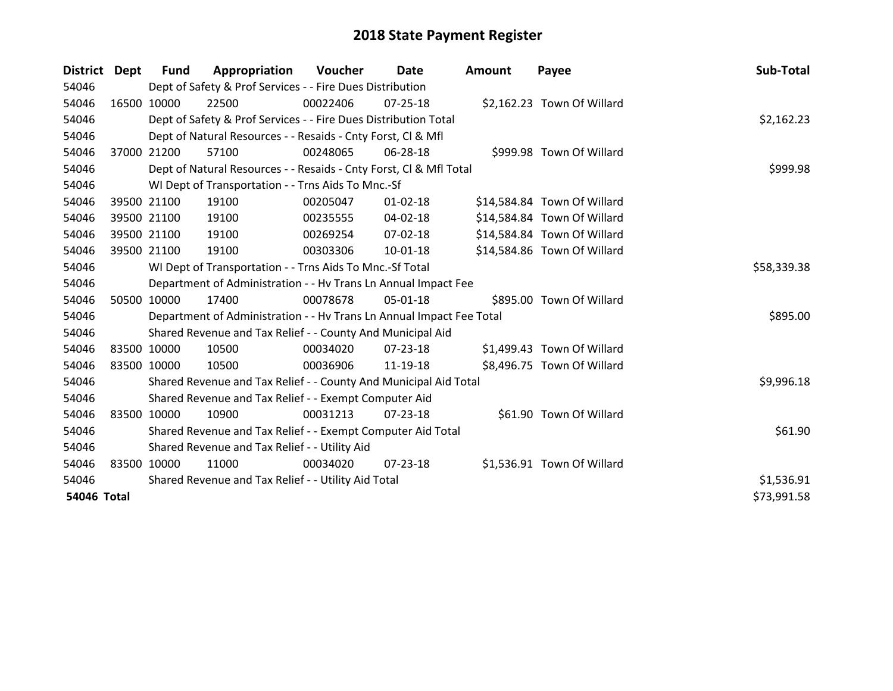| <b>District</b> | Dept        | <b>Fund</b> | Appropriation                                                        | Voucher     | Date           | <b>Amount</b> | Payee                       | Sub-Total   |
|-----------------|-------------|-------------|----------------------------------------------------------------------|-------------|----------------|---------------|-----------------------------|-------------|
| 54046           |             |             | Dept of Safety & Prof Services - - Fire Dues Distribution            |             |                |               |                             |             |
| 54046           | 16500 10000 |             | 22500                                                                | 00022406    | $07 - 25 - 18$ |               | \$2,162.23 Town Of Willard  |             |
| 54046           |             |             | Dept of Safety & Prof Services - - Fire Dues Distribution Total      |             |                |               |                             | \$2,162.23  |
| 54046           |             |             | Dept of Natural Resources - - Resaids - Cnty Forst, CI & Mfl         |             |                |               |                             |             |
| 54046           | 37000 21200 |             | 57100                                                                | 00248065    | 06-28-18       |               | \$999.98 Town Of Willard    |             |
| 54046           |             |             | Dept of Natural Resources - - Resaids - Cnty Forst, Cl & Mfl Total   |             |                |               |                             | \$999.98    |
| 54046           |             |             | WI Dept of Transportation - - Trns Aids To Mnc.-Sf                   |             |                |               |                             |             |
| 54046           |             | 39500 21100 | 19100                                                                | 00205047    | $01 - 02 - 18$ |               | \$14,584.84 Town Of Willard |             |
| 54046           |             | 39500 21100 | 19100                                                                | 00235555    | 04-02-18       |               | \$14,584.84 Town Of Willard |             |
| 54046           | 39500 21100 |             | 19100                                                                | 00269254    | 07-02-18       |               | \$14,584.84 Town Of Willard |             |
| 54046           |             | 39500 21100 | 19100                                                                | 00303306    | $10 - 01 - 18$ |               | \$14,584.86 Town Of Willard |             |
| 54046           |             |             | WI Dept of Transportation - - Trns Aids To Mnc.-Sf Total             | \$58,339.38 |                |               |                             |             |
| 54046           |             |             | Department of Administration - - Hv Trans Ln Annual Impact Fee       |             |                |               |                             |             |
| 54046           |             | 50500 10000 | 17400                                                                | 00078678    | $05 - 01 - 18$ |               | \$895.00 Town Of Willard    |             |
| 54046           |             |             | Department of Administration - - Hv Trans Ln Annual Impact Fee Total |             |                |               |                             | \$895.00    |
| 54046           |             |             | Shared Revenue and Tax Relief - - County And Municipal Aid           |             |                |               |                             |             |
| 54046           | 83500 10000 |             | 10500                                                                | 00034020    | $07 - 23 - 18$ |               | \$1,499.43 Town Of Willard  |             |
| 54046           | 83500 10000 |             | 10500                                                                | 00036906    | 11-19-18       |               | \$8,496.75 Town Of Willard  |             |
| 54046           |             |             | Shared Revenue and Tax Relief - - County And Municipal Aid Total     |             |                |               |                             | \$9,996.18  |
| 54046           |             |             | Shared Revenue and Tax Relief - - Exempt Computer Aid                |             |                |               |                             |             |
| 54046           | 83500 10000 |             | 10900                                                                | 00031213    | $07 - 23 - 18$ |               | \$61.90 Town Of Willard     |             |
| 54046           |             |             | Shared Revenue and Tax Relief - - Exempt Computer Aid Total          |             |                |               |                             | \$61.90     |
| 54046           |             |             | Shared Revenue and Tax Relief - - Utility Aid                        |             |                |               |                             |             |
| 54046           | 83500 10000 |             | 11000                                                                | 00034020    | 07-23-18       |               | \$1,536.91 Town Of Willard  |             |
| 54046           |             |             | Shared Revenue and Tax Relief - - Utility Aid Total                  | \$1,536.91  |                |               |                             |             |
| 54046 Total     |             |             |                                                                      |             |                |               |                             | \$73,991.58 |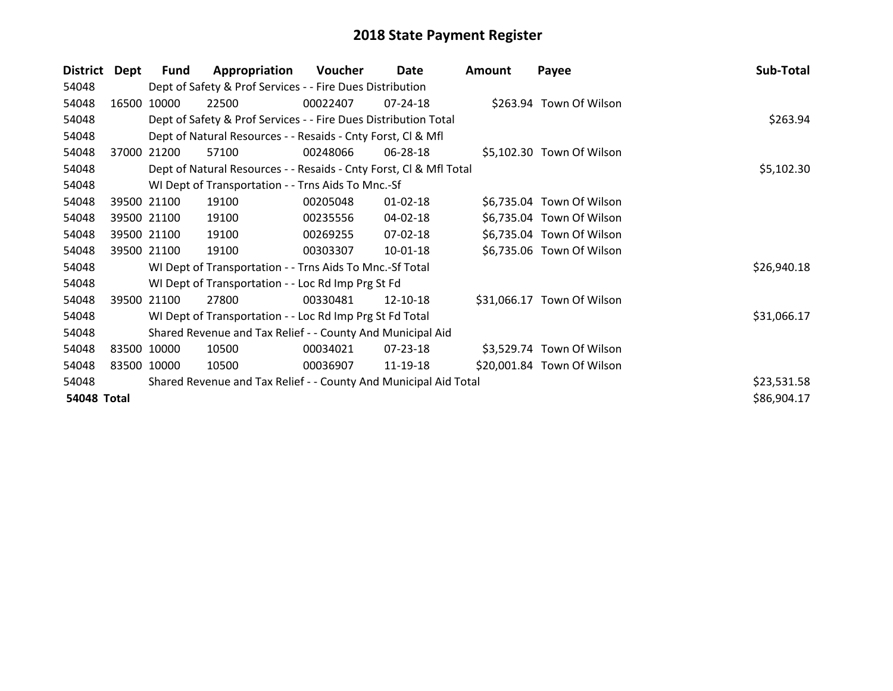| District           | Dept  | Fund        | Appropriation                                                      | Voucher  | Date           | Amount | Payee                      | Sub-Total   |
|--------------------|-------|-------------|--------------------------------------------------------------------|----------|----------------|--------|----------------------------|-------------|
| 54048              |       |             | Dept of Safety & Prof Services - - Fire Dues Distribution          |          |                |        |                            |             |
| 54048              | 16500 | 10000       | 22500                                                              | 00022407 | 07-24-18       |        | \$263.94 Town Of Wilson    |             |
| 54048              |       |             | Dept of Safety & Prof Services - - Fire Dues Distribution Total    |          |                |        |                            | \$263.94    |
| 54048              |       |             | Dept of Natural Resources - - Resaids - Cnty Forst, CI & Mfl       |          |                |        |                            |             |
| 54048              | 37000 | 21200       | 57100                                                              | 00248066 | 06-28-18       |        | \$5,102.30 Town Of Wilson  |             |
| 54048              |       |             | Dept of Natural Resources - - Resaids - Cnty Forst, Cl & Mfl Total |          |                |        |                            | \$5,102.30  |
| 54048              |       |             | WI Dept of Transportation - - Trns Aids To Mnc.-Sf                 |          |                |        |                            |             |
| 54048              |       | 39500 21100 | 19100                                                              | 00205048 | $01 - 02 - 18$ |        | \$6,735.04 Town Of Wilson  |             |
| 54048              |       | 39500 21100 | 19100                                                              | 00235556 | 04-02-18       |        | \$6,735.04 Town Of Wilson  |             |
| 54048              |       | 39500 21100 | 19100                                                              | 00269255 | 07-02-18       |        | \$6,735.04 Town Of Wilson  |             |
| 54048              |       | 39500 21100 | 19100                                                              | 00303307 | 10-01-18       |        | \$6,735.06 Town Of Wilson  |             |
| 54048              |       |             | WI Dept of Transportation - - Trns Aids To Mnc.-Sf Total           |          |                |        |                            | \$26,940.18 |
| 54048              |       |             | WI Dept of Transportation - - Loc Rd Imp Prg St Fd                 |          |                |        |                            |             |
| 54048              |       | 39500 21100 | 27800                                                              | 00330481 | 12-10-18       |        | \$31,066.17 Town Of Wilson |             |
| 54048              |       |             | WI Dept of Transportation - - Loc Rd Imp Prg St Fd Total           |          |                |        |                            | \$31,066.17 |
| 54048              |       |             | Shared Revenue and Tax Relief - - County And Municipal Aid         |          |                |        |                            |             |
| 54048              |       | 83500 10000 | 10500                                                              | 00034021 | 07-23-18       |        | \$3,529.74 Town Of Wilson  |             |
| 54048              |       | 83500 10000 | 10500                                                              | 00036907 | 11-19-18       |        | \$20,001.84 Town Of Wilson |             |
| 54048              |       |             | Shared Revenue and Tax Relief - - County And Municipal Aid Total   |          |                |        |                            | \$23,531.58 |
| <b>54048 Total</b> |       |             |                                                                    |          |                |        |                            | \$86,904.17 |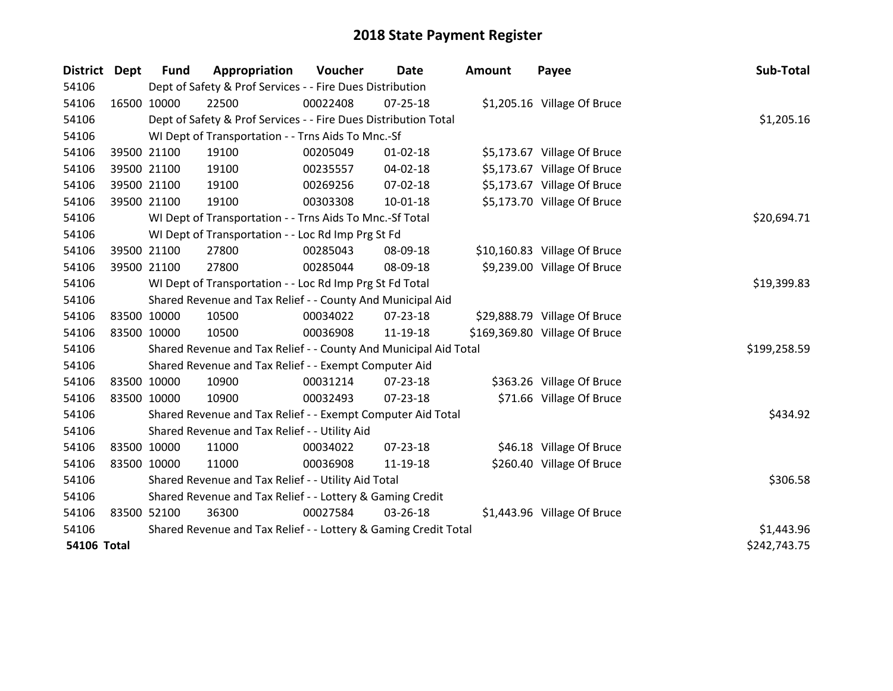| District Dept      |             | <b>Fund</b> | Appropriation                                                    | Voucher     | Date           | Amount | Payee                         | Sub-Total    |
|--------------------|-------------|-------------|------------------------------------------------------------------|-------------|----------------|--------|-------------------------------|--------------|
| 54106              |             |             | Dept of Safety & Prof Services - - Fire Dues Distribution        |             |                |        |                               |              |
| 54106              | 16500 10000 |             | 22500                                                            | 00022408    | $07 - 25 - 18$ |        | \$1,205.16 Village Of Bruce   |              |
| 54106              |             |             | Dept of Safety & Prof Services - - Fire Dues Distribution Total  |             |                |        |                               | \$1,205.16   |
| 54106              |             |             | WI Dept of Transportation - - Trns Aids To Mnc.-Sf               |             |                |        |                               |              |
| 54106              |             | 39500 21100 | 19100                                                            | 00205049    | $01 - 02 - 18$ |        | \$5,173.67 Village Of Bruce   |              |
| 54106              |             | 39500 21100 | 19100                                                            | 00235557    | $04 - 02 - 18$ |        | \$5,173.67 Village Of Bruce   |              |
| 54106              |             | 39500 21100 | 19100                                                            | 00269256    | $07 - 02 - 18$ |        | \$5,173.67 Village Of Bruce   |              |
| 54106              |             | 39500 21100 | 19100                                                            | 00303308    | $10 - 01 - 18$ |        | \$5,173.70 Village Of Bruce   |              |
| 54106              |             |             | WI Dept of Transportation - - Trns Aids To Mnc.-Sf Total         | \$20,694.71 |                |        |                               |              |
| 54106              |             |             | WI Dept of Transportation - - Loc Rd Imp Prg St Fd               |             |                |        |                               |              |
| 54106              |             | 39500 21100 | 27800                                                            | 00285043    | 08-09-18       |        | \$10,160.83 Village Of Bruce  |              |
| 54106              |             | 39500 21100 | 27800                                                            | 00285044    | 08-09-18       |        | \$9,239.00 Village Of Bruce   |              |
| 54106              |             |             | WI Dept of Transportation - - Loc Rd Imp Prg St Fd Total         | \$19,399.83 |                |        |                               |              |
| 54106              |             |             | Shared Revenue and Tax Relief - - County And Municipal Aid       |             |                |        |                               |              |
| 54106              |             | 83500 10000 | 10500                                                            | 00034022    | 07-23-18       |        | \$29,888.79 Village Of Bruce  |              |
| 54106              | 83500 10000 |             | 10500                                                            | 00036908    | 11-19-18       |        | \$169,369.80 Village Of Bruce |              |
| 54106              |             |             | Shared Revenue and Tax Relief - - County And Municipal Aid Total |             |                |        |                               | \$199,258.59 |
| 54106              |             |             | Shared Revenue and Tax Relief - - Exempt Computer Aid            |             |                |        |                               |              |
| 54106              | 83500 10000 |             | 10900                                                            | 00031214    | 07-23-18       |        | \$363.26 Village Of Bruce     |              |
| 54106              | 83500 10000 |             | 10900                                                            | 00032493    | $07 - 23 - 18$ |        | \$71.66 Village Of Bruce      |              |
| 54106              |             |             | Shared Revenue and Tax Relief - - Exempt Computer Aid Total      |             |                |        |                               | \$434.92     |
| 54106              |             |             | Shared Revenue and Tax Relief - - Utility Aid                    |             |                |        |                               |              |
| 54106              | 83500 10000 |             | 11000                                                            | 00034022    | $07 - 23 - 18$ |        | \$46.18 Village Of Bruce      |              |
| 54106              | 83500 10000 |             | 11000                                                            | 00036908    | 11-19-18       |        | \$260.40 Village Of Bruce     |              |
| 54106              |             |             | Shared Revenue and Tax Relief - - Utility Aid Total              |             |                |        |                               | \$306.58     |
| 54106              |             |             | Shared Revenue and Tax Relief - - Lottery & Gaming Credit        |             |                |        |                               |              |
| 54106              | 83500 52100 |             | 36300                                                            | 00027584    | 03-26-18       |        | \$1,443.96 Village Of Bruce   |              |
| 54106              |             |             | Shared Revenue and Tax Relief - - Lottery & Gaming Credit Total  |             |                |        |                               | \$1,443.96   |
| <b>54106 Total</b> |             |             |                                                                  |             |                |        |                               | \$242,743.75 |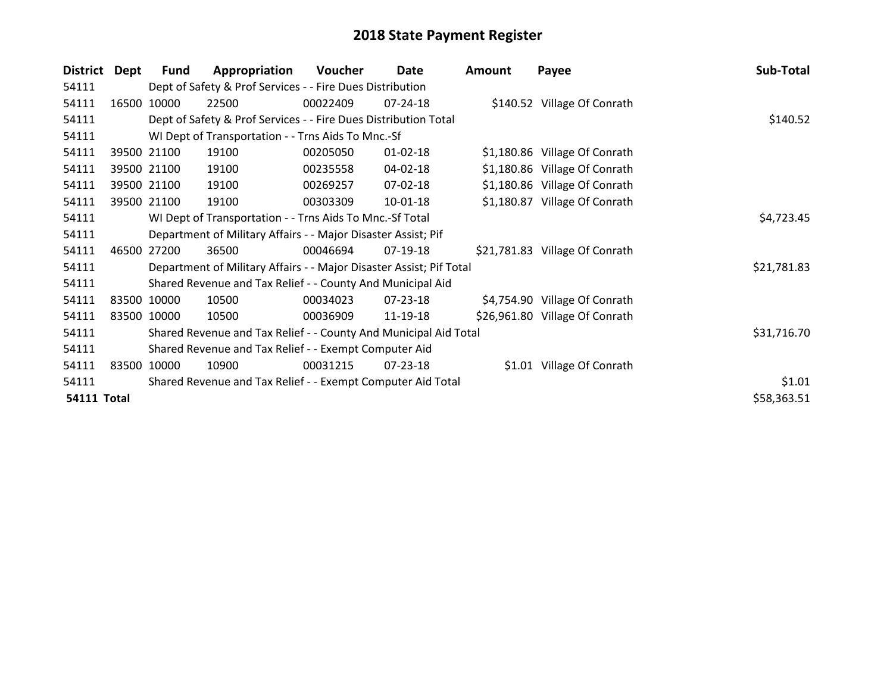| <b>District</b>    | Dept  | Fund        | Appropriation                                                       | <b>Voucher</b> | Date           | Amount | Payee                          | Sub-Total   |
|--------------------|-------|-------------|---------------------------------------------------------------------|----------------|----------------|--------|--------------------------------|-------------|
| 54111              |       |             | Dept of Safety & Prof Services - - Fire Dues Distribution           |                |                |        |                                |             |
| 54111              |       | 16500 10000 | 22500                                                               | 00022409       | 07-24-18       |        | \$140.52 Village Of Conrath    |             |
| 54111              |       |             | Dept of Safety & Prof Services - - Fire Dues Distribution Total     |                |                |        |                                | \$140.52    |
| 54111              |       |             | WI Dept of Transportation - - Trns Aids To Mnc.-Sf                  |                |                |        |                                |             |
| 54111              |       | 39500 21100 | 19100                                                               | 00205050       | $01 - 02 - 18$ |        | \$1,180.86 Village Of Conrath  |             |
| 54111              |       | 39500 21100 | 19100                                                               | 00235558       | 04-02-18       |        | \$1,180.86 Village Of Conrath  |             |
| 54111              |       | 39500 21100 | 19100                                                               | 00269257       | 07-02-18       |        | \$1,180.86 Village Of Conrath  |             |
| 54111              |       | 39500 21100 | 19100                                                               | 00303309       | $10-01-18$     |        | \$1,180.87 Village Of Conrath  |             |
| 54111              |       |             | WI Dept of Transportation - - Trns Aids To Mnc.-Sf Total            |                |                |        |                                | \$4,723.45  |
| 54111              |       |             | Department of Military Affairs - - Major Disaster Assist; Pif       |                |                |        |                                |             |
| 54111              | 46500 | 27200       | 36500                                                               | 00046694       | 07-19-18       |        | \$21,781.83 Village Of Conrath |             |
| 54111              |       |             | Department of Military Affairs - - Major Disaster Assist; Pif Total |                |                |        |                                | \$21,781.83 |
| 54111              |       |             | Shared Revenue and Tax Relief - - County And Municipal Aid          |                |                |        |                                |             |
| 54111              |       | 83500 10000 | 10500                                                               | 00034023       | $07 - 23 - 18$ |        | \$4,754.90 Village Of Conrath  |             |
| 54111              |       | 83500 10000 | 10500                                                               | 00036909       | 11-19-18       |        | \$26,961.80 Village Of Conrath |             |
| 54111              |       |             | Shared Revenue and Tax Relief - - County And Municipal Aid Total    |                |                |        |                                | \$31,716.70 |
| 54111              |       |             | Shared Revenue and Tax Relief - - Exempt Computer Aid               |                |                |        |                                |             |
| 54111              |       | 83500 10000 | 10900                                                               | 00031215       | $07 - 23 - 18$ |        | \$1.01 Village Of Conrath      |             |
| 54111              |       |             | Shared Revenue and Tax Relief - - Exempt Computer Aid Total         |                |                |        |                                | \$1.01      |
| <b>54111 Total</b> |       |             |                                                                     |                |                |        |                                | \$58,363.51 |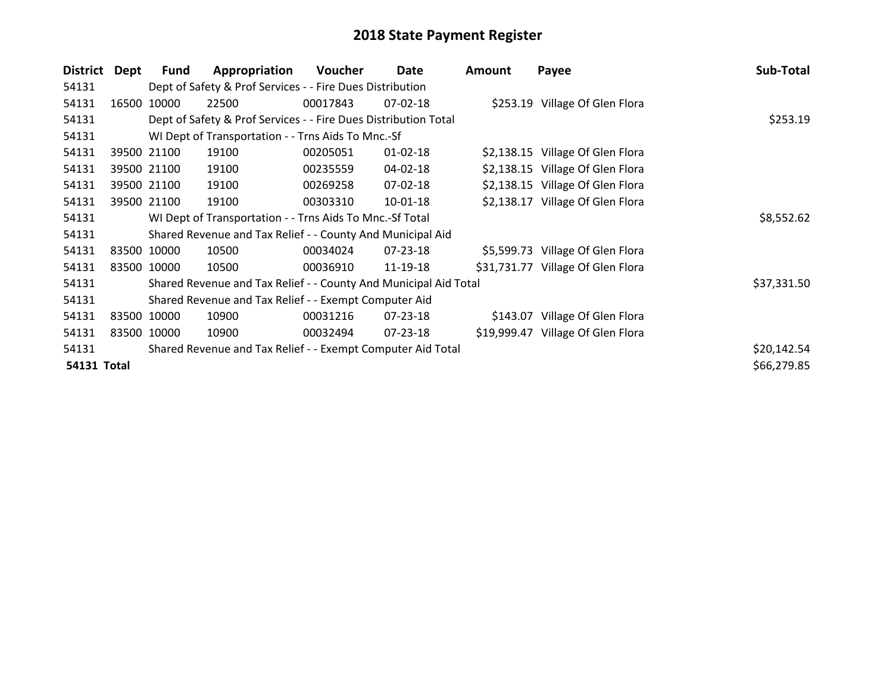| <b>District</b>    | Dept | <b>Fund</b> | Appropriation                                                    | Voucher  | Date           | Amount | Payee                             | Sub-Total   |
|--------------------|------|-------------|------------------------------------------------------------------|----------|----------------|--------|-----------------------------------|-------------|
| 54131              |      |             | Dept of Safety & Prof Services - - Fire Dues Distribution        |          |                |        |                                   |             |
| 54131              |      | 16500 10000 | 22500                                                            | 00017843 | $07 - 02 - 18$ |        | \$253.19 Village Of Glen Flora    |             |
| 54131              |      |             | Dept of Safety & Prof Services - - Fire Dues Distribution Total  |          |                |        |                                   | \$253.19    |
| 54131              |      |             | WI Dept of Transportation - - Trns Aids To Mnc.-Sf               |          |                |        |                                   |             |
| 54131              |      | 39500 21100 | 19100                                                            | 00205051 | $01 - 02 - 18$ |        | \$2,138.15 Village Of Glen Flora  |             |
| 54131              |      | 39500 21100 | 19100                                                            | 00235559 | 04-02-18       |        | \$2,138.15 Village Of Glen Flora  |             |
| 54131              |      | 39500 21100 | 19100                                                            | 00269258 | 07-02-18       |        | \$2,138.15 Village Of Glen Flora  |             |
| 54131              |      | 39500 21100 | 19100                                                            | 00303310 | $10 - 01 - 18$ |        | \$2,138.17 Village Of Glen Flora  |             |
| 54131              |      |             | WI Dept of Transportation - - Trns Aids To Mnc.-Sf Total         |          |                |        |                                   | \$8,552.62  |
| 54131              |      |             | Shared Revenue and Tax Relief - - County And Municipal Aid       |          |                |        |                                   |             |
| 54131              |      | 83500 10000 | 10500                                                            | 00034024 | $07 - 23 - 18$ |        | \$5,599.73 Village Of Glen Flora  |             |
| 54131              |      | 83500 10000 | 10500                                                            | 00036910 | 11-19-18       |        | \$31,731.77 Village Of Glen Flora |             |
| 54131              |      |             | Shared Revenue and Tax Relief - - County And Municipal Aid Total |          |                |        |                                   | \$37,331.50 |
| 54131              |      |             | Shared Revenue and Tax Relief - - Exempt Computer Aid            |          |                |        |                                   |             |
| 54131              |      | 83500 10000 | 10900                                                            | 00031216 | 07-23-18       |        | \$143.07 Village Of Glen Flora    |             |
| 54131              |      | 83500 10000 | 10900                                                            | 00032494 | $07 - 23 - 18$ |        | \$19,999.47 Village Of Glen Flora |             |
| 54131              |      |             | Shared Revenue and Tax Relief - - Exempt Computer Aid Total      |          |                |        |                                   | \$20,142.54 |
| <b>54131 Total</b> |      |             |                                                                  |          |                |        |                                   | \$66,279.85 |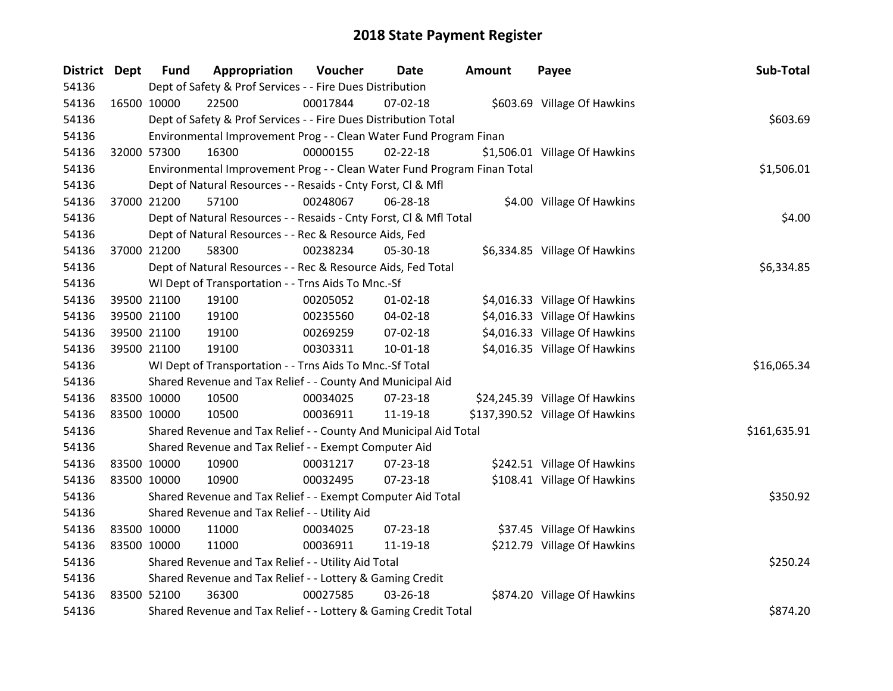| <b>District Dept</b> |             | <b>Fund</b> | Appropriation                                                           | Voucher  | Date           | Amount | Payee                           | Sub-Total    |
|----------------------|-------------|-------------|-------------------------------------------------------------------------|----------|----------------|--------|---------------------------------|--------------|
| 54136                |             |             | Dept of Safety & Prof Services - - Fire Dues Distribution               |          |                |        |                                 |              |
| 54136                | 16500 10000 |             | 22500                                                                   | 00017844 | 07-02-18       |        | \$603.69 Village Of Hawkins     |              |
| 54136                |             |             | Dept of Safety & Prof Services - - Fire Dues Distribution Total         |          |                |        |                                 | \$603.69     |
| 54136                |             |             | Environmental Improvement Prog - - Clean Water Fund Program Finan       |          |                |        |                                 |              |
| 54136                | 32000 57300 |             | 16300                                                                   | 00000155 | $02 - 22 - 18$ |        | \$1,506.01 Village Of Hawkins   |              |
| 54136                |             |             | Environmental Improvement Prog - - Clean Water Fund Program Finan Total |          |                |        |                                 | \$1,506.01   |
| 54136                |             |             | Dept of Natural Resources - - Resaids - Cnty Forst, Cl & Mfl            |          |                |        |                                 |              |
| 54136                | 37000 21200 |             | 57100                                                                   | 00248067 | 06-28-18       |        | \$4.00 Village Of Hawkins       |              |
| 54136                |             |             | Dept of Natural Resources - - Resaids - Cnty Forst, Cl & Mfl Total      |          |                |        |                                 | \$4.00       |
| 54136                |             |             | Dept of Natural Resources - - Rec & Resource Aids, Fed                  |          |                |        |                                 |              |
| 54136                | 37000 21200 |             | 58300                                                                   | 00238234 | 05-30-18       |        | \$6,334.85 Village Of Hawkins   |              |
| 54136                |             |             | Dept of Natural Resources - - Rec & Resource Aids, Fed Total            |          |                |        |                                 | \$6,334.85   |
| 54136                |             |             | WI Dept of Transportation - - Trns Aids To Mnc.-Sf                      |          |                |        |                                 |              |
| 54136                |             | 39500 21100 | 19100                                                                   | 00205052 | $01 - 02 - 18$ |        | \$4,016.33 Village Of Hawkins   |              |
| 54136                |             | 39500 21100 | 19100                                                                   | 00235560 | 04-02-18       |        | \$4,016.33 Village Of Hawkins   |              |
| 54136                |             | 39500 21100 | 19100                                                                   | 00269259 | 07-02-18       |        | \$4,016.33 Village Of Hawkins   |              |
| 54136                | 39500 21100 |             | 19100                                                                   | 00303311 | $10 - 01 - 18$ |        | \$4,016.35 Village Of Hawkins   |              |
| 54136                |             |             | WI Dept of Transportation - - Trns Aids To Mnc.-Sf Total                |          |                |        |                                 | \$16,065.34  |
| 54136                |             |             | Shared Revenue and Tax Relief - - County And Municipal Aid              |          |                |        |                                 |              |
| 54136                | 83500 10000 |             | 10500                                                                   | 00034025 | $07 - 23 - 18$ |        | \$24,245.39 Village Of Hawkins  |              |
| 54136                | 83500 10000 |             | 10500                                                                   | 00036911 | 11-19-18       |        | \$137,390.52 Village Of Hawkins |              |
| 54136                |             |             | Shared Revenue and Tax Relief - - County And Municipal Aid Total        |          |                |        |                                 | \$161,635.91 |
| 54136                |             |             | Shared Revenue and Tax Relief - - Exempt Computer Aid                   |          |                |        |                                 |              |
| 54136                | 83500 10000 |             | 10900                                                                   | 00031217 | 07-23-18       |        | \$242.51 Village Of Hawkins     |              |
| 54136                | 83500 10000 |             | 10900                                                                   | 00032495 | 07-23-18       |        | \$108.41 Village Of Hawkins     |              |
| 54136                |             |             | Shared Revenue and Tax Relief - - Exempt Computer Aid Total             |          |                |        |                                 | \$350.92     |
| 54136                |             |             | Shared Revenue and Tax Relief - - Utility Aid                           |          |                |        |                                 |              |
| 54136                | 83500 10000 |             | 11000                                                                   | 00034025 | 07-23-18       |        | \$37.45 Village Of Hawkins      |              |
| 54136                | 83500 10000 |             | 11000                                                                   | 00036911 | 11-19-18       |        | \$212.79 Village Of Hawkins     |              |
| 54136                |             |             | Shared Revenue and Tax Relief - - Utility Aid Total                     |          |                |        |                                 | \$250.24     |
| 54136                |             |             | Shared Revenue and Tax Relief - - Lottery & Gaming Credit               |          |                |        |                                 |              |
| 54136                | 83500 52100 |             | 36300                                                                   | 00027585 | 03-26-18       |        | \$874.20 Village Of Hawkins     |              |
| 54136                |             |             | Shared Revenue and Tax Relief - - Lottery & Gaming Credit Total         |          |                |        |                                 | \$874.20     |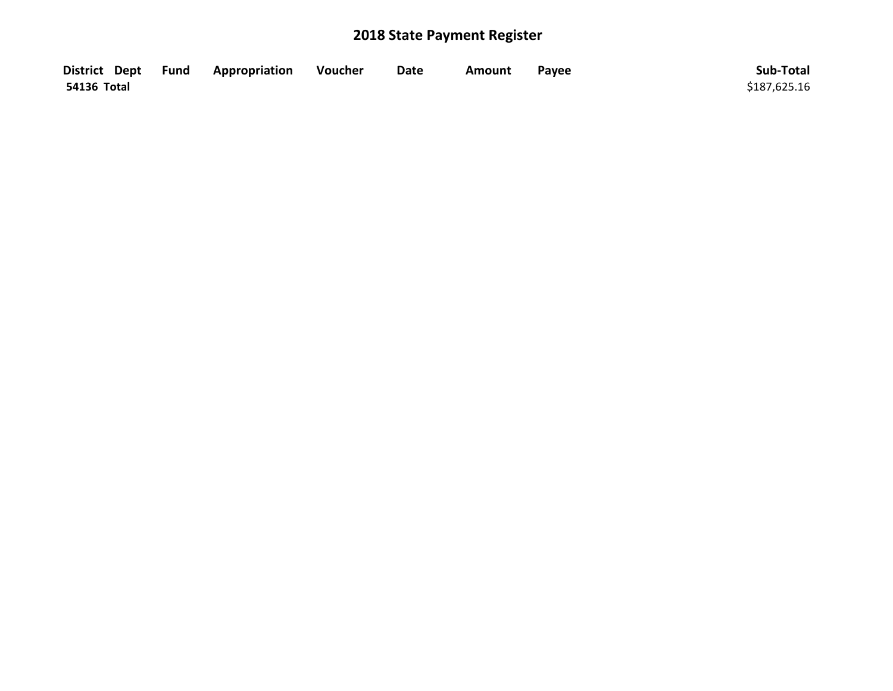|             | District Dept Fund Appropriation | Voucher | <b>Date</b> | Amount | Payee | Sub-Total    |
|-------------|----------------------------------|---------|-------------|--------|-------|--------------|
| 54136 Total |                                  |         |             |        |       | \$187,625.16 |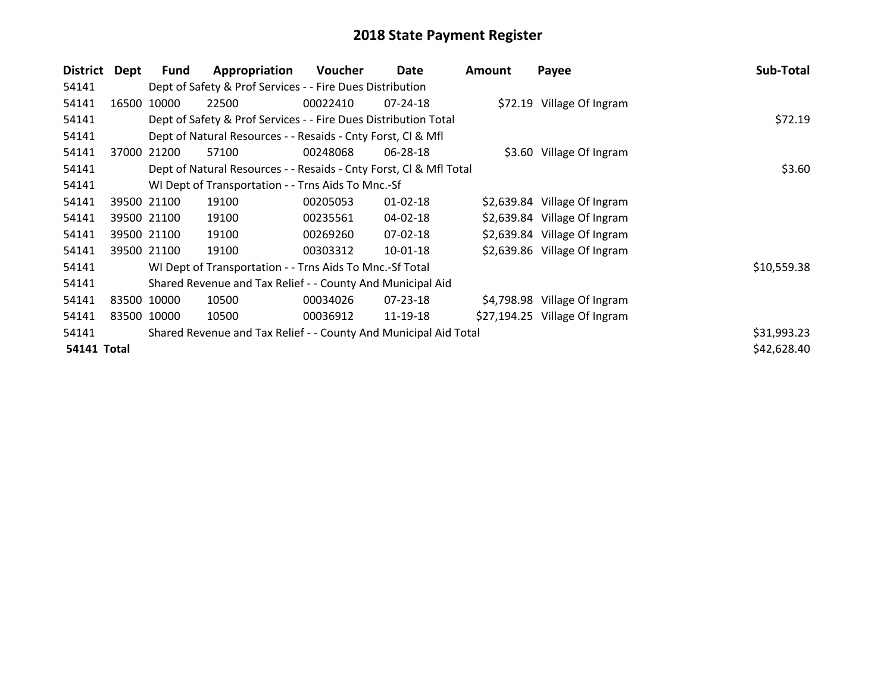| District           | Dept        | Fund        | Appropriation                                                      | Voucher  | Date           | <b>Amount</b> | Payee                         | Sub-Total   |
|--------------------|-------------|-------------|--------------------------------------------------------------------|----------|----------------|---------------|-------------------------------|-------------|
| 54141              |             |             | Dept of Safety & Prof Services - - Fire Dues Distribution          |          |                |               |                               |             |
| 54141              | 16500       | 10000       | 22500                                                              | 00022410 | $07 - 24 - 18$ |               | \$72.19 Village Of Ingram     |             |
| 54141              |             |             | Dept of Safety & Prof Services - - Fire Dues Distribution Total    |          | \$72.19        |               |                               |             |
| 54141              |             |             | Dept of Natural Resources - - Resaids - Cnty Forst, CI & Mfl       |          |                |               |                               |             |
| 54141              | 37000 21200 |             | 57100                                                              | 00248068 | 06-28-18       |               | \$3.60 Village Of Ingram      |             |
| 54141              |             |             | Dept of Natural Resources - - Resaids - Cnty Forst, CI & Mfl Total |          |                |               |                               | \$3.60      |
| 54141              |             |             | WI Dept of Transportation - - Trns Aids To Mnc.-Sf                 |          |                |               |                               |             |
| 54141              | 39500 21100 |             | 19100                                                              | 00205053 | $01 - 02 - 18$ |               | \$2,639.84 Village Of Ingram  |             |
| 54141              |             | 39500 21100 | 19100                                                              | 00235561 | 04-02-18       |               | \$2,639.84 Village Of Ingram  |             |
| 54141              |             | 39500 21100 | 19100                                                              | 00269260 | 07-02-18       |               | \$2,639.84 Village Of Ingram  |             |
| 54141              |             | 39500 21100 | 19100                                                              | 00303312 | 10-01-18       |               | \$2,639.86 Village Of Ingram  |             |
| 54141              |             |             | WI Dept of Transportation - - Trns Aids To Mnc.-Sf Total           |          |                |               |                               | \$10,559.38 |
| 54141              |             |             | Shared Revenue and Tax Relief - - County And Municipal Aid         |          |                |               |                               |             |
| 54141              |             | 83500 10000 | 10500                                                              | 00034026 | 07-23-18       |               | \$4,798.98 Village Of Ingram  |             |
| 54141              | 83500 10000 |             | 10500                                                              | 00036912 | 11-19-18       |               | \$27,194.25 Village Of Ingram |             |
| 54141              |             |             | Shared Revenue and Tax Relief - - County And Municipal Aid Total   |          |                |               |                               | \$31,993.23 |
| <b>54141 Total</b> |             |             |                                                                    |          |                |               |                               | \$42,628.40 |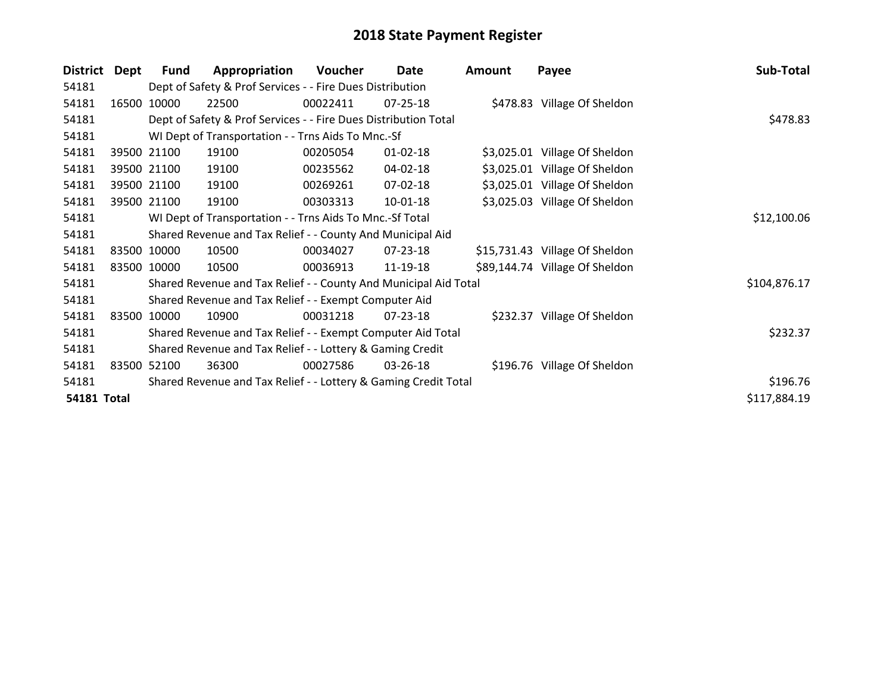| <b>District</b>    | Dept        | <b>Fund</b>                                              | Appropriation                                                    | <b>Voucher</b> | Date           | Amount | Payee                          | Sub-Total    |
|--------------------|-------------|----------------------------------------------------------|------------------------------------------------------------------|----------------|----------------|--------|--------------------------------|--------------|
| 54181              |             |                                                          | Dept of Safety & Prof Services - - Fire Dues Distribution        |                |                |        |                                |              |
| 54181              |             | 16500 10000                                              | 22500                                                            | 00022411       | 07-25-18       |        | \$478.83 Village Of Sheldon    |              |
| 54181              |             |                                                          | Dept of Safety & Prof Services - - Fire Dues Distribution Total  |                |                |        |                                | \$478.83     |
| 54181              |             |                                                          | WI Dept of Transportation - - Trns Aids To Mnc.-Sf               |                |                |        |                                |              |
| 54181              |             | 39500 21100                                              | 19100                                                            | 00205054       | $01 - 02 - 18$ |        | \$3,025.01 Village Of Sheldon  |              |
| 54181              |             | 39500 21100                                              | 19100                                                            | 00235562       | 04-02-18       |        | \$3,025.01 Village Of Sheldon  |              |
| 54181              |             | 39500 21100                                              | 19100                                                            | 00269261       | 07-02-18       |        | \$3,025.01 Village Of Sheldon  |              |
| 54181              |             | 39500 21100                                              | 19100                                                            | 00303313       | 10-01-18       |        | \$3,025.03 Village Of Sheldon  |              |
| 54181              |             | WI Dept of Transportation - - Trns Aids To Mnc.-Sf Total | \$12,100.06                                                      |                |                |        |                                |              |
| 54181              |             |                                                          | Shared Revenue and Tax Relief - - County And Municipal Aid       |                |                |        |                                |              |
| 54181              |             | 83500 10000                                              | 10500                                                            | 00034027       | 07-23-18       |        | \$15,731.43 Village Of Sheldon |              |
| 54181              | 83500 10000 |                                                          | 10500                                                            | 00036913       | 11-19-18       |        | \$89,144.74 Village Of Sheldon |              |
| 54181              |             |                                                          | Shared Revenue and Tax Relief - - County And Municipal Aid Total |                |                |        |                                | \$104,876.17 |
| 54181              |             |                                                          | Shared Revenue and Tax Relief - - Exempt Computer Aid            |                |                |        |                                |              |
| 54181              | 83500 10000 |                                                          | 10900                                                            | 00031218       | $07 - 23 - 18$ |        | \$232.37 Village Of Sheldon    |              |
| 54181              |             |                                                          | Shared Revenue and Tax Relief - - Exempt Computer Aid Total      |                |                |        |                                | \$232.37     |
| 54181              |             |                                                          | Shared Revenue and Tax Relief - - Lottery & Gaming Credit        |                |                |        |                                |              |
| 54181              | 83500       | 52100                                                    | 36300                                                            | 00027586       | 03-26-18       |        | \$196.76 Village Of Sheldon    |              |
| 54181              |             |                                                          | Shared Revenue and Tax Relief - - Lottery & Gaming Credit Total  |                |                |        |                                | \$196.76     |
| <b>54181 Total</b> |             |                                                          |                                                                  |                |                |        |                                | \$117,884.19 |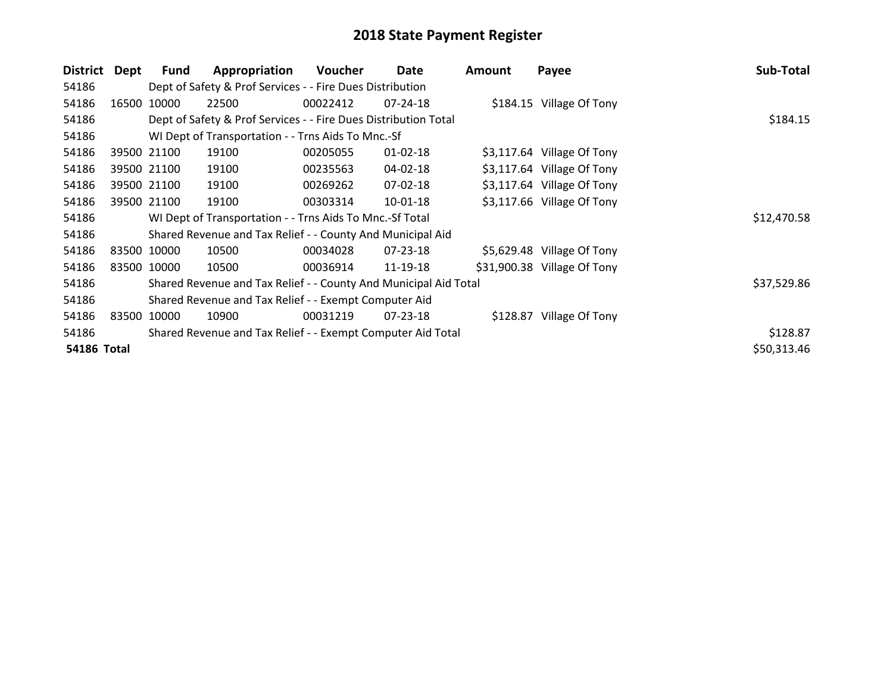| <b>District</b>    | Dept  | <b>Fund</b> | Appropriation                                                    | Voucher  | Date           | Amount | Payee                       | Sub-Total   |
|--------------------|-------|-------------|------------------------------------------------------------------|----------|----------------|--------|-----------------------------|-------------|
| 54186              |       |             | Dept of Safety & Prof Services - - Fire Dues Distribution        |          |                |        |                             |             |
| 54186              | 16500 | 10000       | 22500                                                            | 00022412 | 07-24-18       |        | \$184.15 Village Of Tony    |             |
| 54186              |       |             | Dept of Safety & Prof Services - - Fire Dues Distribution Total  |          | \$184.15       |        |                             |             |
| 54186              |       |             | WI Dept of Transportation - - Trns Aids To Mnc.-Sf               |          |                |        |                             |             |
| 54186              |       | 39500 21100 | 19100                                                            | 00205055 | $01 - 02 - 18$ |        | \$3,117.64 Village Of Tony  |             |
| 54186              |       | 39500 21100 | 19100                                                            | 00235563 | 04-02-18       |        | \$3,117.64 Village Of Tony  |             |
| 54186              |       | 39500 21100 | 19100                                                            | 00269262 | 07-02-18       |        | \$3,117.64 Village Of Tony  |             |
| 54186              |       | 39500 21100 | 19100                                                            | 00303314 | 10-01-18       |        | \$3,117.66 Village Of Tony  |             |
| 54186              |       |             | WI Dept of Transportation - - Trns Aids To Mnc.-Sf Total         |          |                |        |                             | \$12,470.58 |
| 54186              |       |             | Shared Revenue and Tax Relief - - County And Municipal Aid       |          |                |        |                             |             |
| 54186              |       | 83500 10000 | 10500                                                            | 00034028 | $07 - 23 - 18$ |        | \$5,629.48 Village Of Tony  |             |
| 54186              |       | 83500 10000 | 10500                                                            | 00036914 | 11-19-18       |        | \$31,900.38 Village Of Tony |             |
| 54186              |       |             | Shared Revenue and Tax Relief - - County And Municipal Aid Total |          |                |        |                             | \$37,529.86 |
| 54186              |       |             | Shared Revenue and Tax Relief - - Exempt Computer Aid            |          |                |        |                             |             |
| 54186              | 83500 | 10000       | 10900                                                            | 00031219 | $07 - 23 - 18$ |        | \$128.87 Village Of Tony    |             |
| 54186              |       |             | Shared Revenue and Tax Relief - - Exempt Computer Aid Total      |          |                |        |                             | \$128.87    |
| <b>54186 Total</b> |       |             |                                                                  |          |                |        |                             | \$50,313.46 |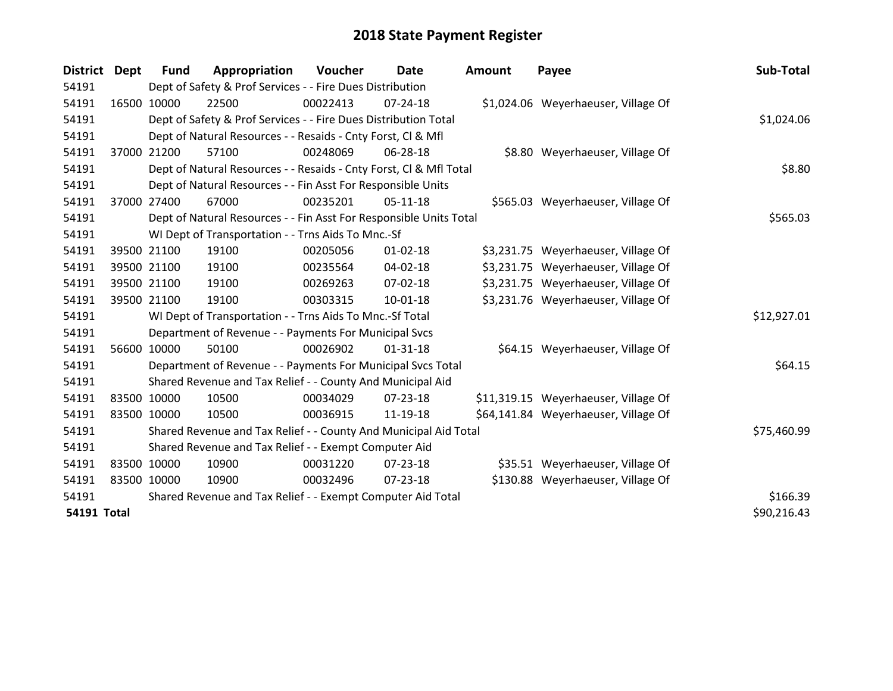| <b>District</b>    | <b>Dept</b> | <b>Fund</b> | Appropriation                                                      | Voucher  | <b>Date</b>    | <b>Amount</b> | Payee                                | Sub-Total   |
|--------------------|-------------|-------------|--------------------------------------------------------------------|----------|----------------|---------------|--------------------------------------|-------------|
| 54191              |             |             | Dept of Safety & Prof Services - - Fire Dues Distribution          |          |                |               |                                      |             |
| 54191              |             | 16500 10000 | 22500                                                              | 00022413 | $07 - 24 - 18$ |               | \$1,024.06 Weyerhaeuser, Village Of  |             |
| 54191              |             |             | Dept of Safety & Prof Services - - Fire Dues Distribution Total    |          |                |               |                                      | \$1,024.06  |
| 54191              |             |             | Dept of Natural Resources - - Resaids - Cnty Forst, CI & Mfl       |          |                |               |                                      |             |
| 54191              |             | 37000 21200 | 57100                                                              | 00248069 | 06-28-18       |               | \$8.80 Weyerhaeuser, Village Of      |             |
| 54191              |             |             | Dept of Natural Resources - - Resaids - Cnty Forst, Cl & Mfl Total |          |                |               |                                      | \$8.80      |
| 54191              |             |             | Dept of Natural Resources - - Fin Asst For Responsible Units       |          |                |               |                                      |             |
| 54191              |             | 37000 27400 | 67000                                                              | 00235201 | $05-11-18$     |               | \$565.03 Weyerhaeuser, Village Of    |             |
| 54191              |             |             | Dept of Natural Resources - - Fin Asst For Responsible Units Total |          |                |               |                                      | \$565.03    |
| 54191              |             |             | WI Dept of Transportation - - Trns Aids To Mnc.-Sf                 |          |                |               |                                      |             |
| 54191              |             | 39500 21100 | 19100                                                              | 00205056 | $01 - 02 - 18$ |               | \$3,231.75 Weyerhaeuser, Village Of  |             |
| 54191              |             | 39500 21100 | 19100                                                              | 00235564 | 04-02-18       |               | \$3,231.75 Weyerhaeuser, Village Of  |             |
| 54191              |             | 39500 21100 | 19100                                                              | 00269263 | $07 - 02 - 18$ |               | \$3,231.75 Weyerhaeuser, Village Of  |             |
| 54191              |             | 39500 21100 | 19100                                                              | 00303315 | $10 - 01 - 18$ |               | \$3,231.76 Weyerhaeuser, Village Of  |             |
| 54191              |             |             | WI Dept of Transportation - - Trns Aids To Mnc.-Sf Total           |          |                |               |                                      | \$12,927.01 |
| 54191              |             |             | Department of Revenue - - Payments For Municipal Svcs              |          |                |               |                                      |             |
| 54191              |             | 56600 10000 | 50100                                                              | 00026902 | $01 - 31 - 18$ |               | \$64.15 Weyerhaeuser, Village Of     |             |
| 54191              |             |             | Department of Revenue - - Payments For Municipal Svcs Total        |          |                |               |                                      | \$64.15     |
| 54191              |             |             | Shared Revenue and Tax Relief - - County And Municipal Aid         |          |                |               |                                      |             |
| 54191              |             | 83500 10000 | 10500                                                              | 00034029 | $07 - 23 - 18$ |               | \$11,319.15 Weyerhaeuser, Village Of |             |
| 54191              |             | 83500 10000 | 10500                                                              | 00036915 | 11-19-18       |               | \$64,141.84 Weyerhaeuser, Village Of |             |
| 54191              |             |             | Shared Revenue and Tax Relief - - County And Municipal Aid Total   |          |                |               |                                      | \$75,460.99 |
| 54191              |             |             | Shared Revenue and Tax Relief - - Exempt Computer Aid              |          |                |               |                                      |             |
| 54191              |             | 83500 10000 | 10900                                                              | 00031220 | $07 - 23 - 18$ |               | \$35.51 Weyerhaeuser, Village Of     |             |
| 54191              |             | 83500 10000 | 10900                                                              | 00032496 | $07 - 23 - 18$ |               | \$130.88 Weyerhaeuser, Village Of    |             |
| 54191              |             |             | Shared Revenue and Tax Relief - - Exempt Computer Aid Total        |          |                |               |                                      | \$166.39    |
| <b>54191 Total</b> |             |             |                                                                    |          |                |               |                                      | \$90,216.43 |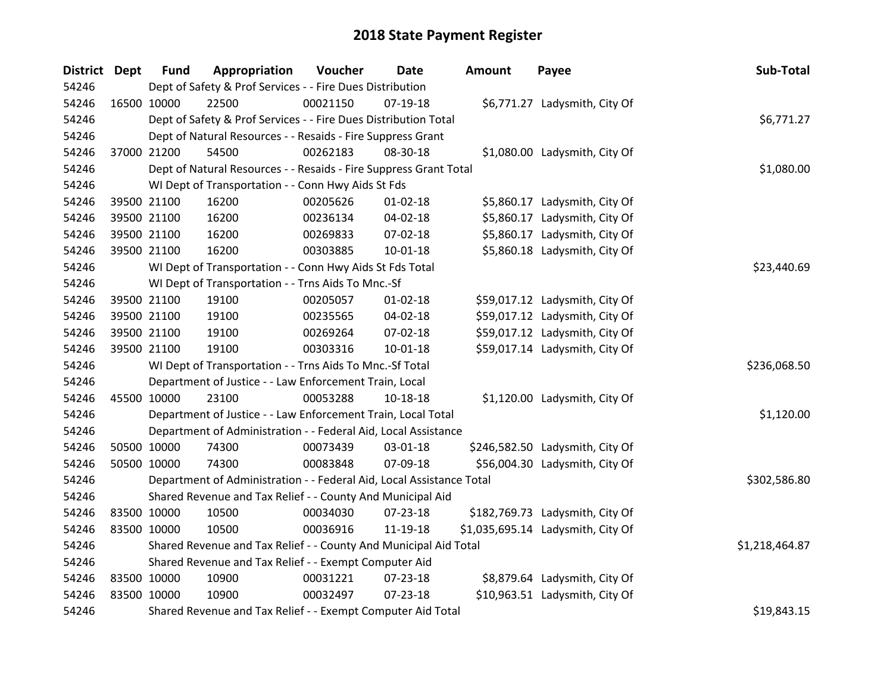| District Dept |             | <b>Fund</b>                                                          | Appropriation  | Voucher  | <b>Date</b>    | <b>Amount</b> | Payee                             | Sub-Total |
|---------------|-------------|----------------------------------------------------------------------|----------------|----------|----------------|---------------|-----------------------------------|-----------|
| 54246         |             | Dept of Safety & Prof Services - - Fire Dues Distribution            |                |          |                |               |                                   |           |
| 54246         |             | 16500 10000                                                          | 22500          | 00021150 | $07-19-18$     |               | \$6,771.27 Ladysmith, City Of     |           |
| 54246         |             | Dept of Safety & Prof Services - - Fire Dues Distribution Total      | \$6,771.27     |          |                |               |                                   |           |
| 54246         |             | Dept of Natural Resources - - Resaids - Fire Suppress Grant          |                |          |                |               |                                   |           |
| 54246         |             | 37000 21200                                                          | 54500          | 00262183 | 08-30-18       |               | \$1,080.00 Ladysmith, City Of     |           |
| 54246         |             | Dept of Natural Resources - - Resaids - Fire Suppress Grant Total    | \$1,080.00     |          |                |               |                                   |           |
| 54246         |             | WI Dept of Transportation - - Conn Hwy Aids St Fds                   |                |          |                |               |                                   |           |
| 54246         |             | 39500 21100                                                          | 16200          | 00205626 | $01 - 02 - 18$ |               | \$5,860.17 Ladysmith, City Of     |           |
| 54246         |             | 39500 21100                                                          | 16200          | 00236134 | 04-02-18       |               | \$5,860.17 Ladysmith, City Of     |           |
| 54246         |             | 39500 21100                                                          | 16200          | 00269833 | 07-02-18       |               | \$5,860.17 Ladysmith, City Of     |           |
| 54246         |             | 39500 21100                                                          | 16200          | 00303885 | $10 - 01 - 18$ |               | \$5,860.18 Ladysmith, City Of     |           |
| 54246         |             | WI Dept of Transportation - - Conn Hwy Aids St Fds Total             | \$23,440.69    |          |                |               |                                   |           |
| 54246         |             | WI Dept of Transportation - - Trns Aids To Mnc.-Sf                   |                |          |                |               |                                   |           |
| 54246         |             | 39500 21100                                                          | 19100          | 00205057 | $01 - 02 - 18$ |               | \$59,017.12 Ladysmith, City Of    |           |
| 54246         |             | 39500 21100                                                          | 19100          | 00235565 | 04-02-18       |               | \$59,017.12 Ladysmith, City Of    |           |
| 54246         |             | 39500 21100                                                          | 19100          | 00269264 | 07-02-18       |               | \$59,017.12 Ladysmith, City Of    |           |
| 54246         |             | 39500 21100                                                          | 19100          | 00303316 | $10 - 01 - 18$ |               | \$59,017.14 Ladysmith, City Of    |           |
| 54246         |             | WI Dept of Transportation - - Trns Aids To Mnc.-Sf Total             | \$236,068.50   |          |                |               |                                   |           |
| 54246         |             | Department of Justice - - Law Enforcement Train, Local               |                |          |                |               |                                   |           |
| 54246         |             | 45500 10000                                                          | 23100          | 00053288 | 10-18-18       |               | \$1,120.00 Ladysmith, City Of     |           |
| 54246         |             | Department of Justice - - Law Enforcement Train, Local Total         | \$1,120.00     |          |                |               |                                   |           |
| 54246         |             | Department of Administration - - Federal Aid, Local Assistance       |                |          |                |               |                                   |           |
| 54246         |             | 50500 10000                                                          | 74300          | 00073439 | 03-01-18       |               | \$246,582.50 Ladysmith, City Of   |           |
| 54246         |             | 50500 10000                                                          | 74300          | 00083848 | 07-09-18       |               | \$56,004.30 Ladysmith, City Of    |           |
| 54246         |             | Department of Administration - - Federal Aid, Local Assistance Total | \$302,586.80   |          |                |               |                                   |           |
| 54246         |             | Shared Revenue and Tax Relief - - County And Municipal Aid           |                |          |                |               |                                   |           |
| 54246         | 83500 10000 |                                                                      | 10500          | 00034030 | 07-23-18       |               | \$182,769.73 Ladysmith, City Of   |           |
| 54246         |             | 83500 10000                                                          | 10500          | 00036916 | 11-19-18       |               | \$1,035,695.14 Ladysmith, City Of |           |
| 54246         |             | Shared Revenue and Tax Relief - - County And Municipal Aid Total     | \$1,218,464.87 |          |                |               |                                   |           |
| 54246         |             | Shared Revenue and Tax Relief - - Exempt Computer Aid                |                |          |                |               |                                   |           |
| 54246         |             | 83500 10000                                                          | 10900          | 00031221 | 07-23-18       |               | \$8,879.64 Ladysmith, City Of     |           |
| 54246         |             | 83500 10000                                                          | 10900          | 00032497 | $07 - 23 - 18$ |               | \$10,963.51 Ladysmith, City Of    |           |
| 54246         |             | Shared Revenue and Tax Relief - - Exempt Computer Aid Total          | \$19,843.15    |          |                |               |                                   |           |